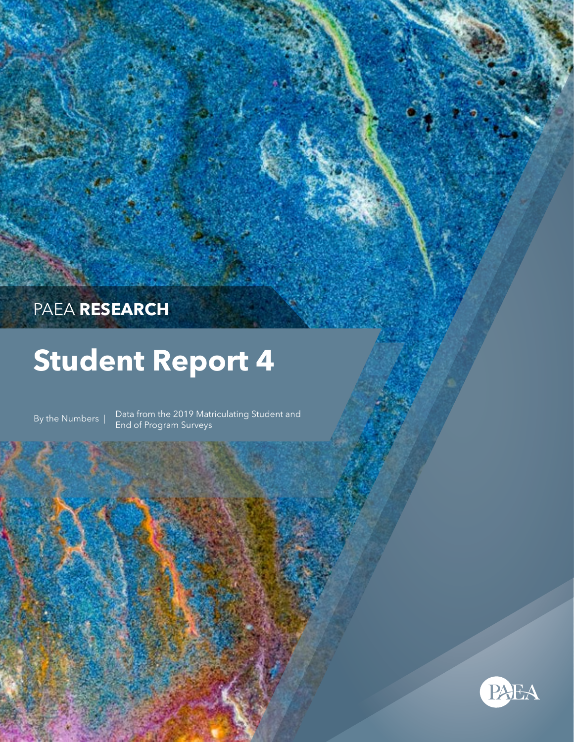# PAEA **RESEARCH**

# **Student Report 4**

By the Numbers | Data from the 2019 Matriculating Student and End of Program Surveys

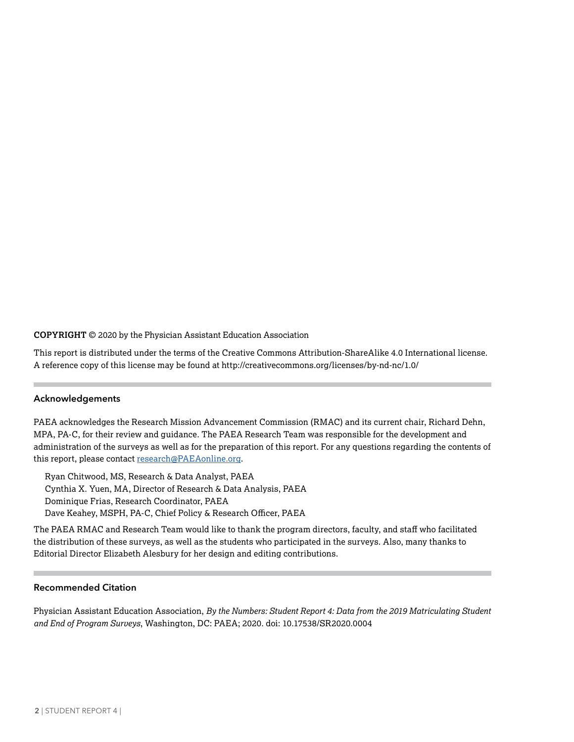### **COPYRIGHT** © 2020 by the Physician Assistant Education Association

This report is distributed under the terms of the Creative Commons Attribution-ShareAlike 4.0 International license. A reference copy of this license may be found at http://creativecommons.org/licenses/by-nd-nc/1.0/

#### **Acknowledgements**

PAEA acknowledges the Research Mission Advancement Commission (RMAC) and its current chair, Richard Dehn, MPA, PA-C, for their review and guidance. The PAEA Research Team was responsible for the development and administration of the surveys as well as for the preparation of this report. For any questions regarding the contents of this report, please contact [research@PAEAonline.org](mailto:research%40PAEAonline.org?subject=).

Ryan Chitwood, MS, Research & Data Analyst, PAEA Cynthia X. Yuen, MA, Director of Research & Data Analysis, PAEA Dominique Frias, Research Coordinator, PAEA Dave Keahey, MSPH, PA-C, Chief Policy & Research Officer, PAEA

The PAEA RMAC and Research Team would like to thank the program directors, faculty, and staff who facilitated the distribution of these surveys, as well as the students who participated in the surveys. Also, many thanks to Editorial Director Elizabeth Alesbury for her design and editing contributions.

# **Recommended Citation**

Physician Assistant Education Association, *By the Numbers: Student Report 4: Data from the 2019 Matriculating Student and End of Program Surveys*, Washington, DC: PAEA; 2020. doi: 10.17538/SR2020.0004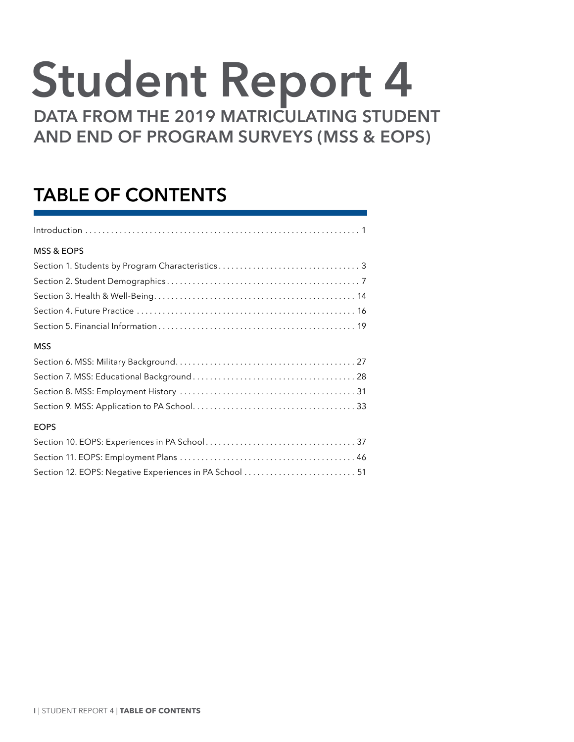# **Student Report 4**

**DATA FROM THE 2019 MATRICULATING STUDENT AND END OF PROGRAM SURVEYS (MSS & EOPS)**

# **TABLE OF CONTENTS**

| <b>MSS &amp; EOPS</b> |
|-----------------------|
|                       |
|                       |
|                       |
|                       |
|                       |
| <b>MSS</b>            |
|                       |
|                       |
|                       |
|                       |

# EOPS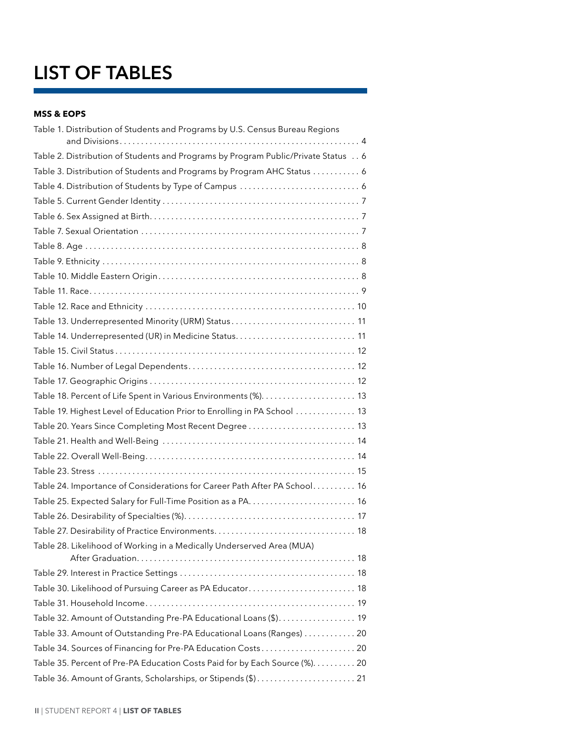# **LIST OF TABLES**

# **MSS & EOPS**

| Table 1. Distribution of Students and Programs by U.S. Census Bureau Regions      |
|-----------------------------------------------------------------------------------|
|                                                                                   |
| Table 2. Distribution of Students and Programs by Program Public/Private Status 6 |
| Table 3. Distribution of Students and Programs by Program AHC Status 6            |
|                                                                                   |
|                                                                                   |
|                                                                                   |
|                                                                                   |
|                                                                                   |
|                                                                                   |
|                                                                                   |
|                                                                                   |
|                                                                                   |
| Table 13. Underrepresented Minority (URM) Status 11                               |
|                                                                                   |
|                                                                                   |
|                                                                                   |
|                                                                                   |
|                                                                                   |
| Table 19. Highest Level of Education Prior to Enrolling in PA School  13          |
| Table 20. Years Since Completing Most Recent Degree 13                            |
|                                                                                   |
|                                                                                   |
|                                                                                   |
| Table 24. Importance of Considerations for Career Path After PA School 16         |
|                                                                                   |
|                                                                                   |
|                                                                                   |
| Table 28. Likelihood of Working in a Medically Underserved Area (MUA)             |
|                                                                                   |
|                                                                                   |
| Table 30. Likelihood of Pursuing Career as PA Educator 18                         |
|                                                                                   |
| Table 32. Amount of Outstanding Pre-PA Educational Loans (\$). 19                 |
| Table 33. Amount of Outstanding Pre-PA Educational Loans (Ranges)  20             |
| Table 34. Sources of Financing for Pre-PA Education Costs 20                      |
| Table 35. Percent of Pre-PA Education Costs Paid for by Each Source (%). 20       |
| Table 36. Amount of Grants, Scholarships, or Stipends (\$) 21                     |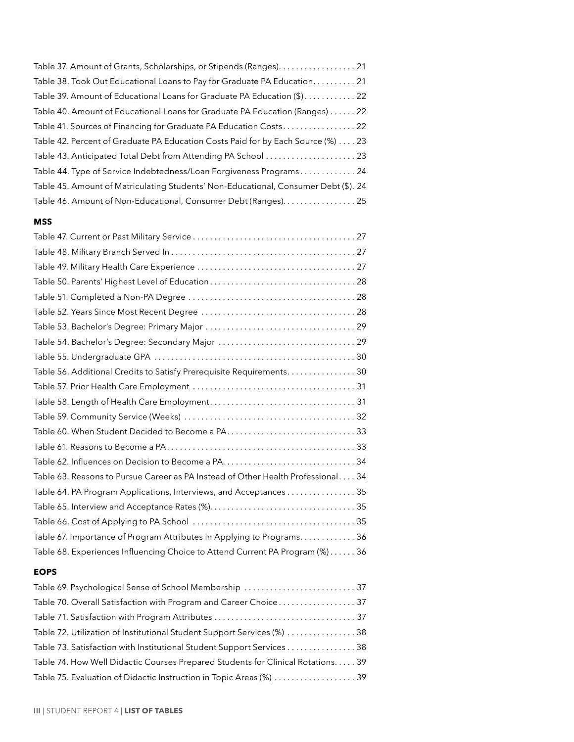| Table 37. Amount of Grants, Scholarships, or Stipends (Ranges) 21                   |
|-------------------------------------------------------------------------------------|
| Table 38. Took Out Educational Loans to Pay for Graduate PA Education 21            |
| Table 39. Amount of Educational Loans for Graduate PA Education (\$) 22             |
| Table 40. Amount of Educational Loans for Graduate PA Education (Ranges) 22         |
| Table 41. Sources of Financing for Graduate PA Education Costs 22                   |
| Table 42. Percent of Graduate PA Education Costs Paid for by Each Source (%) 23     |
| Table 43. Anticipated Total Debt from Attending PA School  23                       |
| Table 44. Type of Service Indebtedness/Loan Forgiveness Programs 24                 |
| Table 45. Amount of Matriculating Students' Non-Educational, Consumer Debt (\$). 24 |
| Table 46. Amount of Non-Educational, Consumer Debt (Ranges). 25                     |
|                                                                                     |

# **MSS**

| Table 54. Bachelor's Degree: Secondary Major  29                                 |
|----------------------------------------------------------------------------------|
|                                                                                  |
| Table 56. Additional Credits to Satisfy Prerequisite Requirements30              |
|                                                                                  |
|                                                                                  |
|                                                                                  |
|                                                                                  |
|                                                                                  |
|                                                                                  |
| Table 63. Reasons to Pursue Career as PA Instead of Other Health Professional 34 |
| Table 64. PA Program Applications, Interviews, and Acceptances 35                |
|                                                                                  |
|                                                                                  |
| Table 67. Importance of Program Attributes in Applying to Programs. 36           |
| Table 68. Experiences Influencing Choice to Attend Current PA Program (%) 36     |

# **EOPS**

| Table 69. Psychological Sense of School Membership  37                          |  |
|---------------------------------------------------------------------------------|--|
| Table 70. Overall Satisfaction with Program and Career Choice 37                |  |
|                                                                                 |  |
| Table 72. Utilization of Institutional Student Support Services (%)  38         |  |
| Table 73. Satisfaction with Institutional Student Support Services 38           |  |
| Table 74. How Well Didactic Courses Prepared Students for Clinical Rotations 39 |  |
| Table 75. Evaluation of Didactic Instruction in Topic Areas (%)  39             |  |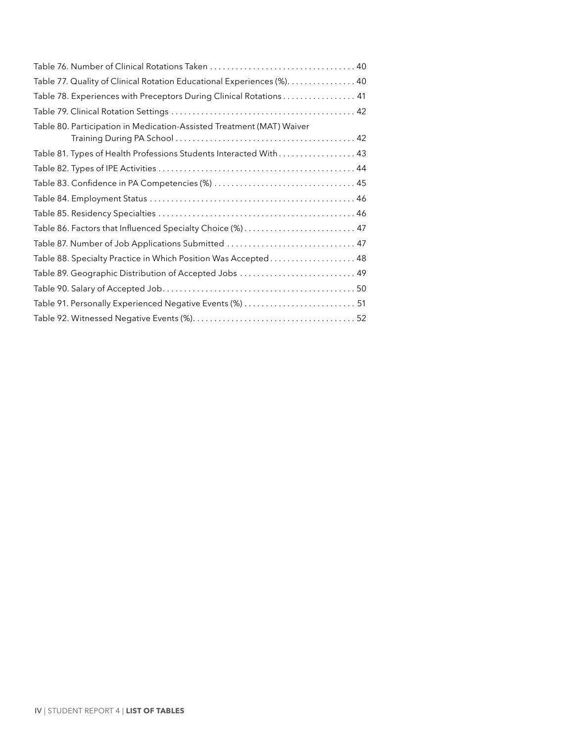| Table 77. Quality of Clinical Rotation Educational Experiences (%). 40 |
|------------------------------------------------------------------------|
| Table 78. Experiences with Preceptors During Clinical Rotations 41     |
|                                                                        |
| Table 80. Participation in Medication-Assisted Treatment (MAT) Waiver  |
|                                                                        |
| Table 81. Types of Health Professions Students Interacted With 43      |
|                                                                        |
|                                                                        |
|                                                                        |
|                                                                        |
| Table 86. Factors that Influenced Specialty Choice (%) 47              |
| Table 87. Number of Job Applications Submitted  47                     |
| Table 88. Specialty Practice in Which Position Was Accepted 48         |
| Table 89. Geographic Distribution of Accepted Jobs  49                 |
|                                                                        |
| Table 91. Personally Experienced Negative Events (%)  51               |
|                                                                        |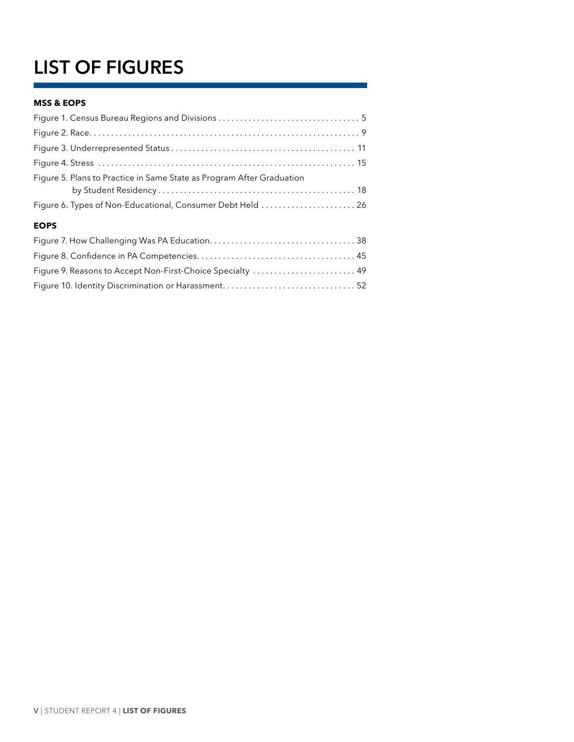# **LIST OF FIGURES**

# **MSS & EOPS**

| Figure 5. Plans to Practice in Same State as Program After Graduation |
|-----------------------------------------------------------------------|
|                                                                       |
| Figure 6. Types of Non-Educational, Consumer Debt Held  26            |
| <b>EOPS</b>                                                           |
|                                                                       |
|                                                                       |
| Figure 9. Reasons to Accept Non-First-Choice Specialty  49            |

[Figure 10. Identity Discrimination or Harassment . . . . . . . . . . . . . . . . . . . . . . . . . . . . . . .](#page-58-0) 52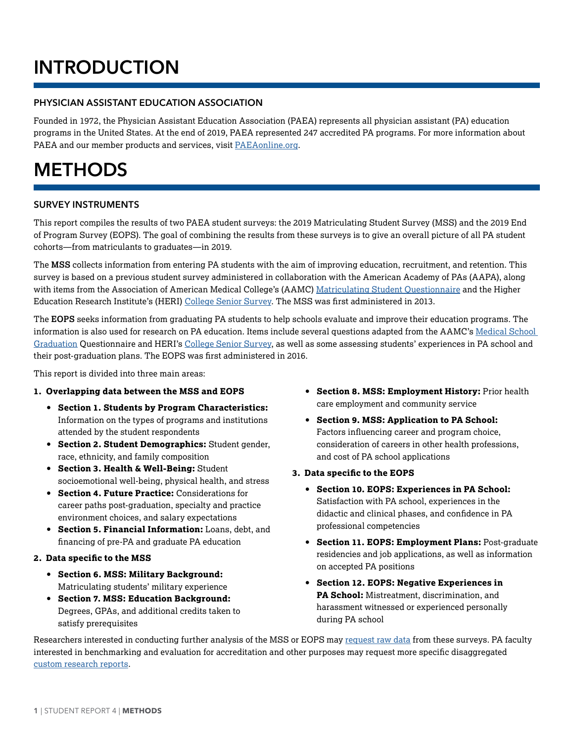# <span id="page-7-0"></span>**INTRODUCTION**

# **PHYSICIAN ASSISTANT EDUCATION ASSOCIATION**

Founded in 1972, the Physician Assistant Education Association (PAEA) represents all physician assistant (PA) education programs in the United States. At the end of 2019, PAEA represented 247 accredited PA programs. For more information about PAEA and our member products and services, visit [PAEAonline.org](http://PAEAonline.org).

# **METHODS**

# **SURVEY INSTRUMENTS**

This report compiles the results of two PAEA student surveys: the 2019 Matriculating Student Survey (MSS) and the 2019 End of Program Survey (EOPS). The goal of combining the results from these surveys is to give an overall picture of all PA student cohorts—from matriculants to graduates—in 2019.

The **MSS** collects information from entering PA students with the aim of improving education, recruitment, and retention. This survey is based on a previous student survey administered in collaboration with the American Academy of PAs (AAPA), along with items from the Association of American Medical College's (AAMC) [Matriculating Student Questionnaire](https://www.aamc.org/data/msq/) and the Higher Education Research Institute's (HERI) [College Senior Survey](https://heri.ucla.edu/college-senior-survey/). The MSS was first administered in 2013.

The **EOPS** seeks information from graduating PA students to help schools evaluate and improve their education programs. The information is also used for research on PA education. Items include several questions adapted from the AAMC's [Medical School](https://www.aamc.org/data/msq/)  [Graduation](https://www.aamc.org/data/msq/) Questionnaire and HERI's [College Senior Survey,](https://heri.ucla.edu/college-senior-survey/) as well as some assessing students' experiences in PA school and their post-graduation plans. The EOPS was first administered in 2016.

This report is divided into three main areas:

# **1. Overlapping data between the MSS and EOPS**

- **• Section 1. Students by Program Characteristics:**  Information on the types of programs and institutions attended by the student respondents
- **• Section 2. Student Demographics:** Student gender, race, ethnicity, and family composition
- **• Section 3. Health & Well-Being:** Student socioemotional well-being, physical health, and stress
- **• Section 4. Future Practice:** Considerations for career paths post-graduation, specialty and practice environment choices, and salary expectations
- **• Section 5. Financial Information:** Loans, debt, and financing of pre-PA and graduate PA education

# **2. Data specific to the MSS**

- **• Section 6. MSS: Military Background:** Matriculating students' military experience
- **• Section 7. MSS: Education Background:** Degrees, GPAs, and additional credits taken to satisfy prerequisites
- **• Section 8. MSS: Employment History:** Prior health care employment and community service
- **• Section 9. MSS: Application to PA School:** Factors influencing career and program choice, consideration of careers in other health professions, and cost of PA school applications
- **3. Data specific to the EOPS**
	- **• Section 10. EOPS: Experiences in PA School:**  Satisfaction with PA school, experiences in the didactic and clinical phases, and confidence in PA professional competencies
	- **• Section 11. EOPS: Employment Plans:** Post-graduate residencies and job applications, as well as information on accepted PA positions
	- **• Section 12. EOPS: Negative Experiences in PA School:** Mistreatment, discrimination, and harassment witnessed or experienced personally during PA school

Researchers interested in conducting further analysis of the MSS or EOPS may [request raw data](http://paeaonline.org/research/paea-data-on-demand-raw-data/) from these surveys. PA faculty interested in benchmarking and evaluation for accreditation and other purposes may request more specific disaggregated [custom research reports.](http://paeaonline.org/research/paea-custom-reports/)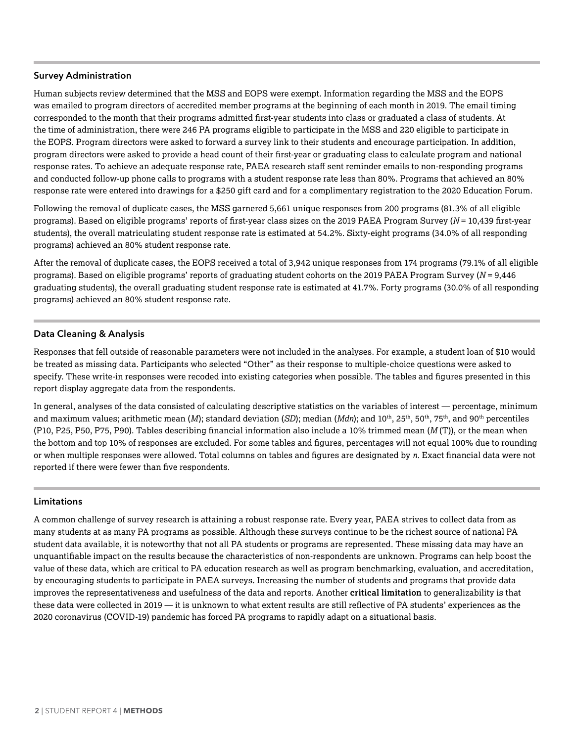### **Survey Administration**

Human subjects review determined that the MSS and EOPS were exempt. Information regarding the MSS and the EOPS was emailed to program directors of accredited member programs at the beginning of each month in 2019. The email timing corresponded to the month that their programs admitted first-year students into class or graduated a class of students. At the time of administration, there were 246 PA programs eligible to participate in the MSS and 220 eligible to participate in the EOPS. Program directors were asked to forward a survey link to their students and encourage participation. In addition, program directors were asked to provide a head count of their first-year or graduating class to calculate program and national response rates. To achieve an adequate response rate, PAEA research staff sent reminder emails to non-responding programs and conducted follow-up phone calls to programs with a student response rate less than 80%. Programs that achieved an 80% response rate were entered into drawings for a \$250 gift card and for a complimentary registration to the 2020 Education Forum.

Following the removal of duplicate cases, the MSS garnered 5,661 unique responses from 200 programs (81.3% of all eligible programs). Based on eligible programs' reports of first-year class sizes on the 2019 PAEA Program Survey (*N* = 10,439 first-year students), the overall matriculating student response rate is estimated at 54.2%. Sixty-eight programs (34.0% of all responding programs) achieved an 80% student response rate.

After the removal of duplicate cases, the EOPS received a total of 3,942 unique responses from 174 programs (79.1% of all eligible programs). Based on eligible programs' reports of graduating student cohorts on the 2019 PAEA Program Survey (*N* = 9,446 graduating students), the overall graduating student response rate is estimated at 41.7%. Forty programs (30.0% of all responding programs) achieved an 80% student response rate.

# **Data Cleaning & Analysis**

Responses that fell outside of reasonable parameters were not included in the analyses. For example, a student loan of \$10 would be treated as missing data. Participants who selected "Other" as their response to multiple-choice questions were asked to specify. These write-in responses were recoded into existing categories when possible. The tables and figures presented in this report display aggregate data from the respondents.

In general, analyses of the data consisted of calculating descriptive statistics on the variables of interest — percentage, minimum and maximum values; arithmetic mean (*M*); standard deviation (*SD*); median (*Mdn*); and 10th, 25th, 50th, 75th, and 90th percentiles (P10, P25, P50, P75, P90). Tables describing financial information also include a 10% trimmed mean (*M* (T)), or the mean when the bottom and top 10% of responses are excluded. For some tables and figures, percentages will not equal 100% due to rounding or when multiple responses were allowed. Total columns on tables and figures are designated by *n*. Exact financial data were not reported if there were fewer than five respondents.

# **Limitations**

A common challenge of survey research is attaining a robust response rate. Every year, PAEA strives to collect data from as many students at as many PA programs as possible. Although these surveys continue to be the richest source of national PA student data available, it is noteworthy that not all PA students or programs are represented. These missing data may have an unquantifiable impact on the results because the characteristics of non-respondents are unknown. Programs can help boost the value of these data, which are critical to PA education research as well as program benchmarking, evaluation, and accreditation, by encouraging students to participate in PAEA surveys. Increasing the number of students and programs that provide data improves the representativeness and usefulness of the data and reports. Another **critical limitation** to generalizability is that these data were collected in 2019 — it is unknown to what extent results are still reflective of PA students' experiences as the 2020 coronavirus (COVID-19) pandemic has forced PA programs to rapidly adapt on a situational basis.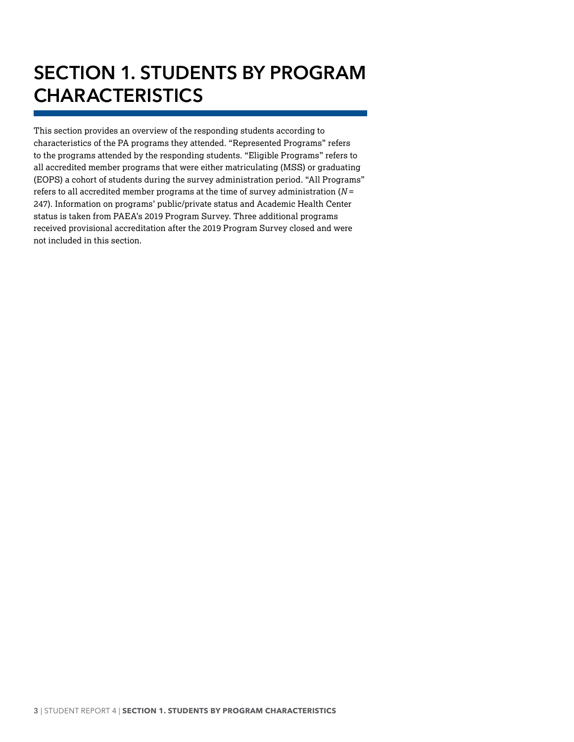# <span id="page-9-0"></span>**SECTION 1. STUDENTS BY PROGRAM CHARACTERISTICS**

This section provides an overview of the responding students according to characteristics of the PA programs they attended. "Represented Programs" refers to the programs attended by the responding students. "Eligible Programs" refers to all accredited member programs that were either matriculating (MSS) or graduating (EOPS) a cohort of students during the survey administration period. "All Programs" refers to all accredited member programs at the time of survey administration (*N* = 247). Information on programs' public/private status and Academic Health Center status is taken from PAEA's 2019 Program Survey. Three additional programs received provisional accreditation after the 2019 Program Survey closed and were not included in this section.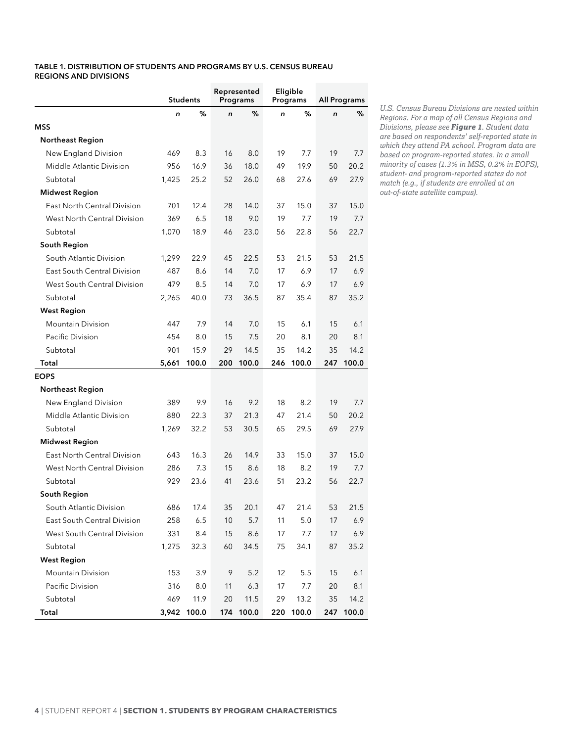#### <span id="page-10-0"></span>**Table 1. DISTRIBUTION OF STUDENTS AND PROGRAMS BY U.S. CENSUS BUREAU REGIONS AND DIVISIONS**

|                                    | <b>Students</b> |             | Represented<br>Programs |           | Eligible<br>Programs |           | <b>All Programs</b> |       |
|------------------------------------|-----------------|-------------|-------------------------|-----------|----------------------|-----------|---------------------|-------|
|                                    | n               | %           | n                       | %         | $\mathsf{n}$         | %         | $\mathsf{n}$        | %     |
| MSS                                |                 |             |                         |           |                      |           |                     |       |
| <b>Northeast Region</b>            |                 |             |                         |           |                      |           |                     |       |
| New England Division               | 469             | 8.3         | 16                      | 8.0       | 19                   | 7.7       | 19                  | 7.7   |
| Middle Atlantic Division           | 956             | 16.9        | 36                      | 18.0      | 49                   | 19.9      | 50                  | 20.2  |
| Subtotal                           | 1,425           | 25.2        | 52                      | 26.0      | 68                   | 27.6      | 69                  | 27.9  |
| <b>Midwest Region</b>              |                 |             |                         |           |                      |           |                     |       |
| East North Central Division        | 701             | 12.4        | 28                      | 14.0      | 37                   | 15.0      | 37                  | 15.0  |
| West North Central Division        | 369             | 6.5         | 18                      | 9.0       | 19                   | 7.7       | 19                  | 7.7   |
| Subtotal                           | 1,070           | 18.9        | 46                      | 23.0      | 56                   | 22.8      | 56                  | 22.7  |
| South Region                       |                 |             |                         |           |                      |           |                     |       |
| South Atlantic Division            | 1,299           | 22.9        | 45                      | 22.5      | 53                   | 21.5      | 53                  | 21.5  |
| East South Central Division        | 487             | 8.6         | 14                      | 7.0       | 17                   | 6.9       | 17                  | 6.9   |
| West South Central Division        | 479             | 8.5         | 14                      | 7.0       | 17                   | 6.9       | 17                  | 6.9   |
| Subtotal                           | 2,265           | 40.0        | 73                      | 36.5      | 87                   | 35.4      | 87                  | 35.2  |
| <b>West Region</b>                 |                 |             |                         |           |                      |           |                     |       |
| <b>Mountain Division</b>           | 447             | 7.9         | 14                      | 7.0       | 15                   | 6.1       | 15                  | 6.1   |
| Pacific Division                   | 454             | 8.0         | 15                      | 7.5       | 20                   | 8.1       | 20                  | 8.1   |
| Subtotal                           | 901             | 15.9        | 29                      | 14.5      | 35                   | 14.2      | 35                  | 14.2  |
| Total                              | 5,661           | 100.0       | 200                     | 100.0     | 246                  | 100.0     | 247                 | 100.0 |
| EOPS                               |                 |             |                         |           |                      |           |                     |       |
| <b>Northeast Region</b>            |                 |             |                         |           |                      |           |                     |       |
| New England Division               | 389             | 9.9         | 16                      | 9.2       | 18                   | 8.2       | 19                  | 7.7   |
| Middle Atlantic Division           | 880             | 22.3        | 37                      | 21.3      | 47                   | 21.4      | 50                  | 20.2  |
| Subtotal                           | 1,269           | 32.2        | 53                      | 30.5      | 65                   | 29.5      | 69                  | 27.9  |
| <b>Midwest Region</b>              |                 |             |                         |           |                      |           |                     |       |
| <b>East North Central Division</b> | 643             | 16.3        | 26                      | 14.9      | 33                   | 15.0      | 37                  | 15.0  |
| West North Central Division        | 286             | 7.3         | 15                      | 8.6       | 18                   | 8.2       | 19                  | 7.7   |
| Subtotal                           | 929             | 23.6        | 41                      | 23.6      | 51                   | 23.2      | 56                  | 22.7  |
| South Region                       |                 |             |                         |           |                      |           |                     |       |
| South Atlantic Division            | 686             | 17.4        | 35                      | 20.1      | 47                   | 21.4      | 53                  | 21.5  |
| East South Central Division        | 258             | 6.5         | 10                      | 5.7       | 11                   | 5.0       | 17                  | 6.9   |
| West South Central Division        | 331             | 8.4         | 15                      | 8.6       | 17                   | 7.7       | 17                  | 6.9   |
| Subtotal                           | 1,275           | 32.3        | 60                      | 34.5      | 75                   | 34.1      | 87                  | 35.2  |
| <b>West Region</b>                 |                 |             |                         |           |                      |           |                     |       |
| <b>Mountain Division</b>           | 153             | 3.9         | 9                       | 5.2       | 12                   | 5.5       | 15                  | 6.1   |
| Pacific Division                   | 316             | 8.0         | 11                      | 6.3       | 17                   | 7.7       | 20                  | 8.1   |
| Subtotal                           | 469             | 11.9        | 20                      | 11.5      | 29                   | 13.2      | 35                  | 14.2  |
| Total                              |                 | 3,942 100.0 |                         | 174 100.0 |                      | 220 100.0 | 247                 | 100.0 |

*U.S. Census Bureau Divisions are nested within Regions. For a map of all Census Regions and Divisions, please see Figure 1. Student data are based on respondents' self-reported state in which they attend PA school. Program data are based on program-reported states. In a small minority of cases (1.3% in MSS, 0.2% in EOPS), student- and program-reported states do not match (e.g., if students are enrolled at an out-of-state satellite campus).*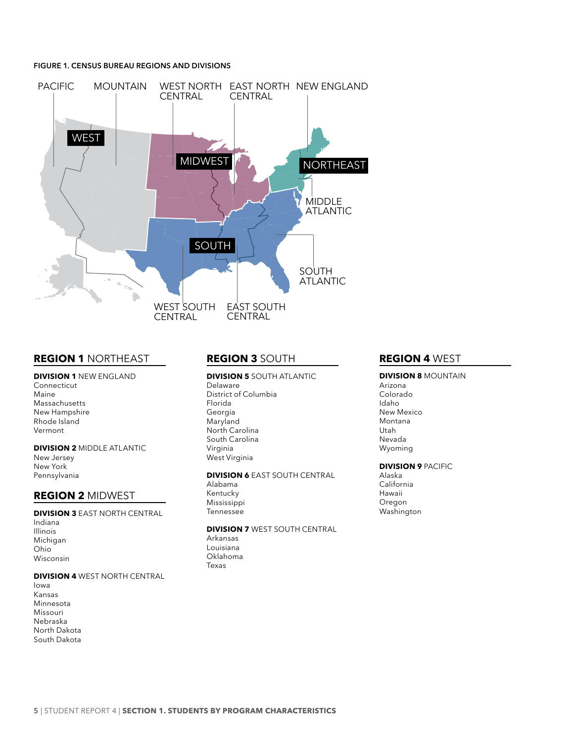#### <span id="page-11-0"></span>**Figure 1. CENSUS BUREAU REGIONS AND DIVISIONS**



# **REGion 1** NORTHEAST

#### **DiviSion 1** NEW ENGLAND

Connecticut Maine Massachusetts New Hampshire Rhode Island Vermont

#### **DiviSion 2** MIDDLE ATLANTIC

New Jersey New York Pennsylvania

# **REGion 2** MIDWEST

# **DiviSion 3** EAST NORTH CENTRAL

Indiana Illinois Michigan Ohio Wisconsin

#### **DiviSion 4** WEST NORTH CENTRAL

Iowa Kansas Minnesota Missouri Nebraska North Dakota South Dakota

# **REGion 3** SOUTH

# **DiviSion 5** SOUTH ATLANTIC

Delaware District of Columbia Florida Georgia Maryland North Carolina South Carolina Virginia West Virginia

#### **DiviSion 6** EAST SOUTH CENTRAL

Alabama Kentucky Mississippi Tennessee

# **DiviSion 7** WEST SOUTH CENTRAL

Arkansas Louisiana Oklahoma Texas

# **REGion 4** WEST

# **DiviSion 8** MOUNTAIN

Arizona Colorado Idaho New Mexico Montana Utah Nevada Wyoming

#### **DiviSion 9** PACIFIC

Alaska California Hawaii Oregon Washington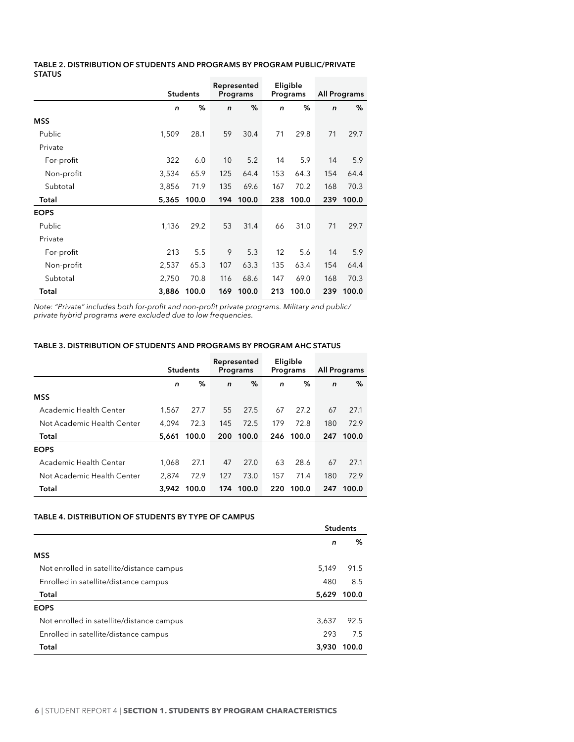#### <span id="page-12-0"></span>**Table 2. DISTRIBUTION OF STUDENTS AND PROGRAMS BY PROGRAM PUBLIC/PRIVATE STATUS**

|             |              |                 |              | Represented |     | Eligible  |              |              |  |
|-------------|--------------|-----------------|--------------|-------------|-----|-----------|--------------|--------------|--|
|             |              | <b>Students</b> |              | Programs    |     | Programs  |              | All Programs |  |
|             | $\mathsf{n}$ | %               | $\mathsf{n}$ | %           | n   | %         | $\mathsf{n}$ | %            |  |
| <b>MSS</b>  |              |                 |              |             |     |           |              |              |  |
| Public      | 1,509        | 28.1            | 59           | 30.4        | 71  | 29.8      | 71           | 29.7         |  |
| Private     |              |                 |              |             |     |           |              |              |  |
| For-profit  | 322          | 6.0             | 10           | 5.2         | 14  | 5.9       | 14           | 5.9          |  |
| Non-profit  | 3,534        | 65.9            | 125          | 64.4        | 153 | 64.3      | 154          | 64.4         |  |
| Subtotal    | 3,856        | 71.9            | 135          | 69.6        | 167 | 70.2      | 168          | 70.3         |  |
| Total       | 5,365        | 100.0           | 194          | 100.0       |     | 238 100.0 |              | 239 100.0    |  |
| <b>EOPS</b> |              |                 |              |             |     |           |              |              |  |
| Public      | 1,136        | 29.2            | 53           | 31.4        | 66  | 31.0      | 71           | 29.7         |  |
| Private     |              |                 |              |             |     |           |              |              |  |
| For-profit  | 213          | 5.5             | 9            | 5.3         | 12  | 5.6       | 14           | 5.9          |  |
| Non-profit  | 2,537        | 65.3            | 107          | 63.3        | 135 | 63.4      | 154          | 64.4         |  |
| Subtotal    | 2,750        | 70.8            | 116          | 68.6        | 147 | 69.0      | 168          | 70.3         |  |
| Total       | 3,886        | 100.0           | 169          | 100.0       |     | 213 100.0 |              | 239 100.0    |  |

*Note: "Private" includes both for-profit and non-profit private programs. Military and public/ private hybrid programs were excluded due to low frequencies.*

# **Table 3. DISTRIBUTION OF STUDENTS AND PROGRAMS BY PROGRAM AHC STATUS**

|                            | <b>Students</b> |       | Represented<br>Programs |       | Eligible<br>Programs |       | <b>All Programs</b> |       |
|----------------------------|-----------------|-------|-------------------------|-------|----------------------|-------|---------------------|-------|
|                            | n               | %     | $\mathsf{n}$            | %     | n                    | %     | $\mathsf{n}$        | %     |
| <b>MSS</b>                 |                 |       |                         |       |                      |       |                     |       |
| Academic Health Center     | 1,567           | 27.7  | 55                      | 27.5  | 67                   | 27.2  | 67                  | 27.1  |
| Not Academic Health Center | 4.094           | 72.3  | 145                     | 72.5  | 179                  | 72.8  | 180                 | 72.9  |
| Total                      | 5,661           | 100.0 | 200                     | 100.0 | 246                  | 100.0 | 247                 | 100.0 |
| <b>EOPS</b>                |                 |       |                         |       |                      |       |                     |       |
| Academic Health Center     | 1,068           | 27.1  | 47                      | 27.0  | 63                   | 28.6  | 67                  | 27.1  |
| Not Academic Health Center | 2,874           | 72.9  | 127                     | 73.0  | 157                  | 71.4  | 180                 | 72.9  |
| Total                      | 3.942           | 100.0 | 174                     | 100.0 | 220                  | 100.0 | 247                 | 100.0 |

#### **Table 4. DISTRIBUTION OF STUDENTS BY TYPE OF CAMPUS**

|                                           | <b>Students</b> |       |  |
|-------------------------------------------|-----------------|-------|--|
|                                           | n               | ℅     |  |
| <b>MSS</b>                                |                 |       |  |
| Not enrolled in satellite/distance campus | 5.149           | 91.5  |  |
| Enrolled in satellite/distance campus     | 480             | 8.5   |  |
| Total                                     | 5,629           | 100.0 |  |
| <b>EOPS</b>                               |                 |       |  |
| Not enrolled in satellite/distance campus | 3,637           | 92.5  |  |
| Enrolled in satellite/distance campus     | 293             | 7.5   |  |
| Total                                     | 3.930           | 100.0 |  |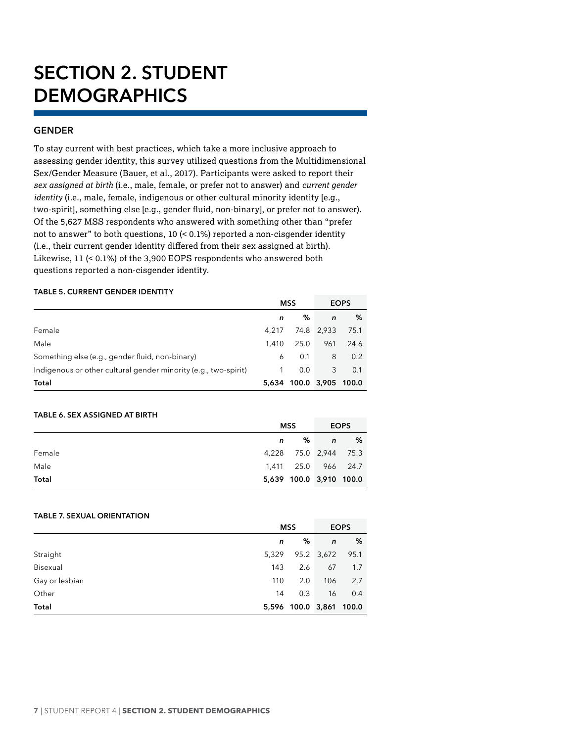# <span id="page-13-0"></span>**SECTION 2. STUDENT DEMOGRAPHICS**

# **GENDER**

To stay current with best practices, which take a more inclusive approach to assessing gender identity, this survey utilized questions from the Multidimensional Sex/Gender Measure (Bauer, et al., 2017). Participants were asked to report their *sex assigned at birth* (i.e., male, female, or prefer not to answer) and *current gender identity* (i.e., male, female, indigenous or other cultural minority identity [e.g., two-spirit], something else [e.g., gender fluid, non-binary], or prefer not to answer). Of the 5,627 MSS respondents who answered with something other than "prefer not to answer" to both questions, 10 (< 0.1%) reported a non-cisgender identity (i.e., their current gender identity differed from their sex assigned at birth). Likewise, 11 (< 0.1%) of the 3,900 EOPS respondents who answered both questions reported a non-cisgender identity.

#### **Table 5. CURRENT GENDER IDENTITY**

|                                                                 | <b>MSS</b> |                         |              | <b>EOPS</b> |
|-----------------------------------------------------------------|------------|-------------------------|--------------|-------------|
|                                                                 | n          | %                       | $\mathsf{n}$ | %           |
| Female                                                          | 4.217      |                         | 74.8 2,933   | 75.1        |
| Male                                                            | 1.410      | 25.0                    | 961          | 24.6        |
| Something else (e.g., gender fluid, non-binary)                 | 6          | 0.1                     | 8            | 0.2         |
| Indigenous or other cultural gender minority (e.g., two-spirit) | 1.         | 0.0                     | 3            | 0.1         |
| Total                                                           |            | 5,634 100.0 3,905 100.0 |              |             |

#### **Table 6. SEX ASSIGNED AT BIRTH**

|        |   | MSS                     | <b>EOPS</b>  |   |
|--------|---|-------------------------|--------------|---|
|        | n | ℅                       | $\mathsf{n}$ | % |
| Female |   | 4,228 75.0 2,944 75.3   |              |   |
| Male   |   | 1,411 25.0 966 24.7     |              |   |
| Total  |   | 5,639 100.0 3,910 100.0 |              |   |

# **Table 7. SEXUAL ORIENTATION**

|                |       | <b>MSS</b>              |              | <b>EOPS</b> |
|----------------|-------|-------------------------|--------------|-------------|
|                | n     | %                       | $\mathsf{n}$ | %           |
| Straight       | 5,329 |                         | 95.2 3,672   | 95.1        |
| Bisexual       | 143   | 2.6                     | 67           | 1.7         |
| Gay or lesbian | 110   | 2.0                     | 106          | 2.7         |
| Other          | 14    | 0.3                     | 16           | 0.4         |
| Total          |       | 5,596 100.0 3,861 100.0 |              |             |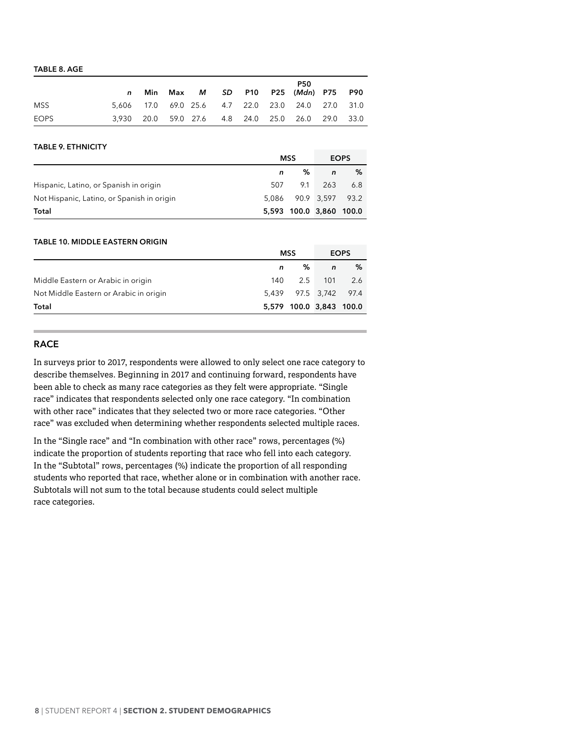#### <span id="page-14-0"></span>**Table 8. AGE**

|             | Min |  |  | <b>P50</b><br>Max <i>M SD</i> P10 P25 (Mdn) P75 P90 |  |
|-------------|-----|--|--|-----------------------------------------------------|--|
| <b>MSS</b>  |     |  |  | 5,606 17.0 69.0 25.6 4.7 22.0 23.0 24.0 27.0 31.0   |  |
| <b>EOPS</b> |     |  |  | 3,930 20.0 59.0 27.6 4.8 24.0 25.0 26.0 29.0 33.0   |  |

#### **Table 9. ETHNICITY**

|                                            |       | <b>MSS</b>              |     | <b>EOPS</b> |
|--------------------------------------------|-------|-------------------------|-----|-------------|
|                                            |       | %                       | n   | %           |
| Hispanic, Latino, or Spanish in origin     | 507   | 9.1                     | 263 | 6.8         |
| Not Hispanic, Latino, or Spanish in origin | 5.086 | 90.9 3.597 93.2         |     |             |
| Total                                      |       | 5,593 100.0 3,860 100.0 |     |             |

#### **Table 10. MIDDLE EASTERN ORIGIN**

|                                        |     | <b>MSS</b>              |              | <b>EOPS</b> |
|----------------------------------------|-----|-------------------------|--------------|-------------|
|                                        | n   | %                       | $\mathsf{n}$ | %           |
| Middle Eastern or Arabic in origin     | 140 |                         | 2.5 101      | 2.6         |
| Not Middle Eastern or Arabic in origin |     | 5,439 97.5 3,742 97.4   |              |             |
| Total                                  |     | 5,579 100.0 3,843 100.0 |              |             |

#### **RACE**

In surveys prior to 2017, respondents were allowed to only select one race category to describe themselves. Beginning in 2017 and continuing forward, respondents have been able to check as many race categories as they felt were appropriate. "Single race" indicates that respondents selected only one race category. "In combination with other race" indicates that they selected two or more race categories. "Other race" was excluded when determining whether respondents selected multiple races.

In the "Single race" and "In combination with other race" rows, percentages (%) indicate the proportion of students reporting that race who fell into each category. In the "Subtotal" rows, percentages (%) indicate the proportion of all responding students who reported that race, whether alone or in combination with another race. Subtotals will not sum to the total because students could select multiple race categories.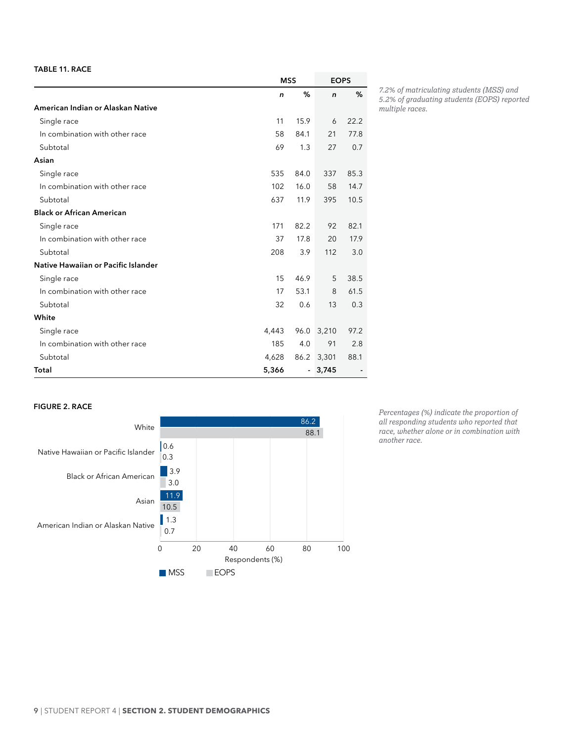#### <span id="page-15-0"></span>**Table 11. RACE**

|                                     | <b>MSS</b>   |                          | <b>EOPS</b>  |      |
|-------------------------------------|--------------|--------------------------|--------------|------|
|                                     | $\mathsf{n}$ | %                        | $\mathsf{n}$ | %    |
| American Indian or Alaskan Native   |              |                          |              |      |
| Single race                         | 11           | 15.9                     | 6            | 22.2 |
| In combination with other race      | 58           | 84.1                     | 21           | 77.8 |
| Subtotal                            | 69           | 1.3                      | 27           | 0.7  |
| Asian                               |              |                          |              |      |
| Single race                         | 535          | 84.0                     | 337          | 85.3 |
| In combination with other race      | 102          | 16.0                     | 58           | 14.7 |
| Subtotal                            | 637          | 11.9                     | 395          | 10.5 |
| <b>Black or African American</b>    |              |                          |              |      |
| Single race                         | 171          | 82.2                     | 92           | 82.1 |
| In combination with other race      | 37           | 17.8                     | 20           | 17.9 |
| Subtotal                            | 208          | 3.9                      | 112          | 3.0  |
| Native Hawaiian or Pacific Islander |              |                          |              |      |
| Single race                         | 15           | 46.9                     | 5            | 38.5 |
| In combination with other race      | 17           | 53.1                     | 8            | 61.5 |
| Subtotal                            | 32           | 0.6                      | 13           | 0.3  |
| White                               |              |                          |              |      |
| Single race                         | 4,443        | 96.0                     | 3,210        | 97.2 |
| In combination with other race      | 185          | 4.0                      | 91           | 2.8  |
| Subtotal                            | 4,628        | 86.2                     | 3,301        | 88.1 |
| Total                               | 5,366        | $\overline{\phantom{a}}$ | 3,745        |      |

*7.2% of matriculating students (MSS) and 5.2% of graduating students (EOPS) reported multiple races.*

#### **Figure 2. RACE**



*Percentages (%) indicate the proportion of all responding students who reported that race, whether alone or in combination with another race.*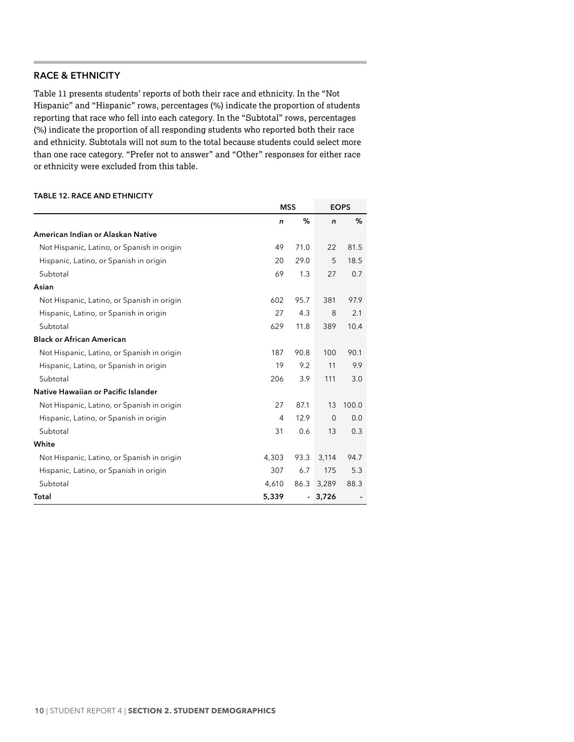### <span id="page-16-0"></span>**RACE & ETHNICITY**

Table 11 presents students' reports of both their race and ethnicity. In the "Not Hispanic" and "Hispanic" rows, percentages (%) indicate the proportion of students reporting that race who fell into each category. In the "Subtotal" rows, percentages (%) indicate the proportion of all responding students who reported both their race and ethnicity. Subtotals will not sum to the total because students could select more than one race category. "Prefer not to answer" and "Other" responses for either race or ethnicity were excluded from this table.

#### **Table 12. RACE AND ETHNICITY**

|                                            | <b>MSS</b>   |      |              | <b>EOPS</b> |
|--------------------------------------------|--------------|------|--------------|-------------|
|                                            | $\mathsf{n}$ | %    | $\mathsf{n}$ | %           |
| American Indian or Alaskan Native          |              |      |              |             |
| Not Hispanic, Latino, or Spanish in origin | 49           | 71.0 | 22           | 81.5        |
| Hispanic, Latino, or Spanish in origin     | 20           | 29.0 | 5            | 18.5        |
| Subtotal                                   | 69           | 1.3  | 27           | 0.7         |
| Asian                                      |              |      |              |             |
| Not Hispanic, Latino, or Spanish in origin | 602          | 95.7 | 381          | 97.9        |
| Hispanic, Latino, or Spanish in origin     | 27           | 4.3  | 8            | 2.1         |
| Subtotal                                   | 629          | 11.8 | 389          | 10.4        |
| <b>Black or African American</b>           |              |      |              |             |
| Not Hispanic, Latino, or Spanish in origin | 187          | 90.8 | 100          | 90.1        |
| Hispanic, Latino, or Spanish in origin     | 19           | 9.2  | 11           | 9.9         |
| Subtotal                                   | 206          | 3.9  | 111          | 3.0         |
| Native Hawaiian or Pacific Islander        |              |      |              |             |
| Not Hispanic, Latino, or Spanish in origin | 27           | 87.1 | 13           | 100.0       |
| Hispanic, Latino, or Spanish in origin     | 4            | 12.9 | $\Omega$     | 0.0         |
| Subtotal                                   | 31           | 0.6  | 13           | 0.3         |
| White                                      |              |      |              |             |
| Not Hispanic, Latino, or Spanish in origin | 4,303        | 93.3 | 3,114        | 94.7        |
| Hispanic, Latino, or Spanish in origin     | 307          | 6.7  | 175          | 5.3         |
| Subtotal                                   | 4,610        | 86.3 | 3,289        | 88.3        |
| Total                                      | 5,339        |      | 3,726        |             |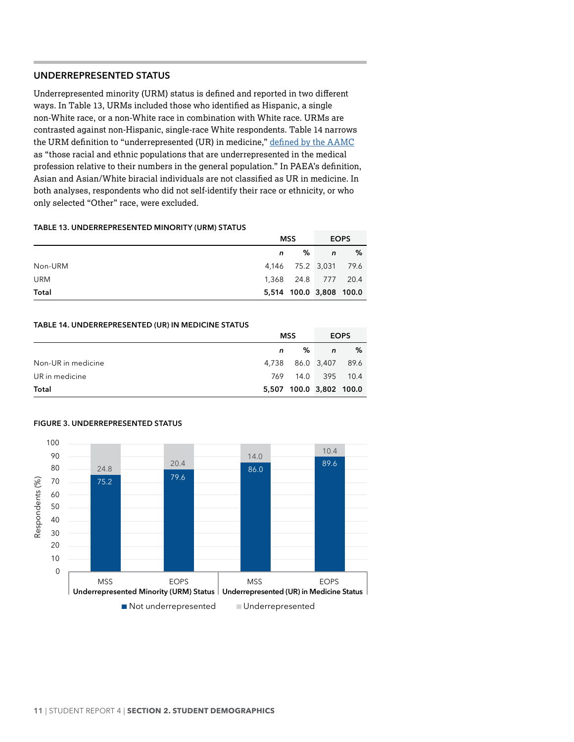# <span id="page-17-0"></span>**UNDERREPRESENTED STATUS**

Underrepresented minority (URM) status is defined and reported in two different ways. In Table 13, URMs included those who identified as Hispanic, a single non-White race, or a non-White race in combination with White race. URMs are contrasted against non-Hispanic, single-race White respondents. Table 14 narrows the URM definition to "underrepresented (UR) in medicine," [defined by the](https://www.aamc.org/initiatives/urm/) AAMC as "those racial and ethnic populations that are underrepresented in the medical profession relative to their numbers in the general population." In PAEA's definition, Asian and Asian/White biracial individuals are not classified as UR in medicine. In both analyses, respondents who did not self-identify their race or ethnicity, or who only selected "Other" race, were excluded.

#### **Table 13. UNDERREPRESENTED MINORITY (URM) STATUS**

|            |   | MSS                     | <b>EOPS</b> |   |
|------------|---|-------------------------|-------------|---|
|            | n | % ⊺                     | $\sqrt{n}$  | % |
| Non-URM    |   | 4,146 75.2 3,031 79.6   |             |   |
| <b>URM</b> |   | 1,368 24.8 777 20.4     |             |   |
| Total      |   | 5,514 100.0 3,808 100.0 |             |   |

#### **Table 14. UNDERREPRESENTED (UR) IN MEDICINE STATUS**

|                    |   | MSS                     | <b>EOPS</b> |   |
|--------------------|---|-------------------------|-------------|---|
|                    | n | ℅                       | n           | % |
| Non-UR in medicine |   | 4,738 86.0 3,407 89.6   |             |   |
| UR in medicine     |   | 769 14.0 395 10.4       |             |   |
| Total              |   | 5,507 100.0 3,802 100.0 |             |   |



### **Figure 3. UNDERREPRESENTED STATUS**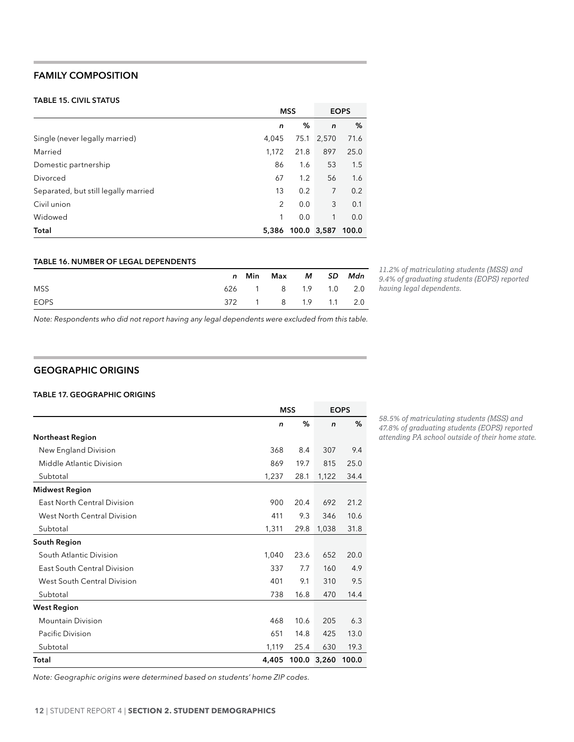# <span id="page-18-0"></span>**FAMILY COMPOSITION**

#### **Table 15. CIVIL STATUS**

|                                      |                | <b>MSS</b>  |              | <b>EOPS</b> |
|--------------------------------------|----------------|-------------|--------------|-------------|
|                                      | n              | %           | $\mathsf{n}$ | %           |
| Single (never legally married)       | 4.045          |             | 75.1 2,570   | 71.6        |
| Married                              | 1.172          | 21.8        | 897          | 25.0        |
| Domestic partnership                 | 86             | 1.6         | 53           | 1.5         |
| Divorced                             | 67             | 1.2         | 56           | 1.6         |
| Separated, but still legally married | 13             | 0.2         | 7            | 0.2         |
| Civil union                          | $\overline{2}$ | 0.0         | 3            | 0.1         |
| Widowed                              | 1              | 0.0         | $\mathbf{1}$ | 0.0         |
| Total                                | 5,386          | 100.0 3,587 |              | 100.0       |

#### **Table 16. NUMBER OF LEGAL DEPENDENTS**

|             |  | n Min Max M SD Mdn  |  |  |
|-------------|--|---------------------|--|--|
| <b>MSS</b>  |  | 626 1 8 1.9 1.0 2.0 |  |  |
| <b>EOPS</b> |  | 372 1 8 1.9 1.1 2.0 |  |  |

*11.2% of matriculating students (MSS) and 9.4% of graduating students (EOPS) reported having legal dependents.*

*Note: Respondents who did not report having any legal dependents were excluded from this table.*

# **GEOGRAPHIC ORIGINS**

#### **Table 17. GEOGRAPHIC ORIGINS**

|                                    |       | <b>MSS</b> |              | <b>EOPS</b> |
|------------------------------------|-------|------------|--------------|-------------|
|                                    | n     | %          | $\mathsf{n}$ | %           |
| <b>Northeast Region</b>            |       |            |              |             |
| New England Division               | 368   | 8.4        | 307          | 9.4         |
| Middle Atlantic Division           | 869   | 19.7       | 815          | 25.0        |
| Subtotal                           | 1,237 | 28.1       | 1,122        | 34.4        |
| <b>Midwest Region</b>              |       |            |              |             |
| <b>East North Central Division</b> | 900   | 20.4       | 692          | 21.2        |
| West North Central Division        | 411   | 9.3        | 346          | 10.6        |
| Subtotal                           | 1,311 | 29.8       | 1,038        | 31.8        |
| South Region                       |       |            |              |             |
| South Atlantic Division            | 1,040 | 23.6       | 652          | 20.0        |
| East South Central Division        | 337   | 7.7        | 160          | 4.9         |
| West South Central Division        | 401   | 9.1        | 310          | 9.5         |
| Subtotal                           | 738   | 16.8       | 470          | 14.4        |
| <b>West Region</b>                 |       |            |              |             |
| <b>Mountain Division</b>           | 468   | 10.6       | 205          | 6.3         |
| Pacific Division                   | 651   | 14.8       | 425          | 13.0        |
| Subtotal                           | 1,119 | 25.4       | 630          | 19.3        |
| Total                              | 4,405 |            | 100.0 3,260  | 100.0       |

*58.5% of matriculating students (MSS) and 47.8% of graduating students (EOPS) reported attending PA school outside of their home state.*

*Note: Geographic origins were determined based on students' home ZIP codes.*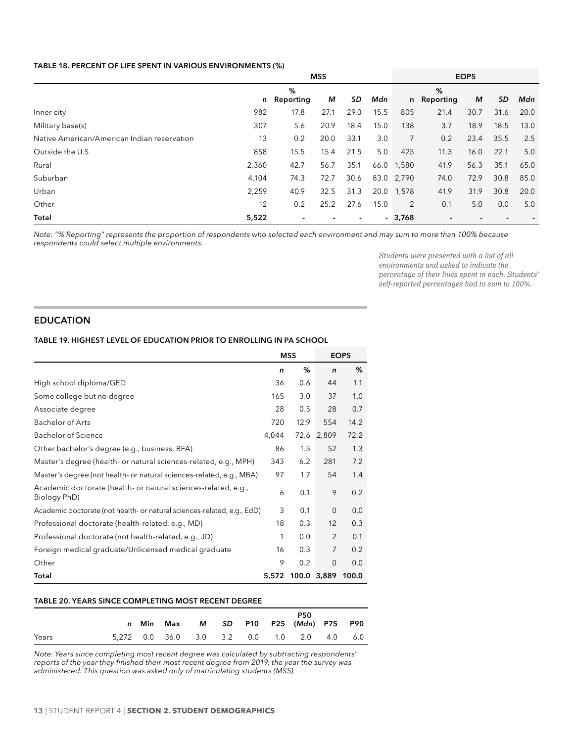#### <span id="page-19-0"></span>**Table 18. PERCENT OF LIFE SPENT IN VARIOUS ENVIRONMENTS (%)**

|                                             | <b>MSS</b> |                  |                |                |      |                | <b>EOPS</b>      |      |      |      |  |
|---------------------------------------------|------------|------------------|----------------|----------------|------|----------------|------------------|------|------|------|--|
|                                             |            | %<br>n Reporting | М              | SD             | Mdn  |                | %<br>n Reporting | М    | SD   | Mdn  |  |
| Inner city                                  | 982        | 17.8             | 27.1           | 29.0           | 15.5 | 805            | 21.4             | 30.7 | 31.6 | 20.0 |  |
| Military base(s)                            | 307        | 5.6              | 20.9           | 18.4           | 15.0 | 138            | 3.7              | 18.9 | 18.5 | 13.0 |  |
| Native American/American Indian reservation | 13         | 0.2              | 20.0           | 33.1           | 3.0  | $\overline{7}$ | 0.2              | 23.4 | 35.5 | 2.5  |  |
| Outside the U.S.                            | 858        | 15.5             | 15.4           | 21.5           | 5.0  | 425            | 11.3             | 16.0 | 22.1 | 5.0  |  |
| Rural                                       | 2,360      | 42.7             | 56.7           | 35.1           |      | 66.0 1,580     | 41.9             | 56.3 | 35.1 | 65.0 |  |
| Suburban                                    | 4,104      | 74.3             | 72.7           | 30.6           |      | 83.0 2,790     | 74.0             | 72.9 | 30.8 | 85.0 |  |
| Urban                                       | 2,259      | 40.9             | 32.5           | 31.3           | 20.0 | 1,578          | 41.9             | 31.9 | 30.8 | 20.0 |  |
| Other                                       | 12         | 0.2              | 25.2           | 27.6           | 15.0 | 2              | 0.1              | 5.0  | 0.0  | 5.0  |  |
| Total                                       | 5,522      |                  | $\blacksquare$ | $\blacksquare$ |      | $-3,768$       |                  |      |      |      |  |

*Note: "% Reporting" represents the proportion of respondents who selected each environment and may sum to more than 100% because respondents could select multiple environments.*

> *Students were presented with a list of all environments and asked to indicate the percentage of their lives spent in each. Students' self-reported percentages had to sum to 100%.*

# **EDUCATION**

### **Table 19. HIGHEST LEVEL OF EDUCATION PRIOR TO ENROLLING IN PA SCHOOL**

|                                                                                |       | <b>MSS</b> |                | <b>EOPS</b> |
|--------------------------------------------------------------------------------|-------|------------|----------------|-------------|
|                                                                                | n     | %          | $\mathsf{n}$   | %           |
| High school diploma/GED                                                        | 36    | 0.6        | 44             | 1.1         |
| Some college but no degree                                                     | 165   | 3.0        | 37             | 1.0         |
| Associate degree                                                               | 28    | 0.5        | 28             | 0.7         |
| <b>Bachelor of Arts</b>                                                        | 720   | 12.9       | 554            | 14.2        |
| <b>Bachelor of Science</b>                                                     | 4,044 | 72.6       | 2,809          | 72.2        |
| Other bachelor's degree (e.g., business, BFA)                                  | 86    | 1.5        | 52             | 1.3         |
| Master's degree (health- or natural sciences-related, e.g., MPH)               | 343   | 6.2        | 281            | 7.2         |
| Master's degree (not health- or natural sciences-related, e.g., MBA)           | 97    | 1.7        | 54             | 1.4         |
| Academic doctorate (health- or natural sciences-related, e.g.,<br>Biology PhD) | 6     | 0.1        | 9              | 0.2         |
| Academic doctorate (not health- or natural sciences-related, e.g., EdD)        | 3     | 0.1        | $\mathbf{0}$   | 0.0         |
| Professional doctorate (health-related, e.g., MD)                              | 18    | 0.3        | 12             | 0.3         |
| Professional doctorate (not health-related, e.g., JD)                          | 1     | 0.0        | $\overline{2}$ | 0.1         |
| Foreign medical graduate/Unlicensed medical graduate                           | 16    | 0.3        | 7              | 0.2         |
| Other                                                                          | 9     | 0.2        | $\mathbf{0}$   | 0.0         |
| Total                                                                          | 5,572 |            | 100.0 3,889    | 100.0       |

#### **Table 20. YEARS SINCE COMPLETING MOST RECENT DEGREE**

|       |  |  |  | <b>P50</b><br>n Min Max M SD P10 P25 (Mdn) P75 P90 |  |
|-------|--|--|--|----------------------------------------------------|--|
| Years |  |  |  | 5.272 0.0 36.0 3.0 3.2 0.0 1.0 2.0 4.0 6.0         |  |

*Note: Years since completing most recent degree was calculated by subtracting respondents' reports of the year they finished their most recent degree from 2019, the year the survey was administered. This question was asked only of matriculating students (MSS).*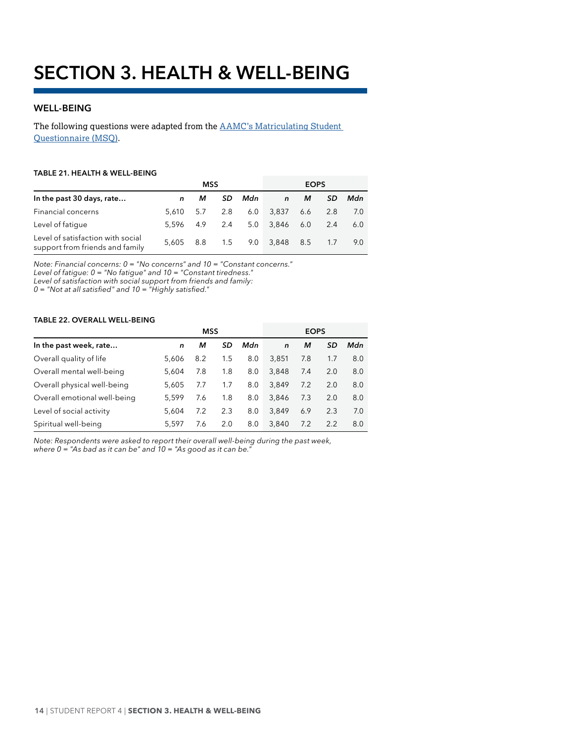# <span id="page-20-0"></span>**WELL-BEING**

The following questions were adapted from the AAMC's Matriculating Student [Questionnaire \(MSQ\).](https://www.aamc.org/data/msq/)

#### **Table 21. HEALTH & WELL-BEING**

|                                                                      |               | MSS |     | <b>EOPS</b> |              |     |           |     |
|----------------------------------------------------------------------|---------------|-----|-----|-------------|--------------|-----|-----------|-----|
| In the past 30 days, rate                                            | n             | м   | SD. | Mdn         | $\mathsf{n}$ | М   | <b>SD</b> | Mdn |
| Financial concerns                                                   | 5.610         | 5.7 | 2.8 | 6.0         | 3,837        | 6.6 | 2.8       | 7.0 |
| Level of fatique                                                     | 5.596 4.9 2.4 |     |     | 5.0         | 3,846 6.0    |     | 2.4       | 6.0 |
| Level of satisfaction with social<br>support from friends and family | 5.605 8.8     |     | 1.5 |             | 9.0 3,848    | 8.5 | 1.7       | 9.0 |

*Note: Financial concerns: 0 = "No concerns" and 10 = "Constant concerns."*

*Level of fatigue: 0 = "No fatigue" and 10 = "Constant tiredness."*

*Level of satisfaction with social support from friends and family:* 

*0 = "Not at all satisfied" and 10 = "Highly satisfied."*

### **Table 22. OVERALL WELL-BEING**

|                              |       | <b>MSS</b> |     | <b>EOPS</b> |             |     |     |     |
|------------------------------|-------|------------|-----|-------------|-------------|-----|-----|-----|
| In the past week, rate       | n     | м          | SD  | Mdn         | $\mathbf n$ | м   | SD  | Mdn |
| Overall quality of life      | 5.606 | 8.2        | 1.5 | 8.0         | 3,851       | 7.8 | 1.7 | 8.0 |
| Overall mental well-being    | 5.604 | 7.8        | 1.8 | 8.0         | 3.848       | 7.4 | 2.0 | 8.0 |
| Overall physical well-being  | 5.605 | 7.7        | 1.7 | 8.0         | 3.849       | 7.2 | 2.0 | 8.0 |
| Overall emotional well-being | 5,599 | 7.6        | 1.8 | 8.0         | 3.846       | 7.3 | 2.0 | 8.0 |
| Level of social activity     | 5.604 | 7.2        | 2.3 | 8.0         | 3.849       | 6.9 | 2.3 | 7.0 |
| Spiritual well-being         | 5,597 | 7.6        | 2.0 | 8.0         | 3.840       | 7.2 | 2.2 | 8.0 |

*Note: Respondents were asked to report their overall well-being during the past week, where 0 = "As bad as it can be" and 10 = "As good as it can be."*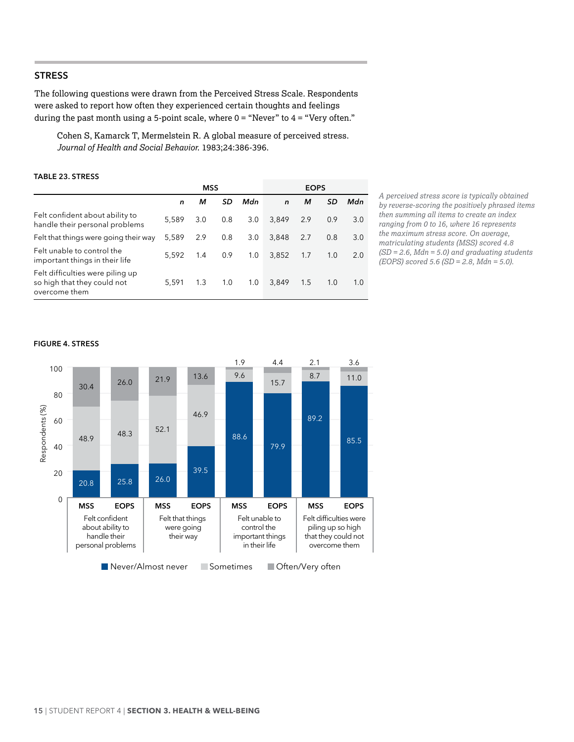# <span id="page-21-0"></span>**STRESS**

The following questions were drawn from the Perceived Stress Scale. Respondents were asked to report how often they experienced certain thoughts and feelings during the past month using a 5-point scale, where  $0 =$  "Never" to  $4 =$  "Very often."

Cohen S, Kamarck T, Mermelstein R. A global measure of perceived stress. *Journal of Health and Social Behavior*. 1983;24:386-396.

### **Table 23. STRESS**

|                                                                                  | <b>MSS</b>  |     |           |     |             |     |     |     |
|----------------------------------------------------------------------------------|-------------|-----|-----------|-----|-------------|-----|-----|-----|
|                                                                                  | $\mathbf n$ | м   | <b>SD</b> | Mdn | $\mathbf n$ | м   | SD  | Mdn |
| Felt confident about ability to<br>handle their personal problems                | 5.589       | 3.0 | 0.8       | 3.0 | 3.849       | 2.9 | 0.9 | 3.0 |
| Felt that things were going their way                                            | 5,589       | 2.9 | 0.8       | 3.0 | 3.848       | 2.7 | 0.8 | 3.0 |
| Felt unable to control the<br>important things in their life                     | 5.592       | 1.4 | 0.9       | 1.0 | 3,852       | 1.7 | 1.0 | 2.0 |
| Felt difficulties were piling up<br>so high that they could not<br>overcome them | 5,591       | 1.3 | 1.0       | 1.0 | 3,849       | 1.5 | 1.0 | 1.0 |

*A perceived stress score is typically obtained by reverse-scoring the positively phrased items then summing all items to create an index ranging from 0 to 16, where 16 represents the maximum stress score. On average, matriculating students (MSS) scored 4.8 (SD = 2.6, Mdn = 5.0) and graduating students (EOPS) scored 5.6 (SD = 2.8, Mdn = 5.0).*

#### **Figure 4. STRESS**

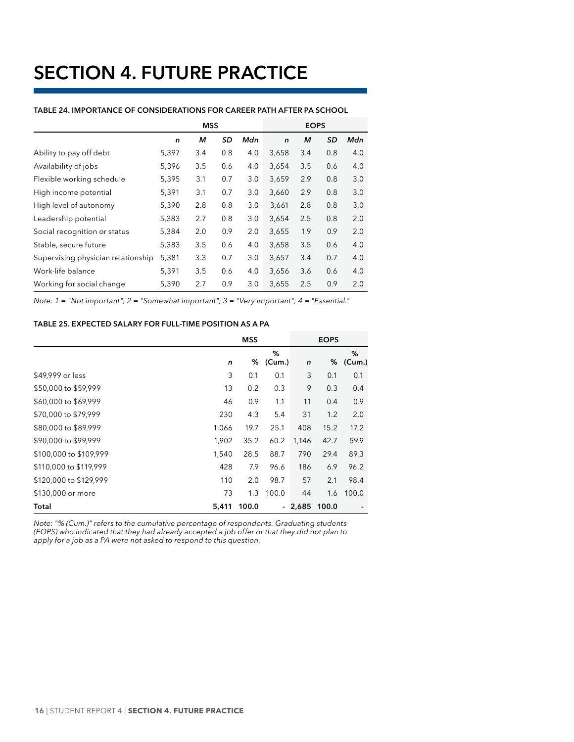# <span id="page-22-0"></span>**SECTION 4. FUTURE PRACTICE**

|                                    | <b>MSS</b> |     |     |     | <b>EOPS</b>  |     |     |     |
|------------------------------------|------------|-----|-----|-----|--------------|-----|-----|-----|
|                                    | n          | м   | SD  | Mdn | $\mathsf{n}$ | м   | SD  | Mdn |
| Ability to pay off debt            | 5,397      | 3.4 | 0.8 | 4.0 | 3,658        | 3.4 | 0.8 | 4.0 |
| Availability of jobs               | 5,396      | 3.5 | 0.6 | 4.0 | 3,654        | 3.5 | 0.6 | 4.0 |
| Flexible working schedule          | 5,395      | 3.1 | 0.7 | 3.0 | 3,659        | 2.9 | 0.8 | 3.0 |
| High income potential              | 5,391      | 3.1 | 0.7 | 3.0 | 3,660        | 2.9 | 0.8 | 3.0 |
| High level of autonomy             | 5,390      | 2.8 | 0.8 | 3.0 | 3,661        | 2.8 | 0.8 | 3.0 |
| Leadership potential               | 5,383      | 2.7 | 0.8 | 3.0 | 3,654        | 2.5 | 0.8 | 2.0 |
| Social recognition or status       | 5,384      | 2.0 | 0.9 | 2.0 | 3,655        | 1.9 | 0.9 | 2.0 |
| Stable, secure future              | 5,383      | 3.5 | 0.6 | 4.0 | 3,658        | 3.5 | 0.6 | 4.0 |
| Supervising physician relationship | 5,381      | 3.3 | 0.7 | 3.0 | 3,657        | 3.4 | 0.7 | 4.0 |
| Work-life balance                  | 5,391      | 3.5 | 0.6 | 4.0 | 3,656        | 3.6 | 0.6 | 4.0 |
| Working for social change          | 5,390      | 2.7 | 0.9 | 3.0 | 3,655        | 2.5 | 0.9 | 2.0 |

#### **Table 24. IMPORTANCE OF CONSIDERATIONS FOR CAREER PATH AFTER PA SCHOOL**

*Note: 1 = "Not important"; 2 = "Somewhat important"; 3 = "Very important"; 4 = "Essential."*

# **Table 25. EXPECTED SALARY FOR FULL-TIME POSITION AS A PA**

|                        |       | <b>MSS</b> |             |         | <b>EOPS</b> |             |
|------------------------|-------|------------|-------------|---------|-------------|-------------|
|                        | n     | %          | %<br>(Cum.) | n       | %           | %<br>(Cum.) |
| \$49,999 or less       | 3     | 0.1        | 0.1         | 3       | 0.1         | 0.1         |
| \$50,000 to \$59,999   | 13    | 0.2        | 0.3         | 9       | 0.3         | 0.4         |
| \$60,000 to \$69,999   | 46    | 0.9        | 1.1         | 11      | 0.4         | 0.9         |
| \$70,000 to \$79,999   | 230   | 4.3        | 5.4         | 31      | 1.2         | 2.0         |
| \$80,000 to \$89,999   | 1,066 | 19.7       | 25.1        | 408     | 15.2        | 17.2        |
| \$90,000 to \$99,999   | 1,902 | 35.2       | 60.2        | 1,146   | 42.7        | 59.9        |
| \$100,000 to \$109,999 | 1,540 | 28.5       | 88.7        | 790     | 29.4        | 89.3        |
| \$110,000 to \$119,999 | 428   | 7.9        | 96.6        | 186     | 6.9         | 96.2        |
| \$120,000 to \$129,999 | 110   | 2.0        | 98.7        | 57      | 2.1         | 98.4        |
| \$130,000 or more      | 73    | 1.3        | 100.0       | 44      | 1.6         | 100.0       |
| Total                  | 5,411 | 100.0      |             | - 2,685 | 100.0       |             |

*Note: "% (Cum.)" refers to the cumulative percentage of respondents. Graduating students (EOPS) who indicated that they had already accepted a job offer or that they did not plan to apply for a job as a PA were not asked to respond to this question.*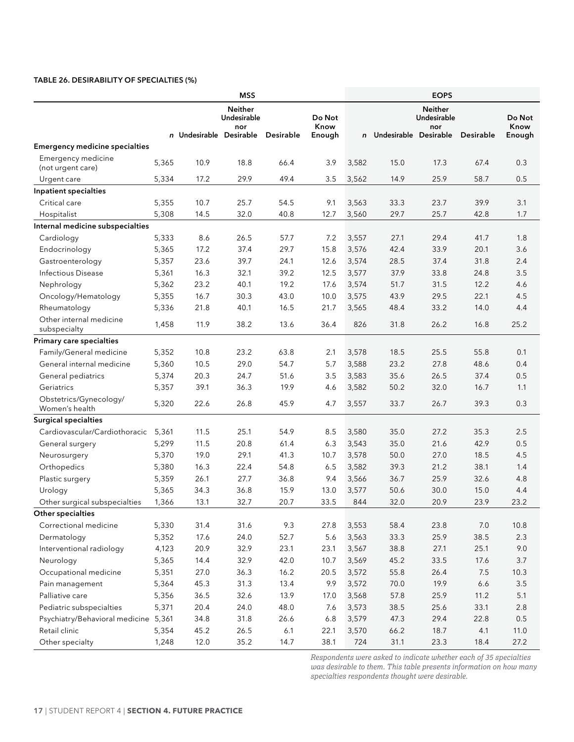### <span id="page-23-0"></span>**Table 26. DESIRABILITY OF SPECIALTIES (%)**

| <b>Neither</b><br><b>Neither</b><br>Undesirable<br>Do Not<br>Undesirable<br>Do Not<br>Know<br>Know<br>nor<br>nor<br>n Undesirable Desirable<br>Desirable<br>Undesirable Desirable<br>Desirable<br>Enough<br>Enough<br>$\mathsf{n}$<br><b>Emergency medicine specialties</b><br>Emergency medicine<br>10.9<br>18.8<br>66.4<br>3.9<br>3,582<br>15.0<br>17.3<br>67.4<br>0.3<br>5,365<br>(not urgent care)<br>17.2<br>29.9<br>49.4<br>3.5<br>14.9<br>25.9<br>58.7<br>0.5<br>5,334<br>3,562<br>Urgent care<br>Inpatient specialties<br>Critical care<br>10.7<br>25.7<br>33.3<br>23.7<br>3.1<br>5,355<br>54.5<br>9.1<br>3,563<br>39.9<br>14.5<br>32.0<br>40.8<br>12.7<br>29.7<br>25.7<br>42.8<br>Hospitalist<br>5,308<br>3,560<br>1.7<br>Internal medicine subspecialties<br>8.6<br>26.5<br>57.7<br>Cardiology<br>5,333<br>7.2<br>3,557<br>27.1<br>29.4<br>41.7<br>1.8<br>17.2<br>37.4<br>29.7<br>15.8<br>3,576<br>42.4<br>33.9<br>20.1<br>3.6<br>Endocrinology<br>5,365<br>28.5<br>39.7<br>24.1<br>3,574<br>37.4<br>31.8<br>2.4<br>Gastroenterology<br>5,357<br>23.6<br>12.6<br><b>Infectious Disease</b><br>16.3<br>32.1<br>39.2<br>12.5<br>3,577<br>37.9<br>33.8<br>3.5<br>5,361<br>24.8<br>23.2<br>40.1<br>19.2<br>3,574<br>51.7<br>12.2<br>4.6<br>Nephrology<br>5,362<br>17.6<br>31.5<br>16.7<br>30.3<br>43.0<br>3,575<br>43.9<br>29.5<br>22.1<br>4.5<br>Oncology/Hematology<br>5,355<br>10.0<br>Rheumatology<br>5,336<br>21.8<br>40.1<br>16.5<br>21.7<br>3,565<br>48.4<br>33.2<br>14.0<br>4.4<br>Other internal medicine<br>1,458<br>11.9<br>38.2<br>13.6<br>36.4<br>826<br>31.8<br>26.2<br>16.8<br>25.2<br>subspecialty<br>Primary care specialties<br>Family/General medicine<br>5,352<br>10.8<br>23.2<br>63.8<br>2.1<br>3,578<br>18.5<br>25.5<br>55.8<br>0.1<br>General internal medicine<br>54.7<br>5.7<br>23.2<br>27.8<br>5,360<br>10.5<br>29.0<br>3,588<br>48.6<br>0.4<br>20.3<br>24.7<br>51.6<br>3.5<br>3,583<br>35.6<br>26.5<br>0.5<br>General pediatrics<br>5,374<br>37.4<br>5,357<br>39.1<br>36.3<br>19.9<br>3,582<br>50.2<br>32.0<br>Geriatrics<br>4.6<br>16.7<br>1.1<br>Obstetrics/Gynecology/<br>5,320<br>22.6<br>45.9<br>33.7<br>26.7<br>39.3<br>0.3<br>26.8<br>4.7<br>3,557<br>Women's health<br><b>Surgical specialties</b><br>Cardiovascular/Cardiothoracic<br>25.1<br>54.9<br>35.0<br>5,361<br>11.5<br>8.5<br>3,580<br>27.2<br>35.3<br>2.5<br>5,299<br>11.5<br>20.8<br>61.4<br>6.3<br>3,543<br>35.0<br>21.6<br>42.9<br>0.5<br>General surgery<br>29.1<br>41.3<br>3,578<br>50.0<br>4.5<br>5,370<br>19.0<br>10.7<br>27.0<br>18.5<br>Neurosurgery<br>16.3<br>22.4<br>54.8<br>6.5<br>3,582<br>39.3<br>21.2<br>38.1<br>Orthopedics<br>5,380<br>1.4<br>27.7<br>36.7<br>25.9<br>4.8<br>Plastic surgery<br>5,359<br>26.1<br>36.8<br>9.4<br>3,566<br>32.6<br>Urology<br>5,365<br>34.3<br>36.8<br>15.9<br>3,577<br>50.6<br>30.0<br>15.0<br>4.4<br>13.0<br>20.7<br>33.5<br>23.2<br>1,366<br>13.1<br>32.7<br>844<br>32.0<br>20.9<br>23.9<br>Other surgical subspecialties<br>Other specialties<br>9.3<br>Correctional medicine<br>5,330<br>31.4<br>31.6<br>27.8<br>3,553<br>58.4<br>23.8<br>7.0<br>10.8<br>52.7<br>33.3<br>Dermatology<br>5,352<br>17.6<br>24.0<br>5.6<br>3,563<br>25.9<br>38.5<br>2.3<br>Interventional radiology<br>4,123<br>20.9<br>32.9<br>23.1<br>23.1<br>3,567<br>38.8<br>27.1<br>25.1<br>9.0<br>Neurology<br>5,365<br>14.4<br>32.9<br>42.0<br>10.7<br>3,569<br>45.2<br>33.5<br>3.7<br>17.6<br>Occupational medicine<br>36.3<br>16.2<br>3,572<br>55.8<br>26.4<br>7.5<br>10.3<br>5,351<br>27.0<br>20.5<br>5,364<br>45.3<br>31.3<br>13.4<br>9.9<br>3,572<br>70.0<br>19.9<br>6.6<br>$3.5$<br>Pain management<br>Palliative care<br>5,356<br>32.6<br>13.9<br>17.0<br>3,568<br>57.8<br>25.9<br>11.2<br>5.1<br>36.5<br>Pediatric subspecialties<br>5,371<br>20.4<br>24.0<br>48.0<br>7.6<br>3,573<br>38.5<br>25.6<br>33.1<br>2.8<br>Psychiatry/Behavioral medicine 5,361<br>31.8<br>26.6<br>6.8<br>3,579<br>47.3<br>29.4<br>22.8<br>$0.5\,$<br>34.8<br>26.5<br>6.1<br>22.1<br>3,570<br>66.2<br>18.7<br>4.1<br>11.0<br>Retail clinic<br>5,354<br>45.2<br>1,248 |                 | <b>MSS</b> |      |      |      |      |     | <b>EOPS</b> |      |      |      |  |  |  |
|------------------------------------------------------------------------------------------------------------------------------------------------------------------------------------------------------------------------------------------------------------------------------------------------------------------------------------------------------------------------------------------------------------------------------------------------------------------------------------------------------------------------------------------------------------------------------------------------------------------------------------------------------------------------------------------------------------------------------------------------------------------------------------------------------------------------------------------------------------------------------------------------------------------------------------------------------------------------------------------------------------------------------------------------------------------------------------------------------------------------------------------------------------------------------------------------------------------------------------------------------------------------------------------------------------------------------------------------------------------------------------------------------------------------------------------------------------------------------------------------------------------------------------------------------------------------------------------------------------------------------------------------------------------------------------------------------------------------------------------------------------------------------------------------------------------------------------------------------------------------------------------------------------------------------------------------------------------------------------------------------------------------------------------------------------------------------------------------------------------------------------------------------------------------------------------------------------------------------------------------------------------------------------------------------------------------------------------------------------------------------------------------------------------------------------------------------------------------------------------------------------------------------------------------------------------------------------------------------------------------------------------------------------------------------------------------------------------------------------------------------------------------------------------------------------------------------------------------------------------------------------------------------------------------------------------------------------------------------------------------------------------------------------------------------------------------------------------------------------------------------------------------------------------------------------------------------------------------------------------------------------------------------------------------------------------------------------------------------------------------------------------------------------------------------------------------------------------------------------------------------------------------------------------------------------------------------------------------------------------------------------------------------------------------------------------------------------------------------------------------------------------------------------------------------------------------------------------------------------------------------------------------------------------------------------------------------------------------------------------------------------------------------------------------------------------------------------|-----------------|------------|------|------|------|------|-----|-------------|------|------|------|--|--|--|
|                                                                                                                                                                                                                                                                                                                                                                                                                                                                                                                                                                                                                                                                                                                                                                                                                                                                                                                                                                                                                                                                                                                                                                                                                                                                                                                                                                                                                                                                                                                                                                                                                                                                                                                                                                                                                                                                                                                                                                                                                                                                                                                                                                                                                                                                                                                                                                                                                                                                                                                                                                                                                                                                                                                                                                                                                                                                                                                                                                                                                                                                                                                                                                                                                                                                                                                                                                                                                                                                                                                                                                                                                                                                                                                                                                                                                                                                                                                                                                                                                                                                                    |                 |            |      |      |      |      |     |             |      |      |      |  |  |  |
|                                                                                                                                                                                                                                                                                                                                                                                                                                                                                                                                                                                                                                                                                                                                                                                                                                                                                                                                                                                                                                                                                                                                                                                                                                                                                                                                                                                                                                                                                                                                                                                                                                                                                                                                                                                                                                                                                                                                                                                                                                                                                                                                                                                                                                                                                                                                                                                                                                                                                                                                                                                                                                                                                                                                                                                                                                                                                                                                                                                                                                                                                                                                                                                                                                                                                                                                                                                                                                                                                                                                                                                                                                                                                                                                                                                                                                                                                                                                                                                                                                                                                    |                 |            |      |      |      |      |     |             |      |      |      |  |  |  |
|                                                                                                                                                                                                                                                                                                                                                                                                                                                                                                                                                                                                                                                                                                                                                                                                                                                                                                                                                                                                                                                                                                                                                                                                                                                                                                                                                                                                                                                                                                                                                                                                                                                                                                                                                                                                                                                                                                                                                                                                                                                                                                                                                                                                                                                                                                                                                                                                                                                                                                                                                                                                                                                                                                                                                                                                                                                                                                                                                                                                                                                                                                                                                                                                                                                                                                                                                                                                                                                                                                                                                                                                                                                                                                                                                                                                                                                                                                                                                                                                                                                                                    |                 |            |      |      |      |      |     |             |      |      |      |  |  |  |
|                                                                                                                                                                                                                                                                                                                                                                                                                                                                                                                                                                                                                                                                                                                                                                                                                                                                                                                                                                                                                                                                                                                                                                                                                                                                                                                                                                                                                                                                                                                                                                                                                                                                                                                                                                                                                                                                                                                                                                                                                                                                                                                                                                                                                                                                                                                                                                                                                                                                                                                                                                                                                                                                                                                                                                                                                                                                                                                                                                                                                                                                                                                                                                                                                                                                                                                                                                                                                                                                                                                                                                                                                                                                                                                                                                                                                                                                                                                                                                                                                                                                                    |                 |            |      |      |      |      |     |             |      |      |      |  |  |  |
|                                                                                                                                                                                                                                                                                                                                                                                                                                                                                                                                                                                                                                                                                                                                                                                                                                                                                                                                                                                                                                                                                                                                                                                                                                                                                                                                                                                                                                                                                                                                                                                                                                                                                                                                                                                                                                                                                                                                                                                                                                                                                                                                                                                                                                                                                                                                                                                                                                                                                                                                                                                                                                                                                                                                                                                                                                                                                                                                                                                                                                                                                                                                                                                                                                                                                                                                                                                                                                                                                                                                                                                                                                                                                                                                                                                                                                                                                                                                                                                                                                                                                    |                 |            |      |      |      |      |     |             |      |      |      |  |  |  |
|                                                                                                                                                                                                                                                                                                                                                                                                                                                                                                                                                                                                                                                                                                                                                                                                                                                                                                                                                                                                                                                                                                                                                                                                                                                                                                                                                                                                                                                                                                                                                                                                                                                                                                                                                                                                                                                                                                                                                                                                                                                                                                                                                                                                                                                                                                                                                                                                                                                                                                                                                                                                                                                                                                                                                                                                                                                                                                                                                                                                                                                                                                                                                                                                                                                                                                                                                                                                                                                                                                                                                                                                                                                                                                                                                                                                                                                                                                                                                                                                                                                                                    |                 |            |      |      |      |      |     |             |      |      |      |  |  |  |
|                                                                                                                                                                                                                                                                                                                                                                                                                                                                                                                                                                                                                                                                                                                                                                                                                                                                                                                                                                                                                                                                                                                                                                                                                                                                                                                                                                                                                                                                                                                                                                                                                                                                                                                                                                                                                                                                                                                                                                                                                                                                                                                                                                                                                                                                                                                                                                                                                                                                                                                                                                                                                                                                                                                                                                                                                                                                                                                                                                                                                                                                                                                                                                                                                                                                                                                                                                                                                                                                                                                                                                                                                                                                                                                                                                                                                                                                                                                                                                                                                                                                                    |                 |            |      |      |      |      |     |             |      |      |      |  |  |  |
|                                                                                                                                                                                                                                                                                                                                                                                                                                                                                                                                                                                                                                                                                                                                                                                                                                                                                                                                                                                                                                                                                                                                                                                                                                                                                                                                                                                                                                                                                                                                                                                                                                                                                                                                                                                                                                                                                                                                                                                                                                                                                                                                                                                                                                                                                                                                                                                                                                                                                                                                                                                                                                                                                                                                                                                                                                                                                                                                                                                                                                                                                                                                                                                                                                                                                                                                                                                                                                                                                                                                                                                                                                                                                                                                                                                                                                                                                                                                                                                                                                                                                    |                 |            |      |      |      |      |     |             |      |      |      |  |  |  |
|                                                                                                                                                                                                                                                                                                                                                                                                                                                                                                                                                                                                                                                                                                                                                                                                                                                                                                                                                                                                                                                                                                                                                                                                                                                                                                                                                                                                                                                                                                                                                                                                                                                                                                                                                                                                                                                                                                                                                                                                                                                                                                                                                                                                                                                                                                                                                                                                                                                                                                                                                                                                                                                                                                                                                                                                                                                                                                                                                                                                                                                                                                                                                                                                                                                                                                                                                                                                                                                                                                                                                                                                                                                                                                                                                                                                                                                                                                                                                                                                                                                                                    |                 |            |      |      |      |      |     |             |      |      |      |  |  |  |
|                                                                                                                                                                                                                                                                                                                                                                                                                                                                                                                                                                                                                                                                                                                                                                                                                                                                                                                                                                                                                                                                                                                                                                                                                                                                                                                                                                                                                                                                                                                                                                                                                                                                                                                                                                                                                                                                                                                                                                                                                                                                                                                                                                                                                                                                                                                                                                                                                                                                                                                                                                                                                                                                                                                                                                                                                                                                                                                                                                                                                                                                                                                                                                                                                                                                                                                                                                                                                                                                                                                                                                                                                                                                                                                                                                                                                                                                                                                                                                                                                                                                                    |                 |            |      |      |      |      |     |             |      |      |      |  |  |  |
|                                                                                                                                                                                                                                                                                                                                                                                                                                                                                                                                                                                                                                                                                                                                                                                                                                                                                                                                                                                                                                                                                                                                                                                                                                                                                                                                                                                                                                                                                                                                                                                                                                                                                                                                                                                                                                                                                                                                                                                                                                                                                                                                                                                                                                                                                                                                                                                                                                                                                                                                                                                                                                                                                                                                                                                                                                                                                                                                                                                                                                                                                                                                                                                                                                                                                                                                                                                                                                                                                                                                                                                                                                                                                                                                                                                                                                                                                                                                                                                                                                                                                    |                 |            |      |      |      |      |     |             |      |      |      |  |  |  |
|                                                                                                                                                                                                                                                                                                                                                                                                                                                                                                                                                                                                                                                                                                                                                                                                                                                                                                                                                                                                                                                                                                                                                                                                                                                                                                                                                                                                                                                                                                                                                                                                                                                                                                                                                                                                                                                                                                                                                                                                                                                                                                                                                                                                                                                                                                                                                                                                                                                                                                                                                                                                                                                                                                                                                                                                                                                                                                                                                                                                                                                                                                                                                                                                                                                                                                                                                                                                                                                                                                                                                                                                                                                                                                                                                                                                                                                                                                                                                                                                                                                                                    |                 |            |      |      |      |      |     |             |      |      |      |  |  |  |
|                                                                                                                                                                                                                                                                                                                                                                                                                                                                                                                                                                                                                                                                                                                                                                                                                                                                                                                                                                                                                                                                                                                                                                                                                                                                                                                                                                                                                                                                                                                                                                                                                                                                                                                                                                                                                                                                                                                                                                                                                                                                                                                                                                                                                                                                                                                                                                                                                                                                                                                                                                                                                                                                                                                                                                                                                                                                                                                                                                                                                                                                                                                                                                                                                                                                                                                                                                                                                                                                                                                                                                                                                                                                                                                                                                                                                                                                                                                                                                                                                                                                                    |                 |            |      |      |      |      |     |             |      |      |      |  |  |  |
|                                                                                                                                                                                                                                                                                                                                                                                                                                                                                                                                                                                                                                                                                                                                                                                                                                                                                                                                                                                                                                                                                                                                                                                                                                                                                                                                                                                                                                                                                                                                                                                                                                                                                                                                                                                                                                                                                                                                                                                                                                                                                                                                                                                                                                                                                                                                                                                                                                                                                                                                                                                                                                                                                                                                                                                                                                                                                                                                                                                                                                                                                                                                                                                                                                                                                                                                                                                                                                                                                                                                                                                                                                                                                                                                                                                                                                                                                                                                                                                                                                                                                    |                 |            |      |      |      |      |     |             |      |      |      |  |  |  |
|                                                                                                                                                                                                                                                                                                                                                                                                                                                                                                                                                                                                                                                                                                                                                                                                                                                                                                                                                                                                                                                                                                                                                                                                                                                                                                                                                                                                                                                                                                                                                                                                                                                                                                                                                                                                                                                                                                                                                                                                                                                                                                                                                                                                                                                                                                                                                                                                                                                                                                                                                                                                                                                                                                                                                                                                                                                                                                                                                                                                                                                                                                                                                                                                                                                                                                                                                                                                                                                                                                                                                                                                                                                                                                                                                                                                                                                                                                                                                                                                                                                                                    |                 |            |      |      |      |      |     |             |      |      |      |  |  |  |
|                                                                                                                                                                                                                                                                                                                                                                                                                                                                                                                                                                                                                                                                                                                                                                                                                                                                                                                                                                                                                                                                                                                                                                                                                                                                                                                                                                                                                                                                                                                                                                                                                                                                                                                                                                                                                                                                                                                                                                                                                                                                                                                                                                                                                                                                                                                                                                                                                                                                                                                                                                                                                                                                                                                                                                                                                                                                                                                                                                                                                                                                                                                                                                                                                                                                                                                                                                                                                                                                                                                                                                                                                                                                                                                                                                                                                                                                                                                                                                                                                                                                                    |                 |            |      |      |      |      |     |             |      |      |      |  |  |  |
|                                                                                                                                                                                                                                                                                                                                                                                                                                                                                                                                                                                                                                                                                                                                                                                                                                                                                                                                                                                                                                                                                                                                                                                                                                                                                                                                                                                                                                                                                                                                                                                                                                                                                                                                                                                                                                                                                                                                                                                                                                                                                                                                                                                                                                                                                                                                                                                                                                                                                                                                                                                                                                                                                                                                                                                                                                                                                                                                                                                                                                                                                                                                                                                                                                                                                                                                                                                                                                                                                                                                                                                                                                                                                                                                                                                                                                                                                                                                                                                                                                                                                    |                 |            |      |      |      |      |     |             |      |      |      |  |  |  |
|                                                                                                                                                                                                                                                                                                                                                                                                                                                                                                                                                                                                                                                                                                                                                                                                                                                                                                                                                                                                                                                                                                                                                                                                                                                                                                                                                                                                                                                                                                                                                                                                                                                                                                                                                                                                                                                                                                                                                                                                                                                                                                                                                                                                                                                                                                                                                                                                                                                                                                                                                                                                                                                                                                                                                                                                                                                                                                                                                                                                                                                                                                                                                                                                                                                                                                                                                                                                                                                                                                                                                                                                                                                                                                                                                                                                                                                                                                                                                                                                                                                                                    |                 |            |      |      |      |      |     |             |      |      |      |  |  |  |
|                                                                                                                                                                                                                                                                                                                                                                                                                                                                                                                                                                                                                                                                                                                                                                                                                                                                                                                                                                                                                                                                                                                                                                                                                                                                                                                                                                                                                                                                                                                                                                                                                                                                                                                                                                                                                                                                                                                                                                                                                                                                                                                                                                                                                                                                                                                                                                                                                                                                                                                                                                                                                                                                                                                                                                                                                                                                                                                                                                                                                                                                                                                                                                                                                                                                                                                                                                                                                                                                                                                                                                                                                                                                                                                                                                                                                                                                                                                                                                                                                                                                                    |                 |            |      |      |      |      |     |             |      |      |      |  |  |  |
|                                                                                                                                                                                                                                                                                                                                                                                                                                                                                                                                                                                                                                                                                                                                                                                                                                                                                                                                                                                                                                                                                                                                                                                                                                                                                                                                                                                                                                                                                                                                                                                                                                                                                                                                                                                                                                                                                                                                                                                                                                                                                                                                                                                                                                                                                                                                                                                                                                                                                                                                                                                                                                                                                                                                                                                                                                                                                                                                                                                                                                                                                                                                                                                                                                                                                                                                                                                                                                                                                                                                                                                                                                                                                                                                                                                                                                                                                                                                                                                                                                                                                    |                 |            |      |      |      |      |     |             |      |      |      |  |  |  |
|                                                                                                                                                                                                                                                                                                                                                                                                                                                                                                                                                                                                                                                                                                                                                                                                                                                                                                                                                                                                                                                                                                                                                                                                                                                                                                                                                                                                                                                                                                                                                                                                                                                                                                                                                                                                                                                                                                                                                                                                                                                                                                                                                                                                                                                                                                                                                                                                                                                                                                                                                                                                                                                                                                                                                                                                                                                                                                                                                                                                                                                                                                                                                                                                                                                                                                                                                                                                                                                                                                                                                                                                                                                                                                                                                                                                                                                                                                                                                                                                                                                                                    |                 |            |      |      |      |      |     |             |      |      |      |  |  |  |
|                                                                                                                                                                                                                                                                                                                                                                                                                                                                                                                                                                                                                                                                                                                                                                                                                                                                                                                                                                                                                                                                                                                                                                                                                                                                                                                                                                                                                                                                                                                                                                                                                                                                                                                                                                                                                                                                                                                                                                                                                                                                                                                                                                                                                                                                                                                                                                                                                                                                                                                                                                                                                                                                                                                                                                                                                                                                                                                                                                                                                                                                                                                                                                                                                                                                                                                                                                                                                                                                                                                                                                                                                                                                                                                                                                                                                                                                                                                                                                                                                                                                                    |                 |            |      |      |      |      |     |             |      |      |      |  |  |  |
|                                                                                                                                                                                                                                                                                                                                                                                                                                                                                                                                                                                                                                                                                                                                                                                                                                                                                                                                                                                                                                                                                                                                                                                                                                                                                                                                                                                                                                                                                                                                                                                                                                                                                                                                                                                                                                                                                                                                                                                                                                                                                                                                                                                                                                                                                                                                                                                                                                                                                                                                                                                                                                                                                                                                                                                                                                                                                                                                                                                                                                                                                                                                                                                                                                                                                                                                                                                                                                                                                                                                                                                                                                                                                                                                                                                                                                                                                                                                                                                                                                                                                    |                 |            |      |      |      |      |     |             |      |      |      |  |  |  |
|                                                                                                                                                                                                                                                                                                                                                                                                                                                                                                                                                                                                                                                                                                                                                                                                                                                                                                                                                                                                                                                                                                                                                                                                                                                                                                                                                                                                                                                                                                                                                                                                                                                                                                                                                                                                                                                                                                                                                                                                                                                                                                                                                                                                                                                                                                                                                                                                                                                                                                                                                                                                                                                                                                                                                                                                                                                                                                                                                                                                                                                                                                                                                                                                                                                                                                                                                                                                                                                                                                                                                                                                                                                                                                                                                                                                                                                                                                                                                                                                                                                                                    |                 |            |      |      |      |      |     |             |      |      |      |  |  |  |
|                                                                                                                                                                                                                                                                                                                                                                                                                                                                                                                                                                                                                                                                                                                                                                                                                                                                                                                                                                                                                                                                                                                                                                                                                                                                                                                                                                                                                                                                                                                                                                                                                                                                                                                                                                                                                                                                                                                                                                                                                                                                                                                                                                                                                                                                                                                                                                                                                                                                                                                                                                                                                                                                                                                                                                                                                                                                                                                                                                                                                                                                                                                                                                                                                                                                                                                                                                                                                                                                                                                                                                                                                                                                                                                                                                                                                                                                                                                                                                                                                                                                                    |                 |            |      |      |      |      |     |             |      |      |      |  |  |  |
|                                                                                                                                                                                                                                                                                                                                                                                                                                                                                                                                                                                                                                                                                                                                                                                                                                                                                                                                                                                                                                                                                                                                                                                                                                                                                                                                                                                                                                                                                                                                                                                                                                                                                                                                                                                                                                                                                                                                                                                                                                                                                                                                                                                                                                                                                                                                                                                                                                                                                                                                                                                                                                                                                                                                                                                                                                                                                                                                                                                                                                                                                                                                                                                                                                                                                                                                                                                                                                                                                                                                                                                                                                                                                                                                                                                                                                                                                                                                                                                                                                                                                    |                 |            |      |      |      |      |     |             |      |      |      |  |  |  |
|                                                                                                                                                                                                                                                                                                                                                                                                                                                                                                                                                                                                                                                                                                                                                                                                                                                                                                                                                                                                                                                                                                                                                                                                                                                                                                                                                                                                                                                                                                                                                                                                                                                                                                                                                                                                                                                                                                                                                                                                                                                                                                                                                                                                                                                                                                                                                                                                                                                                                                                                                                                                                                                                                                                                                                                                                                                                                                                                                                                                                                                                                                                                                                                                                                                                                                                                                                                                                                                                                                                                                                                                                                                                                                                                                                                                                                                                                                                                                                                                                                                                                    |                 |            |      |      |      |      |     |             |      |      |      |  |  |  |
|                                                                                                                                                                                                                                                                                                                                                                                                                                                                                                                                                                                                                                                                                                                                                                                                                                                                                                                                                                                                                                                                                                                                                                                                                                                                                                                                                                                                                                                                                                                                                                                                                                                                                                                                                                                                                                                                                                                                                                                                                                                                                                                                                                                                                                                                                                                                                                                                                                                                                                                                                                                                                                                                                                                                                                                                                                                                                                                                                                                                                                                                                                                                                                                                                                                                                                                                                                                                                                                                                                                                                                                                                                                                                                                                                                                                                                                                                                                                                                                                                                                                                    |                 |            |      |      |      |      |     |             |      |      |      |  |  |  |
|                                                                                                                                                                                                                                                                                                                                                                                                                                                                                                                                                                                                                                                                                                                                                                                                                                                                                                                                                                                                                                                                                                                                                                                                                                                                                                                                                                                                                                                                                                                                                                                                                                                                                                                                                                                                                                                                                                                                                                                                                                                                                                                                                                                                                                                                                                                                                                                                                                                                                                                                                                                                                                                                                                                                                                                                                                                                                                                                                                                                                                                                                                                                                                                                                                                                                                                                                                                                                                                                                                                                                                                                                                                                                                                                                                                                                                                                                                                                                                                                                                                                                    |                 |            |      |      |      |      |     |             |      |      |      |  |  |  |
|                                                                                                                                                                                                                                                                                                                                                                                                                                                                                                                                                                                                                                                                                                                                                                                                                                                                                                                                                                                                                                                                                                                                                                                                                                                                                                                                                                                                                                                                                                                                                                                                                                                                                                                                                                                                                                                                                                                                                                                                                                                                                                                                                                                                                                                                                                                                                                                                                                                                                                                                                                                                                                                                                                                                                                                                                                                                                                                                                                                                                                                                                                                                                                                                                                                                                                                                                                                                                                                                                                                                                                                                                                                                                                                                                                                                                                                                                                                                                                                                                                                                                    |                 |            |      |      |      |      |     |             |      |      |      |  |  |  |
|                                                                                                                                                                                                                                                                                                                                                                                                                                                                                                                                                                                                                                                                                                                                                                                                                                                                                                                                                                                                                                                                                                                                                                                                                                                                                                                                                                                                                                                                                                                                                                                                                                                                                                                                                                                                                                                                                                                                                                                                                                                                                                                                                                                                                                                                                                                                                                                                                                                                                                                                                                                                                                                                                                                                                                                                                                                                                                                                                                                                                                                                                                                                                                                                                                                                                                                                                                                                                                                                                                                                                                                                                                                                                                                                                                                                                                                                                                                                                                                                                                                                                    |                 |            |      |      |      |      |     |             |      |      |      |  |  |  |
|                                                                                                                                                                                                                                                                                                                                                                                                                                                                                                                                                                                                                                                                                                                                                                                                                                                                                                                                                                                                                                                                                                                                                                                                                                                                                                                                                                                                                                                                                                                                                                                                                                                                                                                                                                                                                                                                                                                                                                                                                                                                                                                                                                                                                                                                                                                                                                                                                                                                                                                                                                                                                                                                                                                                                                                                                                                                                                                                                                                                                                                                                                                                                                                                                                                                                                                                                                                                                                                                                                                                                                                                                                                                                                                                                                                                                                                                                                                                                                                                                                                                                    |                 |            |      |      |      |      |     |             |      |      |      |  |  |  |
|                                                                                                                                                                                                                                                                                                                                                                                                                                                                                                                                                                                                                                                                                                                                                                                                                                                                                                                                                                                                                                                                                                                                                                                                                                                                                                                                                                                                                                                                                                                                                                                                                                                                                                                                                                                                                                                                                                                                                                                                                                                                                                                                                                                                                                                                                                                                                                                                                                                                                                                                                                                                                                                                                                                                                                                                                                                                                                                                                                                                                                                                                                                                                                                                                                                                                                                                                                                                                                                                                                                                                                                                                                                                                                                                                                                                                                                                                                                                                                                                                                                                                    |                 |            |      |      |      |      |     |             |      |      |      |  |  |  |
|                                                                                                                                                                                                                                                                                                                                                                                                                                                                                                                                                                                                                                                                                                                                                                                                                                                                                                                                                                                                                                                                                                                                                                                                                                                                                                                                                                                                                                                                                                                                                                                                                                                                                                                                                                                                                                                                                                                                                                                                                                                                                                                                                                                                                                                                                                                                                                                                                                                                                                                                                                                                                                                                                                                                                                                                                                                                                                                                                                                                                                                                                                                                                                                                                                                                                                                                                                                                                                                                                                                                                                                                                                                                                                                                                                                                                                                                                                                                                                                                                                                                                    |                 |            |      |      |      |      |     |             |      |      |      |  |  |  |
|                                                                                                                                                                                                                                                                                                                                                                                                                                                                                                                                                                                                                                                                                                                                                                                                                                                                                                                                                                                                                                                                                                                                                                                                                                                                                                                                                                                                                                                                                                                                                                                                                                                                                                                                                                                                                                                                                                                                                                                                                                                                                                                                                                                                                                                                                                                                                                                                                                                                                                                                                                                                                                                                                                                                                                                                                                                                                                                                                                                                                                                                                                                                                                                                                                                                                                                                                                                                                                                                                                                                                                                                                                                                                                                                                                                                                                                                                                                                                                                                                                                                                    |                 |            |      |      |      |      |     |             |      |      |      |  |  |  |
|                                                                                                                                                                                                                                                                                                                                                                                                                                                                                                                                                                                                                                                                                                                                                                                                                                                                                                                                                                                                                                                                                                                                                                                                                                                                                                                                                                                                                                                                                                                                                                                                                                                                                                                                                                                                                                                                                                                                                                                                                                                                                                                                                                                                                                                                                                                                                                                                                                                                                                                                                                                                                                                                                                                                                                                                                                                                                                                                                                                                                                                                                                                                                                                                                                                                                                                                                                                                                                                                                                                                                                                                                                                                                                                                                                                                                                                                                                                                                                                                                                                                                    |                 |            |      |      |      |      |     |             |      |      |      |  |  |  |
|                                                                                                                                                                                                                                                                                                                                                                                                                                                                                                                                                                                                                                                                                                                                                                                                                                                                                                                                                                                                                                                                                                                                                                                                                                                                                                                                                                                                                                                                                                                                                                                                                                                                                                                                                                                                                                                                                                                                                                                                                                                                                                                                                                                                                                                                                                                                                                                                                                                                                                                                                                                                                                                                                                                                                                                                                                                                                                                                                                                                                                                                                                                                                                                                                                                                                                                                                                                                                                                                                                                                                                                                                                                                                                                                                                                                                                                                                                                                                                                                                                                                                    |                 |            |      |      |      |      |     |             |      |      |      |  |  |  |
|                                                                                                                                                                                                                                                                                                                                                                                                                                                                                                                                                                                                                                                                                                                                                                                                                                                                                                                                                                                                                                                                                                                                                                                                                                                                                                                                                                                                                                                                                                                                                                                                                                                                                                                                                                                                                                                                                                                                                                                                                                                                                                                                                                                                                                                                                                                                                                                                                                                                                                                                                                                                                                                                                                                                                                                                                                                                                                                                                                                                                                                                                                                                                                                                                                                                                                                                                                                                                                                                                                                                                                                                                                                                                                                                                                                                                                                                                                                                                                                                                                                                                    |                 |            |      |      |      |      |     |             |      |      |      |  |  |  |
|                                                                                                                                                                                                                                                                                                                                                                                                                                                                                                                                                                                                                                                                                                                                                                                                                                                                                                                                                                                                                                                                                                                                                                                                                                                                                                                                                                                                                                                                                                                                                                                                                                                                                                                                                                                                                                                                                                                                                                                                                                                                                                                                                                                                                                                                                                                                                                                                                                                                                                                                                                                                                                                                                                                                                                                                                                                                                                                                                                                                                                                                                                                                                                                                                                                                                                                                                                                                                                                                                                                                                                                                                                                                                                                                                                                                                                                                                                                                                                                                                                                                                    |                 |            |      |      |      |      |     |             |      |      |      |  |  |  |
|                                                                                                                                                                                                                                                                                                                                                                                                                                                                                                                                                                                                                                                                                                                                                                                                                                                                                                                                                                                                                                                                                                                                                                                                                                                                                                                                                                                                                                                                                                                                                                                                                                                                                                                                                                                                                                                                                                                                                                                                                                                                                                                                                                                                                                                                                                                                                                                                                                                                                                                                                                                                                                                                                                                                                                                                                                                                                                                                                                                                                                                                                                                                                                                                                                                                                                                                                                                                                                                                                                                                                                                                                                                                                                                                                                                                                                                                                                                                                                                                                                                                                    |                 |            |      |      |      |      |     |             |      |      |      |  |  |  |
|                                                                                                                                                                                                                                                                                                                                                                                                                                                                                                                                                                                                                                                                                                                                                                                                                                                                                                                                                                                                                                                                                                                                                                                                                                                                                                                                                                                                                                                                                                                                                                                                                                                                                                                                                                                                                                                                                                                                                                                                                                                                                                                                                                                                                                                                                                                                                                                                                                                                                                                                                                                                                                                                                                                                                                                                                                                                                                                                                                                                                                                                                                                                                                                                                                                                                                                                                                                                                                                                                                                                                                                                                                                                                                                                                                                                                                                                                                                                                                                                                                                                                    |                 |            |      |      |      |      |     |             |      |      |      |  |  |  |
|                                                                                                                                                                                                                                                                                                                                                                                                                                                                                                                                                                                                                                                                                                                                                                                                                                                                                                                                                                                                                                                                                                                                                                                                                                                                                                                                                                                                                                                                                                                                                                                                                                                                                                                                                                                                                                                                                                                                                                                                                                                                                                                                                                                                                                                                                                                                                                                                                                                                                                                                                                                                                                                                                                                                                                                                                                                                                                                                                                                                                                                                                                                                                                                                                                                                                                                                                                                                                                                                                                                                                                                                                                                                                                                                                                                                                                                                                                                                                                                                                                                                                    |                 |            |      |      |      |      |     |             |      |      |      |  |  |  |
|                                                                                                                                                                                                                                                                                                                                                                                                                                                                                                                                                                                                                                                                                                                                                                                                                                                                                                                                                                                                                                                                                                                                                                                                                                                                                                                                                                                                                                                                                                                                                                                                                                                                                                                                                                                                                                                                                                                                                                                                                                                                                                                                                                                                                                                                                                                                                                                                                                                                                                                                                                                                                                                                                                                                                                                                                                                                                                                                                                                                                                                                                                                                                                                                                                                                                                                                                                                                                                                                                                                                                                                                                                                                                                                                                                                                                                                                                                                                                                                                                                                                                    | Other specialty |            | 12.0 | 35.2 | 14.7 | 38.1 | 724 | 31.1        | 23.3 | 18.4 | 27.2 |  |  |  |

*Respondents were asked to indicate whether each of 35 specialties was desirable to them. This table presents information on how many specialties respondents thought were desirable.*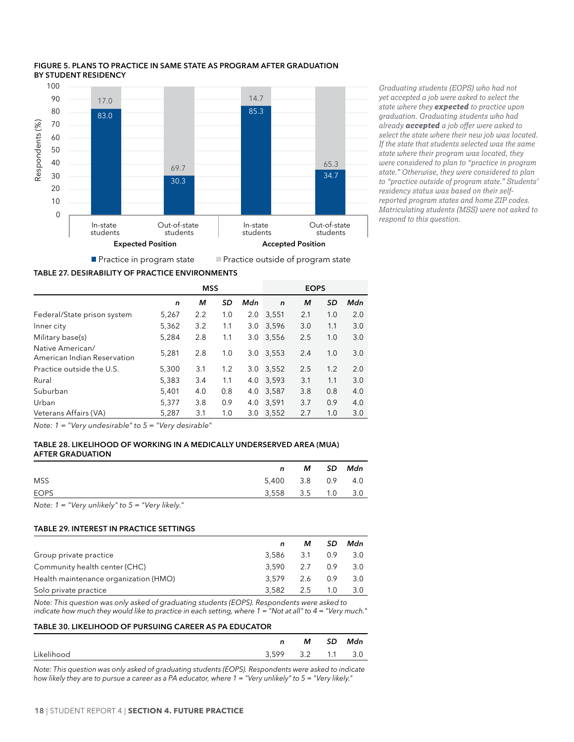

#### <span id="page-24-0"></span>**Figure 5. PLANS TO PRACTICE IN SAME STATE AS PROGRAM AFTER GRADUATION BY STUDENT RESIDENCY**

*Graduating students (EOPS) who had not yet accepted a job were asked to select the state where they expected to practice upon graduation. Graduating students who had already accepted a job offer were asked to select the state where their new job was located. If the state that students selected was the same state where their program was located, they were considered to plan to "practice in program state." Otherwise, they were considered to plan to "practice outside of program state." Students' residency status was based on their selfreported program states and home ZIP codes. Matriculating students (MSS) were not asked to respond to this question.*

**Table 27. DESIRABILITY OF PRACTICE ENVIRONMENTS**

|                                                 | <b>MSS</b> |     |     | <b>EOPS</b> |              |     |     |     |  |
|-------------------------------------------------|------------|-----|-----|-------------|--------------|-----|-----|-----|--|
|                                                 | n          | м   | SD  | Mdn         | $\mathsf{n}$ | м   | SD  | Mdn |  |
| Federal/State prison system                     | 5,267      | 2.2 | 1.0 | 2.0         | 3,551        | 2.1 | 1.0 | 2.0 |  |
| Inner city                                      | 5,362      | 3.2 | 1.1 | 3.0         | 3,596        | 3.0 | 1.1 | 3.0 |  |
| Military base(s)                                | 5,284      | 2.8 | 1.1 | 3.0         | 3,556        | 2.5 | 1.0 | 3.0 |  |
| Native American/<br>American Indian Reservation | 5,281      | 2.8 | 1.0 | 3.0         | 3,553        | 2.4 | 1.0 | 3.0 |  |
| Practice outside the U.S.                       | 5.300      | 3.1 | 1.2 | 3.0         | 3.552        | 2.5 | 1.2 | 2.0 |  |
| Rural                                           | 5,383      | 3.4 | 1.1 | 4.0         | 3,593        | 3.1 | 1.1 | 3.0 |  |
| Suburban                                        | 5,401      | 4.0 | 0.8 | 4.0         | 3,587        | 3.8 | 0.8 | 4.0 |  |
| Urban                                           | 5,377      | 3.8 | 0.9 | 4.0         | 3.591        | 3.7 | 0.9 | 4.0 |  |
| Veterans Affairs (VA)                           | 5,287      | 3.1 | 1.0 | 3.0         | 3.552        | 2.7 | 1.0 | 3.0 |  |
|                                                 |            |     |     |             |              |     |     |     |  |

*Note: 1 = "Very undesirable" to 5 = "Very desirable"*

#### **Table 28. LIKELIHOOD OF WORKING IN A MEDICALLY UNDERSERVED AREA (MUA) AFTER GRADUATION**

| <b>MSS</b><br>5,400 3.8 0.9 4.0  |  | M SD Mdn |
|----------------------------------|--|----------|
|                                  |  |          |
| <b>EOPS</b><br>3,558 3.5 1.0 3.0 |  |          |

*Note: 1 = "Very unlikely" to 5 = "Very likely."*

#### **Table 29. INTEREST IN PRACTICE SETTINGS**

|                                       |           | м   | SD. | Mdn |
|---------------------------------------|-----------|-----|-----|-----|
| Group private practice                | 3.586 3.1 |     | 0.9 | 3.0 |
| Community health center (CHC)         | 3.590     | 2.7 | 0.9 | 3.0 |
| Health maintenance organization (HMO) | 3.579     | 2.6 | 0.9 | 3.0 |
| Solo private practice                 | 3.582     | 2.5 | 1.0 | 3.0 |

*Note: This question was only asked of graduating students (EOPS). Respondents were asked to indicate how much they would like to practice in each setting, where 1 = "Not at all" to 4 = "Very much."*

#### **Table 30. LIKELIHOOD OF PURSUING CAREER AS PA EDUCATOR**

|            | n                 | M SD | Mdn |
|------------|-------------------|------|-----|
| Likelihood | 3,599 3.2 1.1 3.0 |      |     |

*Note: This question was only asked of graduating students (EOPS). Respondents were asked to indicate how likely they are to pursue a career as a PA educator, where 1 = "Very unlikely" to 5 = "Very likely."*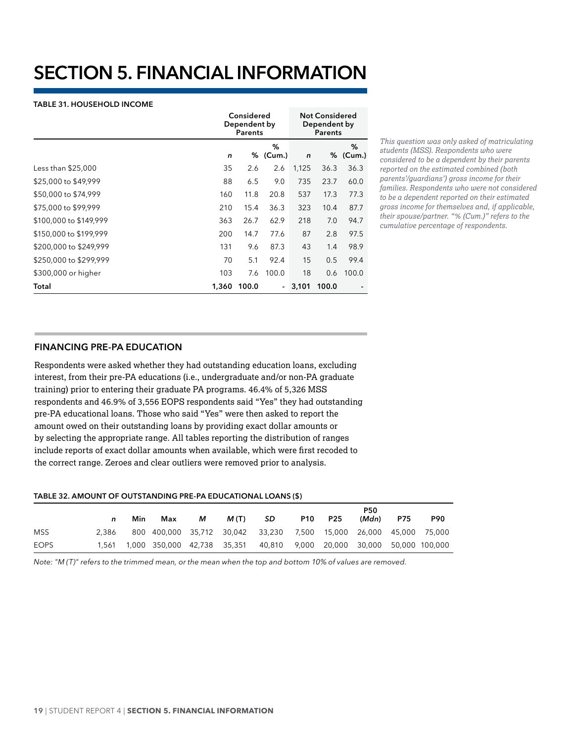# <span id="page-25-0"></span>**SECTION 5. FINANCIAL INFORMATION**

#### **Table 31. HOUSEHOLD INCOME**

|                        |       | Considered<br>Dependent by<br>Parents |                          |       | <b>Not Considered</b><br>Dependent by<br><b>Parents</b> |             |  |
|------------------------|-------|---------------------------------------|--------------------------|-------|---------------------------------------------------------|-------------|--|
|                        | n     |                                       | ℅<br>% (Cum.)            | n     | %                                                       | %<br>(Cum.) |  |
| Less than \$25,000     | 35    | 2.6                                   | 2.6                      | 1,125 | 36.3                                                    | 36.3        |  |
| \$25,000 to \$49,999   | 88    | 6.5                                   | 9.0                      | 735   | 23.7                                                    | 60.0        |  |
| \$50,000 to \$74,999   | 160   | 11.8                                  | 20.8                     | 537   | 17.3                                                    | 77.3        |  |
| \$75,000 to \$99,999   | 210   | 15.4                                  | 36.3                     | 323   | 10.4                                                    | 87.7        |  |
| \$100,000 to \$149,999 | 363   | 26.7                                  | 62.9                     | 218   | 7.0                                                     | 94.7        |  |
| \$150,000 to \$199,999 | 200   | 14.7                                  | 77.6                     | 87    | 2.8                                                     | 97.5        |  |
| \$200,000 to \$249,999 | 131   | 9.6                                   | 87.3                     | 43    | 1.4                                                     | 98.9        |  |
| \$250,000 to \$299,999 | 70    | 5.1                                   | 92.4                     | 15    | 0.5                                                     | 99.4        |  |
| \$300,000 or higher    | 103   | 7.6                                   | 100.0                    | 18    | 0.6                                                     | 100.0       |  |
| Total                  | 1,360 | 100.0                                 | $\overline{\phantom{0}}$ | 3,101 | 100.0                                                   |             |  |

*This question was only asked of matriculating students (MSS). Respondents who were considered to be a dependent by their parents reported on the estimated combined (both parents'/guardians') gross income for their families. Respondents who were not considered to be a dependent reported on their estimated gross income for themselves and, if applicable, their spouse/partner. "% (Cum.)" refers to the cumulative percentage of respondents.*

# **FINANCING PRE-PA EDUCATION**

Respondents were asked whether they had outstanding education loans, excluding interest, from their pre-PA educations (i.e., undergraduate and/or non-PA graduate training) prior to entering their graduate PA programs. 46.4% of 5,326 MSS respondents and 46.9% of 3,556 EOPS respondents said "Yes" they had outstanding pre-PA educational loans. Those who said "Yes" were then asked to report the amount owed on their outstanding loans by providing exact dollar amounts or by selecting the appropriate range. All tables reporting the distribution of ranges include reports of exact dollar amounts when available, which were first recoded to the correct range. Zeroes and clear outliers were removed prior to analysis.

#### **Table 32. AMOUNT OF OUTSTANDING PRE-PA EDUCATIONAL LOANS (\$)**

|      |       | Min | Max                                                                | м | M(T) | -SD | <b>P10</b> | <b>P25</b> | <b>P50</b><br>(Mdn)                | P75 | <b>P90</b> |
|------|-------|-----|--------------------------------------------------------------------|---|------|-----|------------|------------|------------------------------------|-----|------------|
| MSS  | 2.386 |     | 800 400,000 35,712 30,042 33,230 7,500 15,000 26,000 45,000 75,000 |   |      |     |            |            |                                    |     |            |
| EOPS | 1.561 |     | 1,000 350,000 42,738 35,351 40,810                                 |   |      |     |            |            | 9,000 20,000 30,000 50,000 100,000 |     |            |

*Note: "M (T)" refers to the trimmed mean, or the mean when the top and bottom 10% of values are removed.*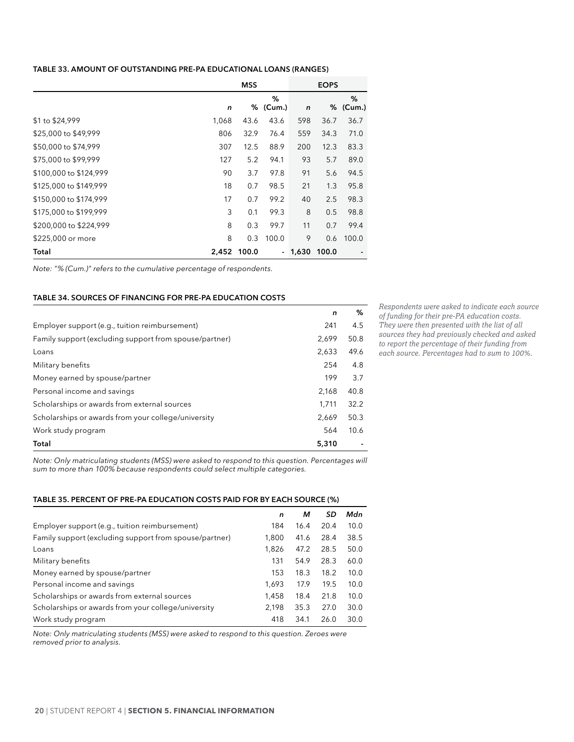#### <span id="page-26-0"></span>**Table 33. AMOUNT OF OUTSTANDING PRE-PA EDUCATIONAL LOANS (RANGES)**

|                        |       | <b>MSS</b> |                |              | <b>EOPS</b> |               |  |
|------------------------|-------|------------|----------------|--------------|-------------|---------------|--|
|                        | n     |            | %<br>% (Cum.)  | $\mathsf{n}$ |             | %<br>% (Cum.) |  |
| \$1 to \$24,999        | 1,068 | 43.6       | 43.6           | 598          | 36.7        | 36.7          |  |
| \$25,000 to \$49,999   | 806   | 32.9       | 76.4           | 559          | 34.3        | 71.0          |  |
| \$50,000 to \$74,999   | 307   | 12.5       | 88.9           | 200          | 12.3        | 83.3          |  |
| \$75,000 to \$99,999   | 127   | 5.2        | 94.1           | 93           | 5.7         | 89.0          |  |
| \$100,000 to \$124,999 | 90    | 3.7        | 97.8           | 91           | 5.6         | 94.5          |  |
| \$125,000 to \$149,999 | 18    | 0.7        | 98.5           | 21           | 1.3         | 95.8          |  |
| \$150,000 to \$174,999 | 17    | 0.7        | 99.2           | 40           | 2.5         | 98.3          |  |
| \$175,000 to \$199,999 | 3     | 0.1        | 99.3           | 8            | 0.5         | 98.8          |  |
| \$200,000 to \$224,999 | 8     | 0.3        | 99.7           | 11           | 0.7         | 99.4          |  |
| \$225,000 or more      | 8     | 0.3        | 100.0          | 9            | 0.6         | 100.0         |  |
| Total                  | 2,452 | 100.0      | $\blacksquare$ | 1,630        | 100.0       |               |  |

*Note: "% (Cum.)" refers to the cumulative percentage of respondents.*

#### **Table 34. SOURCES OF FINANCING FOR PRE-PA EDUCATION COSTS**

|                                                        | n     | %    |
|--------------------------------------------------------|-------|------|
| Employer support (e.g., tuition reimbursement)         | 241   | 4.5  |
| Family support (excluding support from spouse/partner) | 2.699 | 50.8 |
| Loans                                                  | 2.633 | 49.6 |
| Military benefits                                      | 254   | 4.8  |
| Money earned by spouse/partner                         | 199   | 3.7  |
| Personal income and savings                            | 2,168 | 40.8 |
| Scholarships or awards from external sources           | 1,711 | 32.2 |
| Scholarships or awards from your college/university    | 2,669 | 50.3 |
| Work study program                                     | 564   | 10.6 |
| Total                                                  | 5,310 |      |

*Respondents were asked to indicate each source of funding for their pre-PA education costs. They were then presented with the list of all sources they had previously checked and asked to report the percentage of their funding from each source. Percentages had to sum to 100%.* 

*Note: Only matriculating students (MSS) were asked to respond to this question. Percentages will sum to more than 100% because respondents could select multiple categories.*

#### **Table 35. PERCENT OF PRE-PA EDUCATION COSTS PAID FOR BY EACH SOURCE (%)**

|                                                        | n     | м    | SD   | Mdn  |
|--------------------------------------------------------|-------|------|------|------|
| Employer support (e.g., tuition reimbursement)         | 184   | 16.4 | 20.4 | 10.0 |
| Family support (excluding support from spouse/partner) | 1,800 | 41.6 | 28.4 | 38.5 |
| Loans                                                  | 1,826 | 47.2 | 28.5 | 50.0 |
| Military benefits                                      | 131   | 54.9 | 28.3 | 60.0 |
| Money earned by spouse/partner                         | 153   | 18.3 | 18.2 | 10.0 |
| Personal income and savings                            | 1.693 | 17.9 | 19.5 | 10.0 |
| Scholarships or awards from external sources           | 1.458 | 18.4 | 21.8 | 10.0 |
| Scholarships or awards from your college/university    | 2,198 | 35.3 | 27.0 | 30.0 |
| Work study program                                     | 418   | 34.1 | 26.0 | 30.0 |

*Note: Only matriculating students (MSS) were asked to respond to this question. Zeroes were removed prior to analysis.*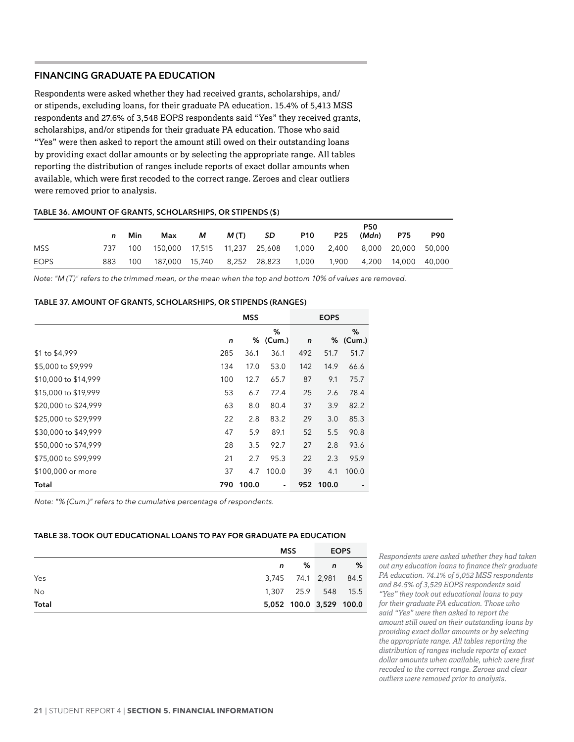# <span id="page-27-0"></span>**FINANCING GRADUATE PA EDUCATION**

Respondents were asked whether they had received grants, scholarships, and/ or stipends, excluding loans, for their graduate PA education. 15.4% of 5,413 MSS respondents and 27.6% of 3,548 EOPS respondents said "Yes" they received grants, scholarships, and/or stipends for their graduate PA education. Those who said "Yes" were then asked to report the amount still owed on their outstanding loans by providing exact dollar amounts or by selecting the appropriate range. All tables reporting the distribution of ranges include reports of exact dollar amounts when available, which were first recoded to the correct range. Zeroes and clear outliers were removed prior to analysis.

#### **Table 36. AMOUNT OF GRANTS, SCHOLARSHIPS, OR STIPENDS (\$)**

|             | n    | Min | Max                                                                  | м | M(T) SD |                                   | <b>P10</b> | P25 | <b>P50</b><br>(Mdn) | P75 | <b>P90</b> |
|-------------|------|-----|----------------------------------------------------------------------|---|---------|-----------------------------------|------------|-----|---------------------|-----|------------|
| <b>MSS</b>  | 737. | 100 | 150,000  17,515  11,237  25,608  1,000  2,400  8,000  20,000  50,000 |   |         |                                   |            |     |                     |     |            |
| <b>EOPS</b> | 883  | 100 |                                                                      |   |         | 187,000 15,740 8,252 28,823 1,000 |            |     |                     |     |            |

*Note: "M (T)" refers to the trimmed mean, or the mean when the top and bottom 10% of values are removed.*

#### **Table 37. AMOUNT OF GRANTS, SCHOLARSHIPS, OR STIPENDS (RANGES)**

|                      | <b>MSS</b> |       |                          |     |           |               |
|----------------------|------------|-------|--------------------------|-----|-----------|---------------|
|                      | n          |       | %<br>% (Cum.)            | n   |           | %<br>% (Cum.) |
| \$1 to \$4,999       | 285        | 36.1  | 36.1                     | 492 | 51.7      | 51.7          |
| \$5,000 to \$9,999   | 134        | 17.0  | 53.0                     | 142 | 14.9      | 66.6          |
| \$10,000 to \$14,999 | 100        | 12.7  | 65.7                     | 87  | 9.1       | 75.7          |
| \$15,000 to \$19,999 | 53         | 6.7   | 72.4                     | 25  | 2.6       | 78.4          |
| \$20,000 to \$24,999 | 63         | 8.0   | 80.4                     | 37  | 3.9       | 82.2          |
| \$25,000 to \$29,999 | 22         | 2.8   | 83.2                     | 29  | 3.0       | 85.3          |
| \$30,000 to \$49,999 | 47         | 5.9   | 89.1                     | 52  | 5.5       | 90.8          |
| \$50,000 to \$74,999 | 28         | 3.5   | 92.7                     | 27  | 2.8       | 93.6          |
| \$75,000 to \$99,999 | 21         | 2.7   | 95.3                     | 22  | 2.3       | 95.9          |
| \$100,000 or more    | 37         | 4.7   | 100.0                    | 39  | 4.1       | 100.0         |
| Total                | 790        | 100.0 | $\overline{\phantom{a}}$ |     | 952 100.0 |               |

*Note: "% (Cum.)" refers to the cumulative percentage of respondents.*

### **Table 38. TOOK OUT EDUCATIONAL LOANS TO PAY FOR GRADUATE PA EDUCATION**

|           |    | MSS                     | <b>EOPS</b>  |   |
|-----------|----|-------------------------|--------------|---|
|           | n. | %                       | $\mathsf{n}$ | % |
| Yes       |    | 3,745 74.1 2,981 84.5   |              |   |
| <b>No</b> |    | 1,307 25.9 548 15.5     |              |   |
| Total     |    | 5,052 100.0 3,529 100.0 |              |   |

*Respondents were asked whether they had taken out any education loans to finance their graduate PA education. 74.1% of 5,052 MSS respondents and 84.5% of 3,529 EOPS respondents said "Yes" they took out educational loans to pay for their graduate PA education. Those who said "Yes" were then asked to report the amount still owed on their outstanding loans by providing exact dollar amounts or by selecting the appropriate range. All tables reporting the distribution of ranges include reports of exact dollar amounts when available, which were first recoded to the correct range. Zeroes and clear outliers were removed prior to analysis.*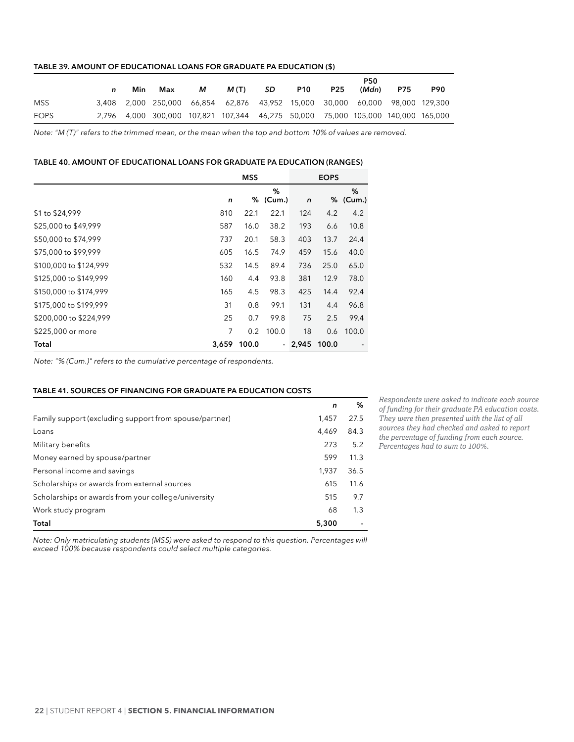#### <span id="page-28-0"></span>**Table 39. AMOUNT OF EDUCATIONAL LOANS FOR GRADUATE PA EDUCATION (\$)**

|             | n | Min. | Max                                                                              | м | M(T) | -SD | <b>P10</b> | <b>P25</b> | <b>P50</b><br>(Mdn) | <b>P75</b> | <b>P90</b> |
|-------------|---|------|----------------------------------------------------------------------------------|---|------|-----|------------|------------|---------------------|------------|------------|
| <b>MSS</b>  |   |      | 3,408 2,000 250,000 66,854 62,876 43,952 15,000 30,000 60,000 98,000 129,300     |   |      |     |            |            |                     |            |            |
| <b>EOPS</b> |   |      | 2,796 4,000 300,000 107,821 107,344 46,275 50,000 75,000 105,000 140,000 165,000 |   |      |     |            |            |                     |            |            |

*Note: "M (T)" refers to the trimmed mean, or the mean when the top and bottom 10% of values are removed.*

#### **Table 40. AMOUNT OF EDUCATIONAL LOANS FOR GRADUATE PA EDUCATION (RANGES)**

|                        |       | <b>MSS</b> |               |              | <b>EOPS</b> |               |  |
|------------------------|-------|------------|---------------|--------------|-------------|---------------|--|
|                        | n     |            | %<br>% (Cum.) | $\mathsf{n}$ |             | %<br>% (Cum.) |  |
| \$1 to \$24,999        | 810   | 22.1       | 22.1          | 124          | 4.2         | 4.2           |  |
| \$25,000 to \$49,999   | 587   | 16.0       | 38.2          | 193          | 6.6         | 10.8          |  |
| \$50,000 to \$74,999   | 737   | 20.1       | 58.3          | 403          | 13.7        | 24.4          |  |
| \$75,000 to \$99,999   | 605   | 16.5       | 74.9          | 459          | 15.6        | 40.0          |  |
| \$100,000 to \$124,999 | 532   | 14.5       | 89.4          | 736          | 25.0        | 65.0          |  |
| \$125,000 to \$149,999 | 160   | 4.4        | 93.8          | 381          | 12.9        | 78.0          |  |
| \$150,000 to \$174,999 | 165   | 4.5        | 98.3          | 425          | 14.4        | 92.4          |  |
| \$175,000 to \$199,999 | 31    | 0.8        | 99.1          | 131          | 4.4         | 96.8          |  |
| \$200,000 to \$224,999 | 25    | 0.7        | 99.8          | 75           | 2.5         | 99.4          |  |
| \$225,000 or more      | 7     | 0.2        | 100.0         | 18           | 0.6         | 100.0         |  |
| Total                  | 3,659 | 100.0      |               | - 2,945      | 100.0       |               |  |

*Note: "% (Cum.)" refers to the cumulative percentage of respondents.*

#### **Table 41. SOURCES OF FINANCING FOR GRADUATE PA EDUCATION COSTS**

|                                                        | n     | %    |
|--------------------------------------------------------|-------|------|
| Family support (excluding support from spouse/partner) | 1.457 | 27.5 |
| Loans                                                  | 4.469 | 84.3 |
| Military benefits                                      | 273   | 5.2  |
| Money earned by spouse/partner                         | 599   | 11.3 |
| Personal income and savings                            | 1.937 | 36.5 |
| Scholarships or awards from external sources           | 615   | 11.6 |
| Scholarships or awards from your college/university    | 515   | 9.7  |
| Work study program                                     | 68    | 1.3  |
| Total                                                  | 5,300 |      |

*Respondents were asked to indicate each source of funding for their graduate PA education costs. They were then presented with the list of all sources they had checked and asked to report the percentage of funding from each source. Percentages had to sum to 100%.* 

*Note: Only matriculating students (MSS) were asked to respond to this question. Percentages will exceed 100% because respondents could select multiple categories.*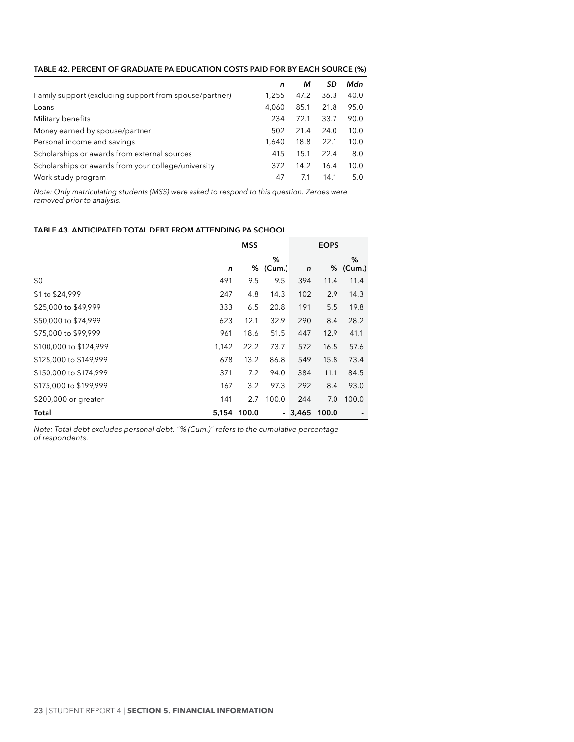<span id="page-29-0"></span>

| TABLE 42. PERCENT OF GRADUATE PA EDUCATION COSTS PAID FOR BY EACH SOURCE (%) |  |  |
|------------------------------------------------------------------------------|--|--|
|                                                                              |  |  |

|                                                        | n     | м    | SD   | Mdn  |
|--------------------------------------------------------|-------|------|------|------|
| Family support (excluding support from spouse/partner) | 1.255 | 47.2 | 36.3 | 40.0 |
| Loans                                                  | 4.060 | 85.1 | 21.8 | 95.0 |
| Military benefits                                      | 234   | 72.1 | 33.7 | 90.0 |
| Money earned by spouse/partner                         | 502   | 21.4 | 24.0 | 10.0 |
| Personal income and savings                            | 1.640 | 18.8 | 22.1 | 10.0 |
| Scholarships or awards from external sources           | 415   | 15.1 | 22.4 | 8.0  |
| Scholarships or awards from your college/university    | 372   | 14.2 | 16.4 | 10.0 |
| Work study program                                     | 47    | 7.1  | 14.1 | 5.0  |

*Note: Only matriculating students (MSS) were asked to respond to this question. Zeroes were removed prior to analysis.*

#### **Table 43. ANTICIPATED TOTAL DEBT FROM ATTENDING PA SCHOOL**

|                        | <b>MSS</b> |       |               |              | <b>EOPS</b> |               |
|------------------------|------------|-------|---------------|--------------|-------------|---------------|
|                        | n          |       | %<br>% (Cum.) | $\mathsf{n}$ |             | %<br>% (Cum.) |
| \$0                    | 491        | 9.5   | 9.5           | 394          | 11.4        | 11.4          |
| \$1 to \$24,999        | 247        | 4.8   | 14.3          | 102          | 2.9         | 14.3          |
| \$25,000 to \$49,999   | 333        | 6.5   | 20.8          | 191          | 5.5         | 19.8          |
| \$50,000 to \$74,999   | 623        | 12.1  | 32.9          | 290          | 8.4         | 28.2          |
| \$75,000 to \$99,999   | 961        | 18.6  | 51.5          | 447          | 12.9        | 41.1          |
| \$100,000 to \$124,999 | 1,142      | 22.2  | 73.7          | 572          | 16.5        | 57.6          |
| \$125,000 to \$149,999 | 678        | 13.2  | 86.8          | 549          | 15.8        | 73.4          |
| \$150,000 to \$174,999 | 371        | 7.2   | 94.0          | 384          | 11.1        | 84.5          |
| \$175,000 to \$199,999 | 167        | 3.2   | 97.3          | 292          | 8.4         | 93.0          |
| \$200,000 or greater   | 141        | 2.7   | 100.0         | 244          | 7.0         | 100.0         |
| Total                  | 5,154      | 100.0 |               | - 3,465      | 100.0       |               |

*Note: Total debt excludes personal debt. "% (Cum.)" refers to the cumulative percentage of respondents.*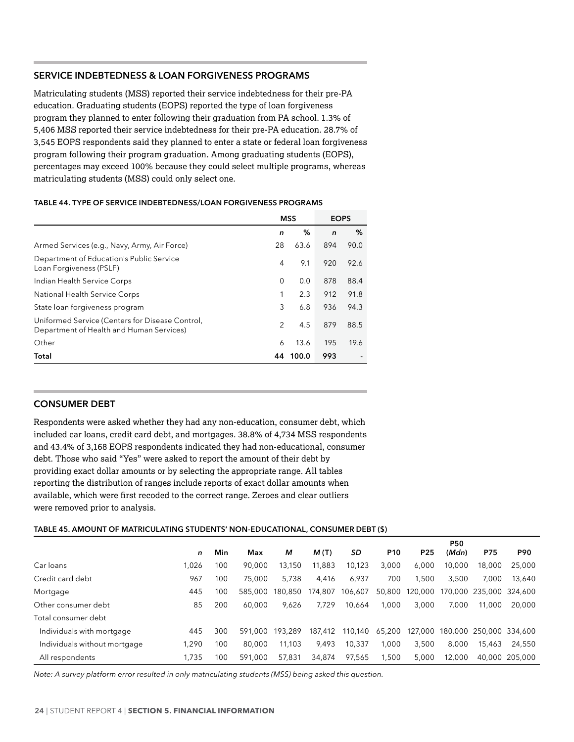# <span id="page-30-0"></span>**SERVICE INDEBTEDNESS & LOAN FORGIVENESS PROGRAMS**

Matriculating students (MSS) reported their service indebtedness for their pre-PA education. Graduating students (EOPS) reported the type of loan forgiveness program they planned to enter following their graduation from PA school. 1.3% of 5,406 MSS reported their service indebtedness for their pre-PA education. 28.7% of 3,545 EOPS respondents said they planned to enter a state or federal loan forgiveness program following their program graduation. Among graduating students (EOPS), percentages may exceed 100% because they could select multiple programs, whereas matriculating students (MSS) could only select one.

#### **Table 44. TYPE OF SERVICE INDEBTEDNESS/LOAN FORGIVENESS PROGRAMS**

|                                                                                             |                | <b>MSS</b> | <b>EOPS</b>  |      |
|---------------------------------------------------------------------------------------------|----------------|------------|--------------|------|
|                                                                                             | n              | %          | $\mathsf{n}$ | %    |
| Armed Services (e.g., Navy, Army, Air Force)                                                | 28             | 63.6       | 894          | 90.0 |
| Department of Education's Public Service<br>Loan Forgiveness (PSLF)                         | 4              | 9.1        | 920          | 92.6 |
| Indian Health Service Corps                                                                 | 0              | 0.0        | 878          | 88.4 |
| National Health Service Corps                                                               |                | 2.3        | 912          | 91.8 |
| State loan forgiveness program                                                              | 3              | 6.8        | 936          | 94.3 |
| Uniformed Service (Centers for Disease Control,<br>Department of Health and Human Services) | $\mathfrak{D}$ | 4.5        | 879          | 88.5 |
| Other                                                                                       | 6              | 13.6       | 195          | 19.6 |
| Total                                                                                       | 44             | 100.0      | 993          |      |

# **CONSUMER DEBT**

Respondents were asked whether they had any non-education, consumer debt, which included car loans, credit card debt, and mortgages. 38.8% of 4,734 MSS respondents and 43.4% of 3,168 EOPS respondents indicated they had non-educational, consumer debt. Those who said "Yes" were asked to report the amount of their debt by providing exact dollar amounts or by selecting the appropriate range. All tables reporting the distribution of ranges include reports of exact dollar amounts when available, which were first recoded to the correct range. Zeroes and clear outliers were removed prior to analysis.

#### **Table 45. AMOUNT OF MATRICULATING STUDENTS' NON-EDUCATIONAL, CONSUMER DEBT (\$)**

|                              |       |     |         |         |         |         |                 |                 | <b>P50</b> |        |                         |
|------------------------------|-------|-----|---------|---------|---------|---------|-----------------|-----------------|------------|--------|-------------------------|
|                              | n     | Min | Max     | м       | M(T)    | SD      | P <sub>10</sub> | P <sub>25</sub> | (Mdn)      | P75    | <b>P90</b>              |
| Car loans                    | 1.026 | 100 | 90,000  | 13,150  | 11,883  | 10,123  | 3,000           | 6,000           | 10,000     | 18,000 | 25,000                  |
| Credit card debt             | 967   | 100 | 75,000  | 5.738   | 4.416   | 6.937   | 700             | 1.500           | 3.500      | 7.000  | 13,640                  |
| Mortgage                     | 445   | 100 | 585,000 | 180.850 | 174,807 | 106,607 | 50,800          | 120,000         |            |        | 170,000 235,000 324,600 |
| Other consumer debt          | 85    | 200 | 60.000  | 9,626   | 7.729   | 10,664  | 1,000           | 3.000           | 7,000      | 11.000 | 20,000                  |
| Total consumer debt          |       |     |         |         |         |         |                 |                 |            |        |                         |
| Individuals with mortgage    | 445   | 300 | 591.000 | 193.289 | 187.412 | 110.140 | 65,200          | 127,000         |            |        | 180,000 250,000 334,600 |
| Individuals without mortgage | 1.290 | 100 | 80.000  | 11.103  | 9,493   | 10,337  | 1.000           | 3.500           | 8,000      | 15.463 | 24,550                  |
| All respondents              | .735  | 100 | 591.000 | 57.831  | 34,874  | 97,565  | 1.500           | 5.000           | 12.000     |        | 40,000 205,000          |

*Note: A survey platform error resulted in only matriculating students (MSS) being asked this question.*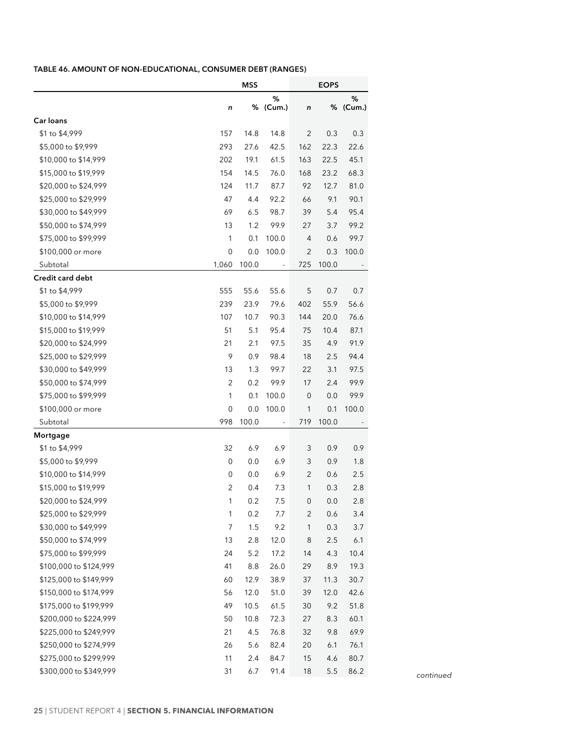### <span id="page-31-0"></span>**Table 46. AMOUNT OF NON-EDUCATIONAL, CONSUMER DEBT (RANGES)**

|                        |                | <b>MSS</b> |                          |                     | <b>EOPS</b> |          |
|------------------------|----------------|------------|--------------------------|---------------------|-------------|----------|
|                        |                |            | %                        |                     |             | %        |
|                        | n              |            | % (Cum.)                 | $\boldsymbol{n}$    |             | % (Cum.) |
| Car loans              |                |            |                          |                     |             |          |
| \$1 to \$4,999         | 157            | 14.8       | 14.8                     | $\overline{2}$      | 0.3         | 0.3      |
| \$5,000 to \$9,999     | 293            | 27.6       | 42.5                     | 162                 | 22.3        | 22.6     |
| \$10,000 to \$14,999   | 202            | 19.1       | 61.5                     | 163                 | 22.5        | 45.1     |
| \$15,000 to \$19,999   | 154            | 14.5       | 76.0                     | 168                 | 23.2        | 68.3     |
| \$20,000 to \$24,999   | 124            | 11.7       | 87.7                     | 92                  | 12.7        | 81.0     |
| \$25,000 to \$29,999   | 47             | 4.4        | 92.2                     | 66                  | 9.1         | 90.1     |
| \$30,000 to \$49,999   | 69             | 6.5        | 98.7                     | 39                  | 5.4         | 95.4     |
| \$50,000 to \$74,999   | 13             | 1.2        | 99.9                     | 27                  | 3.7         | 99.2     |
| \$75,000 to \$99,999   | 1              | 0.1        | 100.0                    | $\overline{4}$      | 0.6         | 99.7     |
| \$100,000 or more      | $\mathbf 0$    | 0.0        | 100.0                    | 2                   | 0.3         | 100.0    |
| Subtotal               | 1,060          | 100.0      | $\overline{\phantom{a}}$ | 725                 | 100.0       |          |
| Credit card debt       |                |            |                          |                     |             |          |
| \$1 to \$4,999         | 555            | 55.6       | 55.6                     | 5                   | 0.7         | 0.7      |
| \$5,000 to \$9,999     | 239            | 23.9       | 79.6                     | 402                 | 55.9        | 56.6     |
| \$10,000 to \$14,999   | 107            | 10.7       | 90.3                     | 144                 | 20.0        | 76.6     |
| \$15,000 to \$19,999   | 51             | 5.1        | 95.4                     | 75                  | 10.4        | 87.1     |
| \$20,000 to \$24,999   | 21             | 2.1        | 97.5                     | 35                  | 4.9         | 91.9     |
| \$25,000 to \$29,999   | 9              | 0.9        | 98.4                     | 18                  | 2.5         | 94.4     |
| \$30,000 to \$49,999   | 13             | 1.3        | 99.7                     | 22                  | 3.1         | 97.5     |
| \$50,000 to \$74,999   | $\overline{2}$ | 0.2        | 99.9                     | 17                  | 2.4         | 99.9     |
| \$75,000 to \$99,999   | 1              | 0.1        | 100.0                    | $\mathsf{O}\xspace$ | 0.0         | 99.9     |
| \$100,000 or more      | $\mathbf 0$    | 0.0        | 100.0                    | $\mathbf{1}$        | 0.1         | 100.0    |
| Subtotal               | 998            | 100.0      | $\overline{\phantom{a}}$ | 719                 | 100.0       |          |
| Mortgage               |                |            |                          |                     |             |          |
| \$1 to \$4,999         | 32             | 6.9        | 6.9                      | 3                   | 0.9         | 0.9      |
| \$5,000 to \$9,999     | 0              | 0.0        | 6.9                      | 3                   | 0.9         | 1.8      |
| \$10,000 to \$14,999   | $\mathbf 0$    | 0.0        | 6.9                      | $\overline{2}$      | 0.6         | 2.5      |
| \$15,000 to \$19,999   | 2              | 0.4        | 7.3                      | 1                   | 0.3         | 2.8      |
| \$20,000 to \$24,999   | 1              | 0.2        | 7.5                      | 0                   | 0.0         | 2.8      |
| \$25,000 to \$29,999   | 1              | 0.2        | 7.7                      | 2                   | 0.6         | 3.4      |
| \$30,000 to \$49,999   | 7              | 1.5        | 9.2                      | 1                   | 0.3         | 3.7      |
| \$50,000 to \$74,999   | 13             | 2.8        | 12.0                     | 8                   | 2.5         | 6.1      |
| \$75,000 to \$99,999   | 24             | 5.2        | 17.2                     | 14                  | 4.3         | 10.4     |
| \$100,000 to \$124,999 | 41             | $8.8\,$    | 26.0                     | 29                  | 8.9         | 19.3     |
| \$125,000 to \$149,999 | 60             | 12.9       | 38.9                     | 37                  | 11.3        | 30.7     |
| \$150,000 to \$174,999 | 56             | 12.0       | 51.0                     | 39                  | 12.0        | 42.6     |
| \$175,000 to \$199,999 | 49             | 10.5       | 61.5                     | 30                  | 9.2         | 51.8     |
| \$200,000 to \$224,999 | 50             | 10.8       | 72.3                     | 27                  | 8.3         | 60.1     |
| \$225,000 to \$249,999 | 21             | 4.5        | 76.8                     | 32                  | 9.8         | 69.9     |
| \$250,000 to \$274,999 | 26             | 5.6        | 82.4                     | 20                  | 6.1         | 76.1     |
| \$275,000 to \$299,999 | 11             | 2.4        | 84.7                     | 15                  | 4.6         | 80.7     |
| \$300,000 to \$349,999 | 31             | 6.7        | 91.4                     | 18                  | 5.5         | 86.2     |
|                        |                |            |                          |                     |             |          |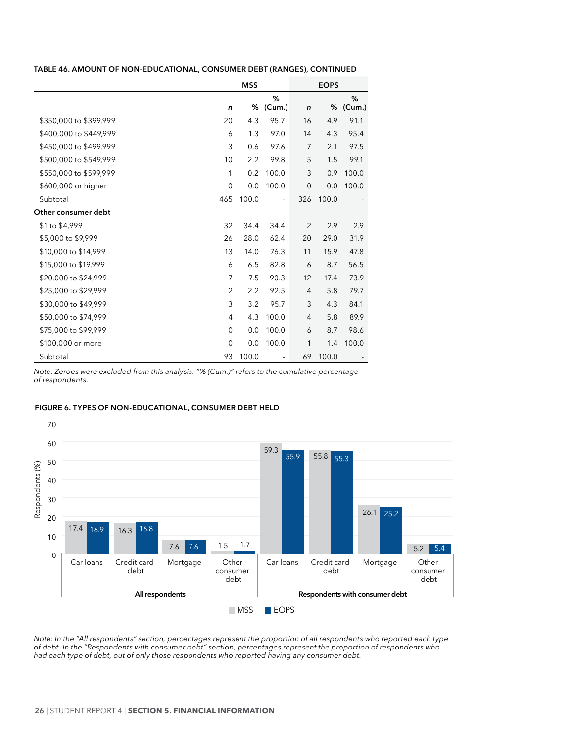#### <span id="page-32-0"></span>**TABLE 46. AMOUNT OF NON-EDUCATIONAL, CONSUMER DEBT (RANGES), CONTINUED**

|                        | <b>MSS</b>     |       |                          | <b>EOPS</b>    |       |             |
|------------------------|----------------|-------|--------------------------|----------------|-------|-------------|
|                        | n              |       | %<br>% (Cum.)            | n              | %     | %<br>(Cum.) |
| \$350,000 to \$399,999 | 20             | 4.3   | 95.7                     | 16             | 4.9   | 91.1        |
| \$400,000 to \$449,999 | 6              | 1.3   | 97.0                     | 14             | 4.3   | 95.4        |
| \$450,000 to \$499,999 | 3              | 0.6   | 97.6                     | 7              | 2.1   | 97.5        |
| \$500,000 to \$549,999 | 10             | 2.2   | 99.8                     | 5              | 1.5   | 99.1        |
| \$550,000 to \$599,999 | 1              | 0.2   | 100.0                    | 3              | 0.9   | 100.0       |
| \$600,000 or higher    | $\mathbf 0$    | 0.0   | 100.0                    | $\mathbf 0$    | 0.0   | 100.0       |
| Subtotal               | 465            | 100.0 | $\blacksquare$           | 326            | 100.0 |             |
| Other consumer debt    |                |       |                          |                |       |             |
| \$1 to \$4,999         | 32             | 34.4  | 34.4                     | 2              | 2.9   | 2.9         |
| \$5,000 to \$9,999     | 26             | 28.0  | 62.4                     | 20             | 29.0  | 31.9        |
| \$10,000 to \$14,999   | 13             | 14.0  | 76.3                     | 11             | 15.9  | 47.8        |
| \$15,000 to \$19,999   | 6              | 6.5   | 82.8                     | 6              | 8.7   | 56.5        |
| \$20,000 to \$24,999   | $\overline{7}$ | 7.5   | 90.3                     | 12             | 17.4  | 73.9        |
| \$25,000 to \$29,999   | $\overline{2}$ | 2.2   | 92.5                     | 4              | 5.8   | 79.7        |
| \$30,000 to \$49,999   | 3              | 3.2   | 95.7                     | 3              | 4.3   | 84.1        |
| \$50,000 to \$74,999   | 4              | 4.3   | 100.0                    | $\overline{4}$ | 5.8   | 89.9        |
| \$75,000 to \$99,999   | $\mathbf 0$    | 0.0   | 100.0                    | 6              | 8.7   | 98.6        |
| \$100,000 or more      | $\mathbf 0$    | 0.0   | 100.0                    | 1              | 1.4   | 100.0       |
| Subtotal               | 93             | 100.0 | $\overline{\phantom{a}}$ | 69             | 100.0 |             |

*Note: Zeroes were excluded from this analysis. "% (Cum.)" refers to the cumulative percentage of respondents.*

#### **Figure 6. TYPES OF NON-EDUCATIONAL, CONSUMER DEBT HELD**



*Note: In the "All respondents" section, percentages represent the proportion of all respondents who reported each type of debt. In the "Respondents with consumer debt" section, percentages represent the proportion of respondents who had each type of debt, out of only those respondents who reported having any consumer debt.*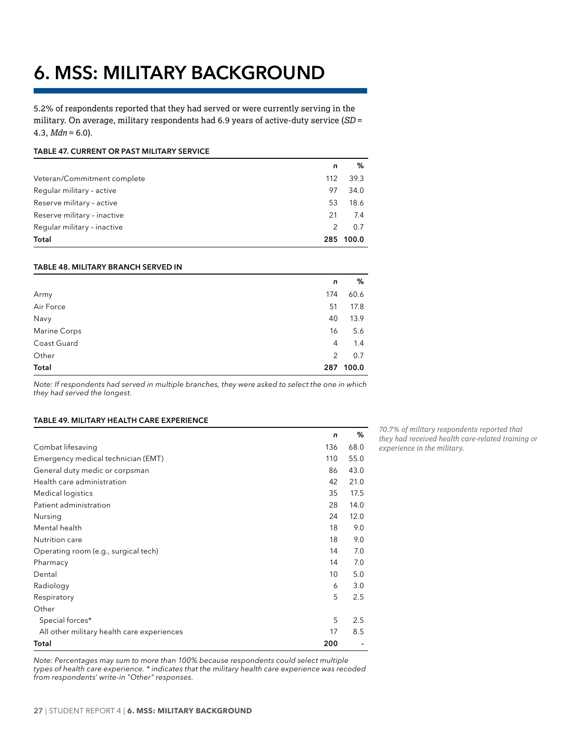# <span id="page-33-0"></span>**6. MSS: MILITARY BACKGROUND**

5.2% of respondents reported that they had served or were currently serving in the military. On average, military respondents had 6.9 years of active-duty service (*SD* =  $4.3, Mdn = 6.0$ ).

#### **Table 47. CURRENT OR PAST MILITARY SERVICE**

|                             | n             | %     |
|-----------------------------|---------------|-------|
| Veteran/Commitment complete | 112           | 39.3  |
| Regular military - active   | 97            | 34.0  |
| Reserve military - active   | 53            | 18.6  |
| Reserve military - inactive | 21            | 7.4   |
| Regular military - inactive | $\mathcal{P}$ | 0.7   |
| Total                       | 285           | 100.0 |

#### **Table 48. MILITARY BRANCH SERVED IN**

|                     | n              | %     |
|---------------------|----------------|-------|
| Army                | 174            | 60.6  |
| Air Force           | 51             | 17.8  |
| Navy                | 40             | 13.9  |
| <b>Marine Corps</b> | 16             | 5.6   |
| Coast Guard         | 4              | 1.4   |
| Other               | $\overline{2}$ | 0.7   |
| Total               | 287            | 100.0 |

*Note: If respondents had served in multiple branches, they were asked to select the one in which they had served the longest.*

#### **Table 49. MILITARY HEALTH CARE EXPERIENCE**

|                                            | $\mathbf n$ | %    |
|--------------------------------------------|-------------|------|
| Combat lifesaving                          | 136         | 68.0 |
| Emergency medical technician (EMT)         | 110         | 55.0 |
| General duty medic or corpsman             | 86          | 43.0 |
| Health care administration                 | 42          | 21.0 |
| Medical logistics                          | 35          | 17.5 |
| Patient administration                     | 28          | 14.0 |
| Nursing                                    | 24          | 12.0 |
| Mental health                              | 18          | 9.0  |
| Nutrition care                             | 18          | 9.0  |
| Operating room (e.g., surgical tech)       | 14          | 7.0  |
| Pharmacy                                   | 14          | 7.0  |
| Dental                                     | 10          | 5.0  |
| Radiology                                  | 6           | 3.0  |
| Respiratory                                | 5           | 2.5  |
| Other                                      |             |      |
| Special forces*                            | 5           | 2.5  |
| All other military health care experiences | 17          | 8.5  |
| Total                                      | 200         |      |

*Note: Percentages may sum to more than 100% because respondents could select multiple types of health care experience. \* indicates that the military health care experience was recoded from respondents' write-in "Other" responses.*

*70.7% of military respondents reported that they had received health care-related training or experience in the military.*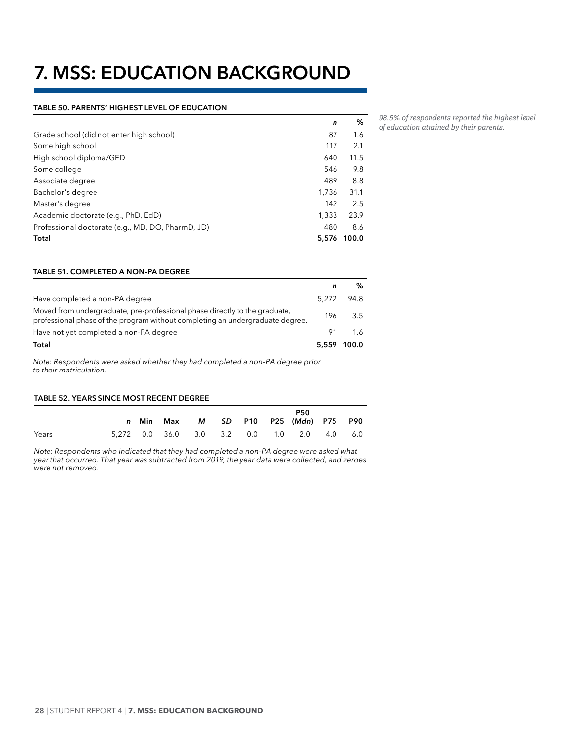# <span id="page-34-0"></span>**7. MSS: EDUCATION BACKGROUND**

#### **Table 50. PARENTS' HIGHEST LEVEL OF EDUCATION**

| n     | ℅     |
|-------|-------|
| 87    | 1.6   |
| 117   | 2.1   |
| 640   | 11.5  |
| 546   | 9.8   |
| 489   | 8.8   |
| 1.736 | 31.1  |
| 142   | 2.5   |
| 1.333 | 23.9  |
| 480   | 8.6   |
| 5.576 | 100.0 |
|       |       |

#### **Table 51. COMPLETED A NON-PA DEGREE**

|                                                                                                                                                             | n           |         |
|-------------------------------------------------------------------------------------------------------------------------------------------------------------|-------------|---------|
| Have completed a non-PA degree                                                                                                                              | 5.272       | 94.8    |
| Moved from undergraduate, pre-professional phase directly to the graduate,<br>professional phase of the program without completing an undergraduate degree. |             | 196 3.5 |
| Have not yet completed a non-PA degree                                                                                                                      | 91          | 1.6     |
| Total                                                                                                                                                       | 5.559 100.0 |         |

*Note: Respondents were asked whether they had completed a non-PA degree prior to their matriculation.*

#### **Table 52. YEARS SINCE MOST RECENT DEGREE**

|       |  |  |  | <b>P50</b><br>n Min Max M SD P10 P25 (Mdn) P75 P90 |     |
|-------|--|--|--|----------------------------------------------------|-----|
| Years |  |  |  | 5,272 0.0 36.0 3.0 3.2 0.0 1.0 2.0 4.0             | 6.0 |

*Note: Respondents who indicated that they had completed a non-PA degree were asked what year that occurred. That year was subtracted from 2019, the year data were collected, and zeroes were not removed.*

*98.5% of respondents reported the highest level of education attained by their parents.*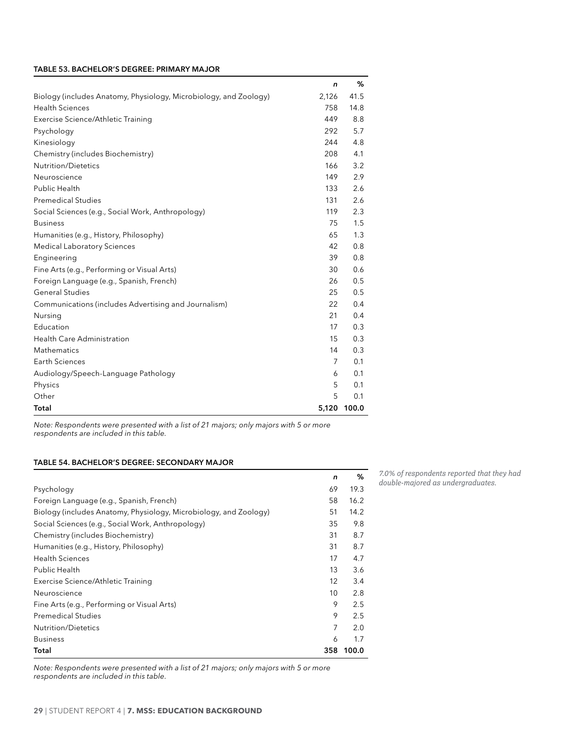#### <span id="page-35-0"></span>**Table 53. BACHELOR'S DEGREE: PRIMARY MAJOR**

|                                                                   | n     | %     |
|-------------------------------------------------------------------|-------|-------|
| Biology (includes Anatomy, Physiology, Microbiology, and Zoology) | 2,126 | 41.5  |
| <b>Health Sciences</b>                                            | 758   | 14.8  |
| Exercise Science/Athletic Training                                | 449   | 8.8   |
| Psychology                                                        | 292   | 5.7   |
| Kinesiology                                                       | 244   | 4.8   |
| Chemistry (includes Biochemistry)                                 | 208   | 4.1   |
| Nutrition/Dietetics                                               | 166   | 3.2   |
| Neuroscience                                                      | 149   | 2.9   |
| Public Health                                                     | 133   | 2.6   |
| <b>Premedical Studies</b>                                         | 131   | 2.6   |
| Social Sciences (e.g., Social Work, Anthropology)                 | 119   | 2.3   |
| <b>Business</b>                                                   | 75    | 1.5   |
| Humanities (e.g., History, Philosophy)                            | 65    | 1.3   |
| <b>Medical Laboratory Sciences</b>                                | 42    | 0.8   |
| Engineering                                                       | 39    | 0.8   |
| Fine Arts (e.g., Performing or Visual Arts)                       | 30    | 0.6   |
| Foreign Language (e.g., Spanish, French)                          | 26    | 0.5   |
| <b>General Studies</b>                                            | 25    | 0.5   |
| Communications (includes Advertising and Journalism)              | 22    | 0.4   |
| Nursing                                                           | 21    | 0.4   |
| Education                                                         | 17    | 0.3   |
| Health Care Administration                                        | 15    | 0.3   |
| Mathematics                                                       | 14    | 0.3   |
| Earth Sciences                                                    | 7     | 0.1   |
| Audiology/Speech-Language Pathology                               | 6     | 0.1   |
| Physics                                                           | 5     | 0.1   |
| Other                                                             | 5     | 0.1   |
| Total                                                             | 5,120 | 100.0 |

*Note: Respondents were presented with a list of 21 majors; only majors with 5 or more respondents are included in this table.*

#### **Table 54. BACHELOR'S DEGREE: SECONDARY MAJOR**

|                                                                   | n   | ℅     |
|-------------------------------------------------------------------|-----|-------|
| Psychology                                                        | 69  | 19.3  |
| Foreign Language (e.g., Spanish, French)                          | 58  | 16.2  |
| Biology (includes Anatomy, Physiology, Microbiology, and Zoology) | 51  | 14.2  |
| Social Sciences (e.g., Social Work, Anthropology)                 | 35  | 9.8   |
| Chemistry (includes Biochemistry)                                 | 31  | 8.7   |
| Humanities (e.g., History, Philosophy)                            | 31  | 8.7   |
| <b>Health Sciences</b>                                            | 17  | 4.7   |
| Public Health                                                     | 13  | 3.6   |
| Exercise Science/Athletic Training                                | 12  | 3.4   |
| Neuroscience                                                      | 10  | 2.8   |
| Fine Arts (e.g., Performing or Visual Arts)                       | 9   | 2.5   |
| <b>Premedical Studies</b>                                         | 9   | 2.5   |
| <b>Nutrition/Dietetics</b>                                        | 7   | 2.0   |
| <b>Business</b>                                                   | 6   | 1.7   |
| Total                                                             | 358 | 100.0 |

*7.0% of respondents reported that they had double-majored as undergraduates.*

*Note: Respondents were presented with a list of 21 majors; only majors with 5 or more respondents are included in this table.*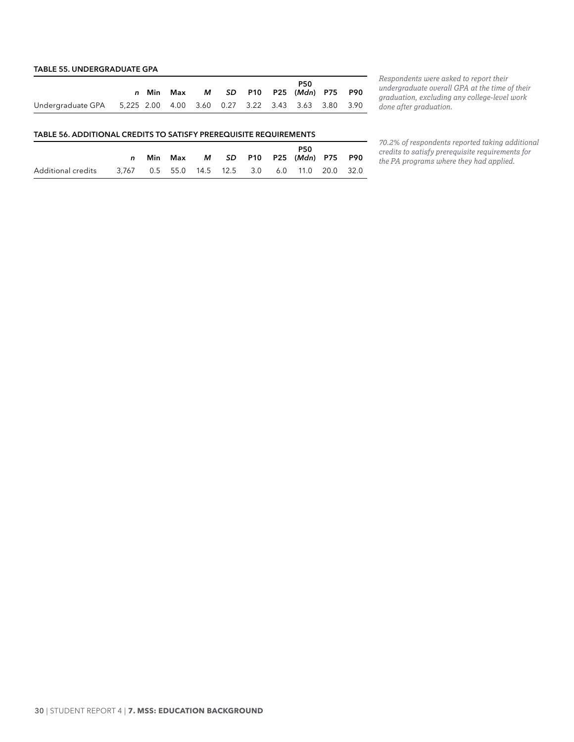#### <span id="page-36-0"></span>**Table 55. UNDERGRADUATE GPA**

|                                                                      | n Min | Max |  |  | <b>P50</b><br>M SD P10 P25 (Mdn) P75 P90 |  |
|----------------------------------------------------------------------|-------|-----|--|--|------------------------------------------|--|
| Undergraduate GPA 5,225 2.00 4.00 3.60 0.27 3.22 3.43 3.63 3.80 3.90 |       |     |  |  |                                          |  |

*Respondents were asked to report their undergraduate overall GPA at the time of their graduation, excluding any college-level work done after graduation.*

#### **Table 56. ADDITIONAL CREDITS TO SATISFY PREREQUISITE REQUIREMENTS**

|                    | Min | Max |  |  | <b>P50</b><br>M SD P10 P25 (Mdn) P75 P90                 |  |
|--------------------|-----|-----|--|--|----------------------------------------------------------|--|
| Additional credits |     |     |  |  | 3.767  0.5  55.0  14.5  12.5  3.0  6.0  11.0  20.0  32.0 |  |

*70.2% of respondents reported taking additional credits to satisfy prerequisite requirements for the PA programs where they had applied.*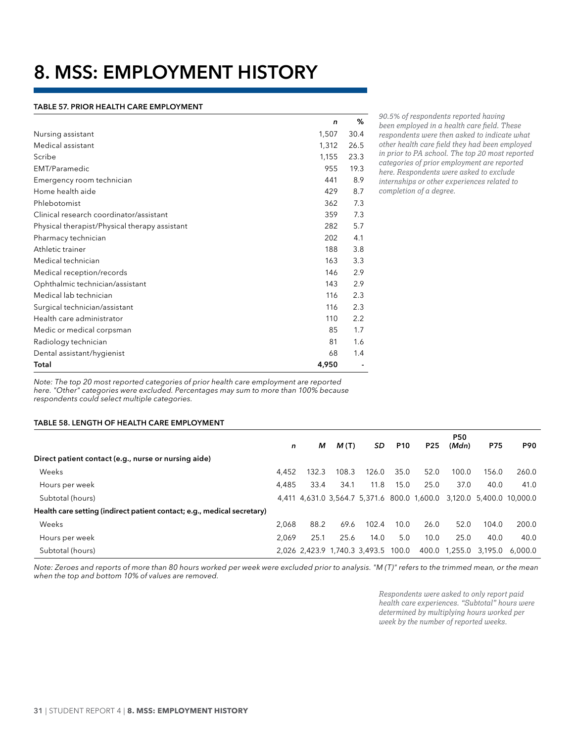# <span id="page-37-0"></span>**8. MSS: EMPLOYMENT HISTORY**

#### **Table 57. PRIOR HEALTH CARE EMPLOYMENT**

|                                               | n     | %    |
|-----------------------------------------------|-------|------|
| Nursing assistant                             | 1,507 | 30.4 |
| Medical assistant                             | 1,312 | 26.5 |
| Scribe                                        | 1,155 | 23.3 |
| EMT/Paramedic                                 | 955   | 19.3 |
| Emergency room technician                     | 441   | 8.9  |
| Home health aide                              | 429   | 8.7  |
| Phlebotomist                                  | 362   | 7.3  |
| Clinical research coordinator/assistant       | 359   | 7.3  |
| Physical therapist/Physical therapy assistant | 282   | 5.7  |
| Pharmacy technician                           | 202   | 4.1  |
| Athletic trainer                              | 188   | 3.8  |
| Medical technician                            | 163   | 3.3  |
| Medical reception/records                     | 146   | 2.9  |
| Ophthalmic technician/assistant               | 143   | 2.9  |
| Medical lab technician                        | 116   | 2.3  |
| Surgical technician/assistant                 | 116   | 2.3  |
| Health care administrator                     | 110   | 2.2  |
| Medic or medical corpsman                     | 85    | 1.7  |
| Radiology technician                          | 81    | 1.6  |
| Dental assistant/hygienist                    | 68    | 1.4  |
| Total                                         | 4,950 |      |

*90.5% of respondents reported having been employed in a health care field. These respondents were then asked to indicate what other health care field they had been employed in prior to PA school. The top 20 most reported categories of prior employment are reported here. Respondents were asked to exclude internships or other experiences related to* 

*completion of a degree.*

*Note: The top 20 most reported categories of prior health care employment are reported here. "Other" categories were excluded. Percentages may sum to more than 100% because respondents could select multiple categories.*

#### **Table 58. LENGTH OF HEALTH CARE EMPLOYMENT**

|                                                                         |       |       |       |                                     |            |                 | P50     |            |                                                                      |
|-------------------------------------------------------------------------|-------|-------|-------|-------------------------------------|------------|-----------------|---------|------------|----------------------------------------------------------------------|
|                                                                         | n     | м     | M(T)  | SD.                                 | <b>P10</b> | P <sub>25</sub> | (Mdn)   | <b>P75</b> | <b>P90</b>                                                           |
| Direct patient contact (e.g., nurse or nursing aide)                    |       |       |       |                                     |            |                 |         |            |                                                                      |
| Weeks                                                                   | 4.452 | 132.3 | 108.3 | 126.0                               | 35.0       | 52.0            | 100.0   | 156.0      | 260.0                                                                |
| Hours per week                                                          | 4.485 | 33.4  | 34.1  | 11.8                                | 15.0       | 25.0            | 37.0    | 40.0       | 41.0                                                                 |
| Subtotal (hours)                                                        |       |       |       |                                     |            |                 |         |            | 4,411 4,631.0 3,564.7 5,371.6 800.0 1,600.0 3,120.0 5,400.0 10,000.0 |
| Health care setting (indirect patient contact; e.g., medical secretary) |       |       |       |                                     |            |                 |         |            |                                                                      |
| Weeks                                                                   | 2.068 | 88.2  | 69.6  | 102.4                               | 10.0       | 26.0            | 52.0    | 104.0      | 200.0                                                                |
| Hours per week                                                          | 2.069 | 25.1  | 25.6  | 14.0                                | 5.0        | 10.0            | 25.0    | 40.0       | 40.0                                                                 |
| Subtotal (hours)                                                        |       |       |       | 2,026 2,423.9 1,740.3 3,493.5 100.0 |            | 400.0           | 1,255.0 | 3.195.0    | 6.000.0                                                              |

*Note: Zeroes and reports of more than 80 hours worked per week were excluded prior to analysis. "M (T)" refers to the trimmed mean, or the mean when the top and bottom 10% of values are removed.*

> *Respondents were asked to only report paid health care experiences. "Subtotal" hours were determined by multiplying hours worked per week by the number of reported weeks.*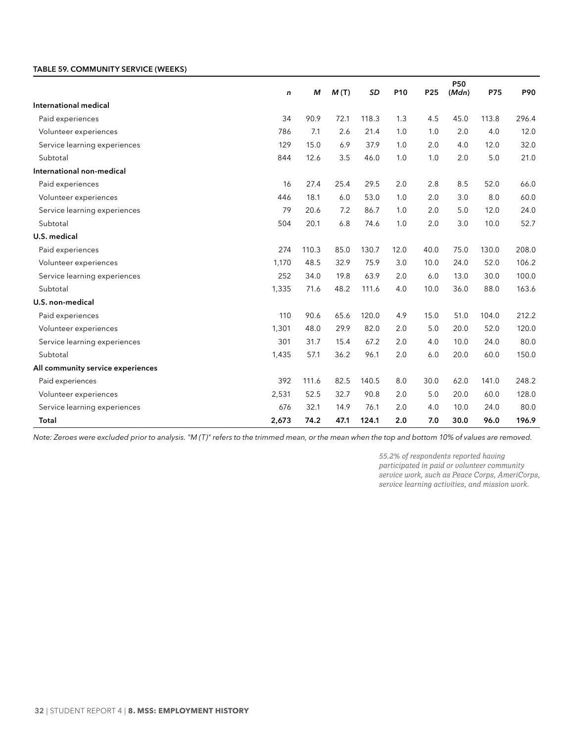#### <span id="page-38-0"></span>**Table 59. COMMUNITY SERVICE (WEEKS)**

|                                   | n     | м     | M(T) | <b>SD</b> | P10  | P <sub>25</sub> | <b>P50</b><br>(Mdn) | P75   | P90   |
|-----------------------------------|-------|-------|------|-----------|------|-----------------|---------------------|-------|-------|
| International medical             |       |       |      |           |      |                 |                     |       |       |
|                                   | 34    | 90.9  |      | 118.3     |      |                 |                     |       | 296.4 |
| Paid experiences                  |       |       | 72.1 |           | 1.3  | 4.5             | 45.0                | 113.8 |       |
| Volunteer experiences             | 786   | 7.1   | 2.6  | 21.4      | 1.0  | 1.0             | 2.0                 | 4.0   | 12.0  |
| Service learning experiences      | 129   | 15.0  | 6.9  | 37.9      | 1.0  | 2.0             | 4.0                 | 12.0  | 32.0  |
| Subtotal                          | 844   | 12.6  | 3.5  | 46.0      | 1.0  | 1.0             | 2.0                 | 5.0   | 21.0  |
| International non-medical         |       |       |      |           |      |                 |                     |       |       |
| Paid experiences                  | 16    | 27.4  | 25.4 | 29.5      | 2.0  | 2.8             | 8.5                 | 52.0  | 66.0  |
| Volunteer experiences             | 446   | 18.1  | 6.0  | 53.0      | 1.0  | 2.0             | 3.0                 | 8.0   | 60.0  |
| Service learning experiences      | 79    | 20.6  | 7.2  | 86.7      | 1.0  | 2.0             | 5.0                 | 12.0  | 24.0  |
| Subtotal                          | 504   | 20.1  | 6.8  | 74.6      | 1.0  | 2.0             | 3.0                 | 10.0  | 52.7  |
| U.S. medical                      |       |       |      |           |      |                 |                     |       |       |
| Paid experiences                  | 274   | 110.3 | 85.0 | 130.7     | 12.0 | 40.0            | 75.0                | 130.0 | 208.0 |
| Volunteer experiences             | 1,170 | 48.5  | 32.9 | 75.9      | 3.0  | 10.0            | 24.0                | 52.0  | 106.2 |
| Service learning experiences      | 252   | 34.0  | 19.8 | 63.9      | 2.0  | 6.0             | 13.0                | 30.0  | 100.0 |
| Subtotal                          | 1,335 | 71.6  | 48.2 | 111.6     | 4.0  | 10.0            | 36.0                | 88.0  | 163.6 |
| U.S. non-medical                  |       |       |      |           |      |                 |                     |       |       |
| Paid experiences                  | 110   | 90.6  | 65.6 | 120.0     | 4.9  | 15.0            | 51.0                | 104.0 | 212.2 |
| Volunteer experiences             | 1,301 | 48.0  | 29.9 | 82.0      | 2.0  | 5.0             | 20.0                | 52.0  | 120.0 |
| Service learning experiences      | 301   | 31.7  | 15.4 | 67.2      | 2.0  | 4.0             | 10.0                | 24.0  | 80.0  |
| Subtotal                          | 1,435 | 57.1  | 36.2 | 96.1      | 2.0  | 6.0             | 20.0                | 60.0  | 150.0 |
| All community service experiences |       |       |      |           |      |                 |                     |       |       |
| Paid experiences                  | 392   | 111.6 | 82.5 | 140.5     | 8.0  | 30.0            | 62.0                | 141.0 | 248.2 |
| Volunteer experiences             | 2,531 | 52.5  | 32.7 | 90.8      | 2.0  | 5.0             | 20.0                | 60.0  | 128.0 |
| Service learning experiences      | 676   | 32.1  | 14.9 | 76.1      | 2.0  | 4.0             | 10.0                | 24.0  | 80.0  |
| Total                             | 2,673 | 74.2  | 47.1 | 124.1     | 2.0  | 7.0             | 30.0                | 96.0  | 196.9 |

*Note: Zeroes were excluded prior to analysis. "M (T)" refers to the trimmed mean, or the mean when the top and bottom 10% of values are removed.*

*55.2% of respondents reported having participated in paid or volunteer community service work, such as Peace Corps, AmeriCorps, service learning activities, and mission work.*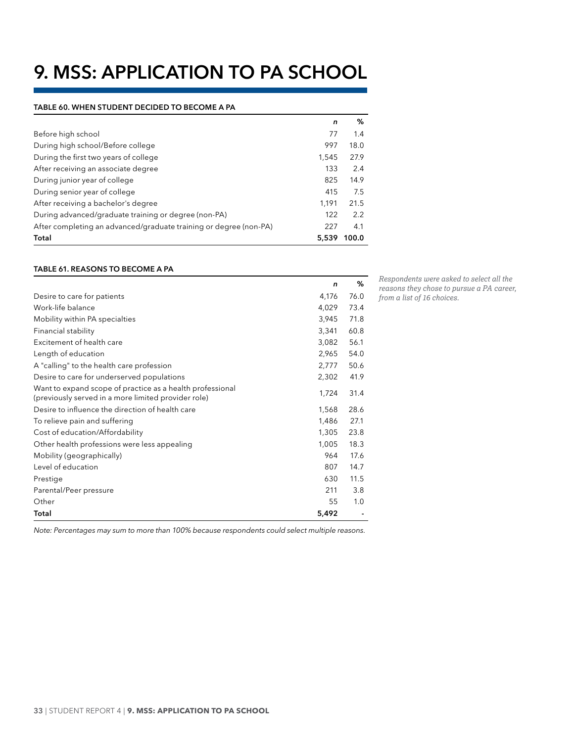# <span id="page-39-0"></span>**9. MSS: APPLICATION TO PA SCHOOL**

#### **Table 60. WHEN STUDENT DECIDED TO BECOME A PA**

|                                                                   | n     | %     |
|-------------------------------------------------------------------|-------|-------|
| Before high school                                                | 77    | 1.4   |
| During high school/Before college                                 | 997   | 18.0  |
| During the first two years of college                             | 1.545 | 27.9  |
| After receiving an associate degree                               | 133   | 2.4   |
| During junior year of college                                     | 825   | 14.9  |
| During senior year of college                                     | 415   | 7.5   |
| After receiving a bachelor's degree                               | 1.191 | 21.5  |
| During advanced/graduate training or degree (non-PA)              | 122   | 2.2   |
| After completing an advanced/graduate training or degree (non-PA) | 227   | 4.1   |
| Total                                                             | 5.539 | 100.0 |

#### **Table 61. REASONS TO BECOME A PA**

|                                                                                                                  | n     | %    |
|------------------------------------------------------------------------------------------------------------------|-------|------|
| Desire to care for patients                                                                                      | 4,176 | 76.0 |
| Work-life balance                                                                                                | 4,029 | 73.4 |
| Mobility within PA specialties                                                                                   | 3,945 | 71.8 |
| Financial stability                                                                                              | 3,341 | 60.8 |
| Excitement of health care                                                                                        | 3,082 | 56.1 |
| Length of education                                                                                              | 2,965 | 54.0 |
| A "calling" to the health care profession                                                                        | 2,777 | 50.6 |
| Desire to care for underserved populations                                                                       | 2,302 | 41.9 |
| Want to expand scope of practice as a health professional<br>(previously served in a more limited provider role) | 1,724 | 31.4 |
| Desire to influence the direction of health care                                                                 | 1,568 | 28.6 |
| To relieve pain and suffering                                                                                    | 1,486 | 27.1 |
| Cost of education/Affordability                                                                                  | 1,305 | 23.8 |
| Other health professions were less appealing                                                                     | 1,005 | 18.3 |
| Mobility (geographically)                                                                                        | 964   | 17.6 |
| Level of education                                                                                               | 807   | 14.7 |
| Prestige                                                                                                         | 630   | 11.5 |
| Parental/Peer pressure                                                                                           | 211   | 3.8  |
| Other                                                                                                            | 55    | 1.0  |
| Total                                                                                                            | 5,492 |      |

*Respondents were asked to select all the reasons they chose to pursue a PA career, from a list of 16 choices.* 

*Note: Percentages may sum to more than 100% because respondents could select multiple reasons.*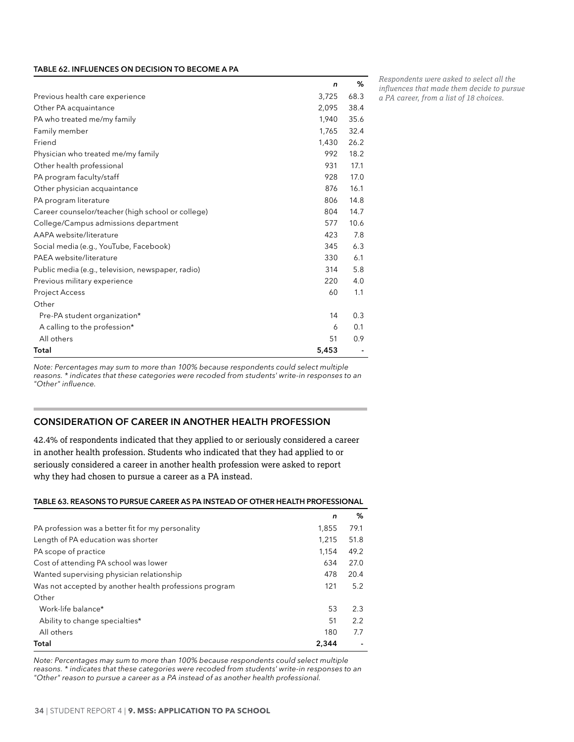#### <span id="page-40-0"></span>**Table 62. INFLUENCES ON DECISION TO BECOME A PA**

|                                                   | n     | ℅    |
|---------------------------------------------------|-------|------|
| Previous health care experience                   | 3,725 | 68.3 |
| Other PA acquaintance                             | 2,095 | 38.4 |
| PA who treated me/my family                       | 1,940 | 35.6 |
| Family member                                     | 1,765 | 32.4 |
| Friend                                            | 1,430 | 26.2 |
| Physician who treated me/my family                | 992   | 18.2 |
| Other health professional                         | 931   | 17.1 |
| PA program faculty/staff                          | 928   | 17.0 |
| Other physician acquaintance                      | 876   | 16.1 |
| PA program literature                             | 806   | 14.8 |
| Career counselor/teacher (high school or college) | 804   | 14.7 |
| College/Campus admissions department              | 577   | 10.6 |
| AAPA website/literature                           | 423   | 7.8  |
| Social media (e.g., YouTube, Facebook)            | 345   | 6.3  |
| PAEA website/literature                           | 330   | 6.1  |
| Public media (e.g., television, newspaper, radio) | 314   | 5.8  |
| Previous military experience                      | 220   | 4.0  |
| Project Access                                    | 60    | 1.1  |
| Other                                             |       |      |
| Pre-PA student organization*                      | 14    | 0.3  |
| A calling to the profession*                      | 6     | 0.1  |
| All others                                        | 51    | 0.9  |
| Total                                             | 5,453 |      |

*Respondents were asked to select all the influences that made them decide to pursue* 

*a PA career, from a list of 18 choices.* 

*Note: Percentages may sum to more than 100% because respondents could select multiple reasons. \* indicates that these categories were recoded from students' write-in responses to an "Other" influence.*

### **CONSIDERATION OF CAREER IN ANOTHER HEALTH PROFESSION**

42.4% of respondents indicated that they applied to or seriously considered a career in another health profession. Students who indicated that they had applied to or seriously considered a career in another health profession were asked to report why they had chosen to pursue a career as a PA instead.

#### **Table 63. REASONS TO PURSUE CAREER AS PA INSTEAD OF OTHER HEALTH PROFESSIONAL**

|                                                        | n     | ℅    |
|--------------------------------------------------------|-------|------|
| PA profession was a better fit for my personality      | 1.855 | 79.1 |
| Length of PA education was shorter                     | 1.215 | 51.8 |
| PA scope of practice                                   | 1.154 | 49.2 |
| Cost of attending PA school was lower                  | 634   | 27.0 |
| Wanted supervising physician relationship              | 478   | 20.4 |
| Was not accepted by another health professions program | 121   | 5.2  |
| Other                                                  |       |      |
| Work-life balance*                                     | 53    | 2.3  |
| Ability to change specialties*                         | 51    | 2.2  |
| All others                                             | 180   | 7.7  |
| Total                                                  | 2,344 |      |

*Note: Percentages may sum to more than 100% because respondents could select multiple reasons. \* indicates that these categories were recoded from students' write-in responses to an "Other" reason to pursue a career as a PA instead of as another health professional.*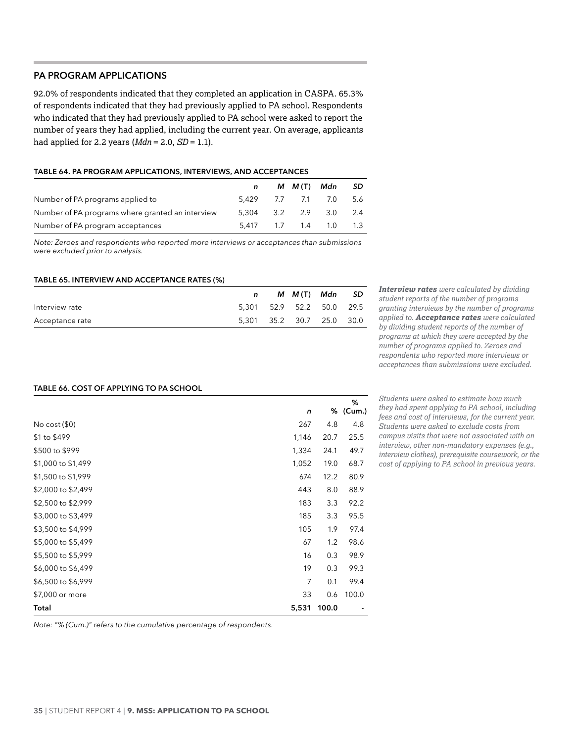# <span id="page-41-0"></span>**PA PROGRAM APPLICATIONS**

92.0% of respondents indicated that they completed an application in CASPA. 65.3% of respondents indicated that they had previously applied to PA school. Respondents who indicated that they had previously applied to PA school were asked to report the number of years they had applied, including the current year. On average, applicants had applied for 2.2 years (*Mdn* = 2.0, *SD* = 1.1).

#### **Table 64. PA PROGRAM APPLICATIONS, INTERVIEWS, AND ACCEPTANCES**

|                                                  | $\mathsf{n}$          | M M(T) Mdn SD |  |
|--------------------------------------------------|-----------------------|---------------|--|
| Number of PA programs applied to                 | 5.429 7.7 7.1 7.0 5.6 |               |  |
| Number of PA programs where granted an interview | 5,304 3.2 2.9 3.0 2.4 |               |  |
| Number of PA program acceptances                 | 5.417 1.7 1.4 1.0 1.3 |               |  |

*Note: Zeroes and respondents who reported more interviews or acceptances than submissions were excluded prior to analysis.*

#### **Table 65. INTERVIEW AND ACCEPTANCE RATES (%)**

|                 |                           | M M(T) Mdn | - SD |
|-----------------|---------------------------|------------|------|
| Interview rate  | 5.301 52.9 52.2 50.0 29.5 |            |      |
| Acceptance rate | 5.301 35.2 30.7 25.0 30.0 |            |      |

*Interview rates were calculated by dividing student reports of the number of programs granting interviews by the number of programs applied to. Acceptance rates were calculated by dividing student reports of the number of programs at which they were accepted by the number of programs applied to. Zeroes and respondents who reported more interviews or acceptances than submissions were excluded.*

#### **Table 66. COST OF APPLYING TO PA SCHOOL**

|                    | n              | %     | %<br>(Cum.) |
|--------------------|----------------|-------|-------------|
| No cost $(\$0)$    | 267            | 4.8   | 4.8         |
| \$1 to \$499       | 1,146          | 20.7  | 25.5        |
| \$500 to \$999     | 1,334          | 24.1  | 49.7        |
| \$1,000 to \$1,499 | 1,052          | 19.0  | 68.7        |
| \$1,500 to \$1,999 | 674            | 12.2  | 80.9        |
| \$2,000 to \$2,499 | 443            | 8.0   | 88.9        |
| \$2,500 to \$2,999 | 183            | 3.3   | 92.2        |
| \$3,000 to \$3,499 | 185            | 3.3   | 95.5        |
| \$3,500 to \$4,999 | 105            | 1.9   | 97.4        |
| \$5,000 to \$5,499 | 67             | 1.2   | 98.6        |
| \$5,500 to \$5,999 | 16             | 0.3   | 98.9        |
| \$6,000 to \$6,499 | 19             | 0.3   | 99.3        |
| \$6,500 to \$6,999 | $\overline{7}$ | 0.1   | 99.4        |
| \$7,000 or more    | 33             | 0.6   | 100.0       |
| Total              | 5,531          | 100.0 |             |

*Students were asked to estimate how much they had spent applying to PA school, including fees and cost of interviews, for the current year. Students were asked to exclude costs from campus visits that were not associated with an interview, other non-mandatory expenses (e.g., interview clothes), prerequisite coursework, or the cost of applying to PA school in previous years.*

*Note: "% (Cum.)" refers to the cumulative percentage of respondents.*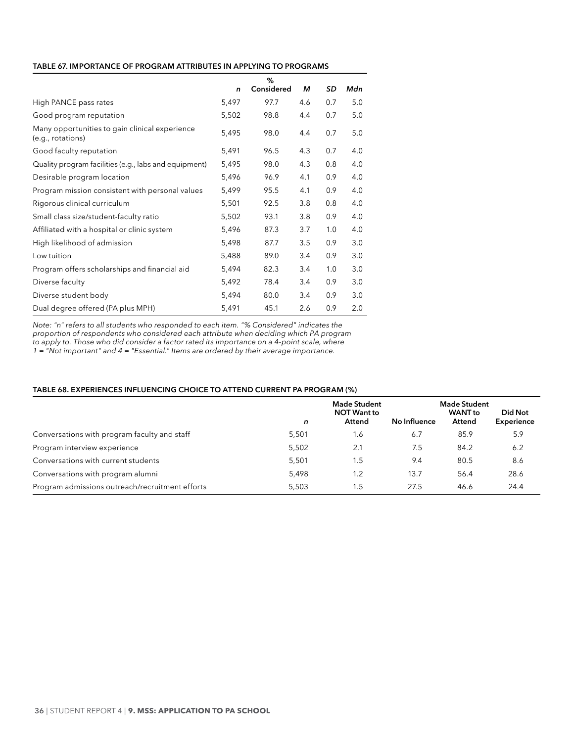#### <span id="page-42-0"></span>**Table 67. IMPORTANCE OF PROGRAM ATTRIBUTES IN APPLYING TO PROGRAMS**

|                                                                     |       | %          |     |     |     |
|---------------------------------------------------------------------|-------|------------|-----|-----|-----|
|                                                                     | n     | Considered | м   | SD  | Mdn |
| High PANCE pass rates                                               | 5,497 | 97.7       | 4.6 | 0.7 | 5.0 |
| Good program reputation                                             | 5,502 | 98.8       | 4.4 | 0.7 | 5.0 |
| Many opportunities to gain clinical experience<br>(e.g., rotations) | 5,495 | 98.0       | 4.4 | 0.7 | 5.0 |
| Good faculty reputation                                             | 5,491 | 96.5       | 4.3 | 0.7 | 4.0 |
| Quality program facilities (e.g., labs and equipment)               | 5,495 | 98.0       | 4.3 | 0.8 | 4.0 |
| Desirable program location                                          | 5,496 | 96.9       | 4.1 | 0.9 | 4.0 |
| Program mission consistent with personal values                     | 5,499 | 95.5       | 4.1 | 0.9 | 4.0 |
| Rigorous clinical curriculum                                        | 5,501 | 92.5       | 3.8 | 0.8 | 4.0 |
| Small class size/student-faculty ratio                              | 5,502 | 93.1       | 3.8 | 0.9 | 4.0 |
| Affiliated with a hospital or clinic system                         | 5,496 | 87.3       | 3.7 | 1.0 | 4.0 |
| High likelihood of admission                                        | 5,498 | 87.7       | 3.5 | 0.9 | 3.0 |
| Low tuition                                                         | 5,488 | 89.0       | 3.4 | 0.9 | 3.0 |
| Program offers scholarships and financial aid                       | 5,494 | 82.3       | 3.4 | 1.0 | 3.0 |
| Diverse faculty                                                     | 5,492 | 78.4       | 3.4 | 0.9 | 3.0 |
| Diverse student body                                                | 5,494 | 80.0       | 3.4 | 0.9 | 3.0 |
| Dual degree offered (PA plus MPH)                                   | 5,491 | 45.1       | 2.6 | 0.9 | 2.0 |

*Note: "n" refers to all students who responded to each item. "% Considered" indicates the proportion of respondents who considered each attribute when deciding which PA program to apply to. Those who did consider a factor rated its importance on a 4-point scale, where 1 = "Not important" and 4 = "Essential." Items are ordered by their average importance.*

#### **Table 68. EXPERIENCES INFLUENCING CHOICE TO ATTEND CURRENT PA PROGRAM (%)**

|                                                 | n     | <b>Made Student</b><br><b>NOT Want to</b><br>Attend | No Influence | <b>Made Student</b><br><b>WANT</b> to<br>Attend | Did Not<br>Experience |
|-------------------------------------------------|-------|-----------------------------------------------------|--------------|-------------------------------------------------|-----------------------|
| Conversations with program faculty and staff    | 5,501 | 1.6                                                 | 6.7          | 85.9                                            | 5.9                   |
| Program interview experience                    | 5,502 | 2.1                                                 | 7.5          | 84.2                                            | 6.2                   |
| Conversations with current students             | 5.501 | 1.5                                                 | 9.4          | 80.5                                            | 8.6                   |
| Conversations with program alumni               | 5,498 | 1.2                                                 | 13.7         | 56.4                                            | 28.6                  |
| Program admissions outreach/recruitment efforts | 5,503 | 1.5                                                 | 27.5         | 46.6                                            | 24.4                  |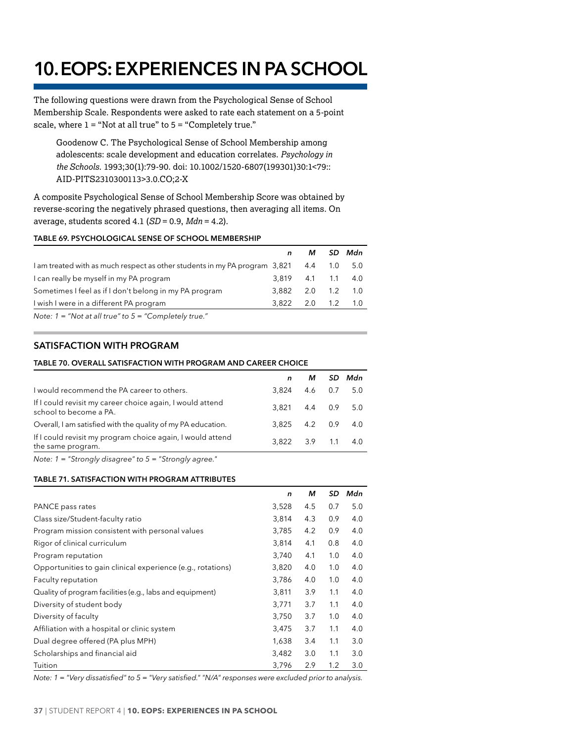# <span id="page-43-0"></span>**10. EOPS: EXPERIENCES IN PA SCHOOL**

The following questions were drawn from the Psychological Sense of School Membership Scale. Respondents were asked to rate each statement on a 5-point scale, where  $1 = "Not at all true"$  to  $5 = "Completely true."$ 

Goodenow C. The Psychological Sense of School Membership among adolescents: scale development and education correlates. *Psychology in the Schools*. 1993;30(1):79-90. doi: 10.1002/1520-6807(199301)30:1<79:: AID-PITS2310300113>3.0.CO;2-X

A composite Psychological Sense of School Membership Score was obtained by reverse-scoring the negatively phrased questions, then averaging all items. On average, students scored 4.1 (*SD* = 0.9, *Mdn* = 4.2).

#### **Table 69. PSYCHOLOGICAL SENSE OF SCHOOL MEMBERSHIP**

|                                                                            | n     | м               |         | - SD Mdn |
|----------------------------------------------------------------------------|-------|-----------------|---------|----------|
| 1 am treated with as much respect as other students in my PA program 3,821 |       | 4.4             | 1.0     | 5.0      |
| I can really be myself in my PA program                                    | 3819  |                 | 4.1 1.1 | - 4.0    |
| Sometimes I feel as if I don't belong in my PA program                     | 3.882 | $2.0 \quad 1.2$ |         | $-1.0$   |
| I wish I were in a different PA program                                    | 3.822 | $2.0$ 1.2       |         | $-1.0$   |
| Note: $1 =$ "Not at all true" to $5 =$ "Completely true."                  |       |                 |         |          |

# **SATISFACTION WITH PROGRAM**

#### **Table 70. OVERALL SATISFACTION WITH PROGRAM AND CAREER CHOICE**

|                                                                                     |                   | м         |         | SD Mdn    |
|-------------------------------------------------------------------------------------|-------------------|-----------|---------|-----------|
| I would recommend the PA career to others.                                          | 3.824             | 4.6       |         | $0.7$ 5.0 |
| If I could revisit my career choice again, I would attend<br>school to become a PA. | 3.821             |           | 4.4 0.9 | 5.0       |
| Overall, I am satisfied with the quality of my PA education.                        | $3.825$ $4.2$ 0.9 |           |         | 4.0       |
| If I could revisit my program choice again, I would attend<br>the same program.     | 3.822             | $3.9$ 1.1 |         | 4.0       |
|                                                                                     |                   |           |         |           |

*Note: 1 = "Strongly disagree" to 5 = "Strongly agree."*

#### **Table 71. SATISFACTION WITH PROGRAM ATTRIBUTES**

|                                                             | n     | м   | SD  | Mdn |
|-------------------------------------------------------------|-------|-----|-----|-----|
| PANCE pass rates                                            | 3,528 | 4.5 | 0.7 | 5.0 |
| Class size/Student-faculty ratio                            | 3,814 | 4.3 | 0.9 | 4.0 |
| Program mission consistent with personal values             | 3,785 | 4.2 | 0.9 | 4.0 |
| Rigor of clinical curriculum                                | 3,814 | 4.1 | 0.8 | 4.0 |
| Program reputation                                          | 3,740 | 4.1 | 1.0 | 4.0 |
| Opportunities to gain clinical experience (e.g., rotations) | 3,820 | 4.0 | 1.0 | 4.0 |
| Faculty reputation                                          | 3,786 | 4.0 | 1.0 | 4.0 |
| Quality of program facilities (e.g., labs and equipment)    | 3,811 | 3.9 | 1.1 | 4.0 |
| Diversity of student body                                   | 3,771 | 3.7 | 1.1 | 4.0 |
| Diversity of faculty                                        | 3,750 | 3.7 | 1.0 | 4.0 |
| Affiliation with a hospital or clinic system                | 3,475 | 3.7 | 1.1 | 4.0 |
| Dual degree offered (PA plus MPH)                           | 1,638 | 3.4 | 1.1 | 3.0 |
| Scholarships and financial aid                              | 3,482 | 3.0 | 1.1 | 3.0 |
| Tuition                                                     | 3,796 | 2.9 | 1.2 | 3.0 |

*Note: 1 = "Very dissatisfied" to 5 = "Very satisfied." "N/A" responses were excluded prior to analysis.*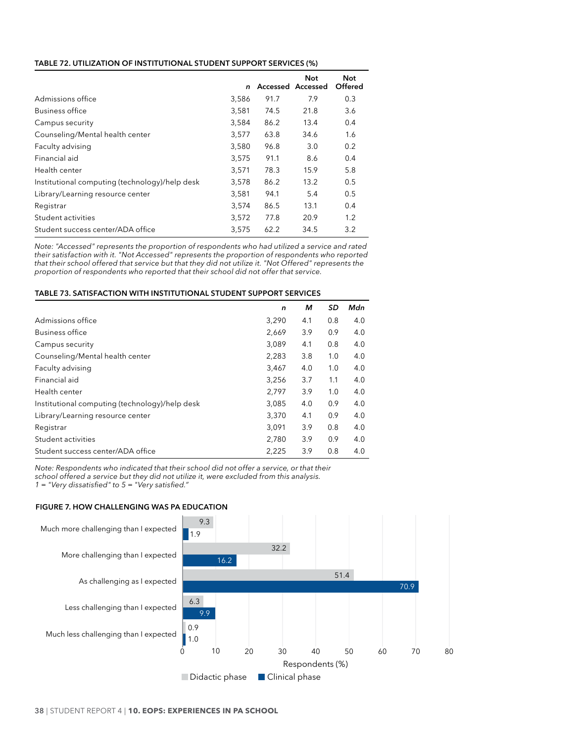#### <span id="page-44-0"></span>**Table 72. UTILIZATION OF INSTITUTIONAL STUDENT SUPPORT SERVICES (%)**

|                                                | n     |      | Not<br>Accessed Accessed | Not<br>Offered |
|------------------------------------------------|-------|------|--------------------------|----------------|
| Admissions office                              | 3,586 | 91.7 | 7.9                      | 0.3            |
| <b>Business office</b>                         | 3,581 | 74.5 | 21.8                     | 3.6            |
| Campus security                                | 3,584 | 86.2 | 13.4                     | 0.4            |
| Counseling/Mental health center                | 3,577 | 63.8 | 34.6                     | 1.6            |
| Faculty advising                               | 3,580 | 96.8 | 3.0                      | 0.2            |
| Financial aid                                  | 3,575 | 91.1 | 8.6                      | 0.4            |
| Health center                                  | 3,571 | 78.3 | 15.9                     | 5.8            |
| Institutional computing (technology)/help desk | 3,578 | 86.2 | 13.2                     | 0.5            |
| Library/Learning resource center               | 3,581 | 94.1 | 5.4                      | 0.5            |
| Registrar                                      | 3,574 | 86.5 | 13.1                     | 0.4            |
| Student activities                             | 3,572 | 77.8 | 20.9                     | 1.2            |
| Student success center/ADA office              | 3.575 | 62.2 | 34.5                     | 3.2            |

*Note: "Accessed" represents the proportion of respondents who had utilized a service and rated their satisfaction with it. "Not Accessed" represents the proportion of respondents who reported that their school offered that service but that they did not utilize it. "Not Offered" represents the proportion of respondents who reported that their school did not offer that service.*

#### **Table 73. SATISFACTION WITH INSTITUTIONAL STUDENT SUPPORT SERVICES**

|                                                | n     | м   | SD  | Mdn |
|------------------------------------------------|-------|-----|-----|-----|
| Admissions office                              | 3,290 | 4.1 | 0.8 | 4.0 |
| <b>Business office</b>                         | 2,669 | 3.9 | 0.9 | 4.0 |
| Campus security                                | 3,089 | 4.1 | 0.8 | 4.0 |
| Counseling/Mental health center                | 2,283 | 3.8 | 1.0 | 4.0 |
| Faculty advising                               | 3,467 | 4.0 | 1.0 | 4.0 |
| Financial aid                                  | 3,256 | 3.7 | 1.1 | 4.0 |
| Health center                                  | 2,797 | 3.9 | 1.0 | 4.0 |
| Institutional computing (technology)/help desk | 3,085 | 4.0 | 0.9 | 4.0 |
| Library/Learning resource center               | 3,370 | 4.1 | 0.9 | 4.0 |
| Registrar                                      | 3.091 | 3.9 | 0.8 | 4.0 |
| Student activities                             | 2.780 | 3.9 | 0.9 | 4.0 |
| Student success center/ADA office              | 2,225 | 3.9 | 0.8 | 4.0 |

*Note: Respondents who indicated that their school did not offer a service, or that their school offered a service but they did not utilize it, were excluded from this analysis. 1 = "Very dissatisfied" to 5 = "Very satisfied."*

#### **Figure 7. HOW CHALLENGING WAS PA EDUCATION**

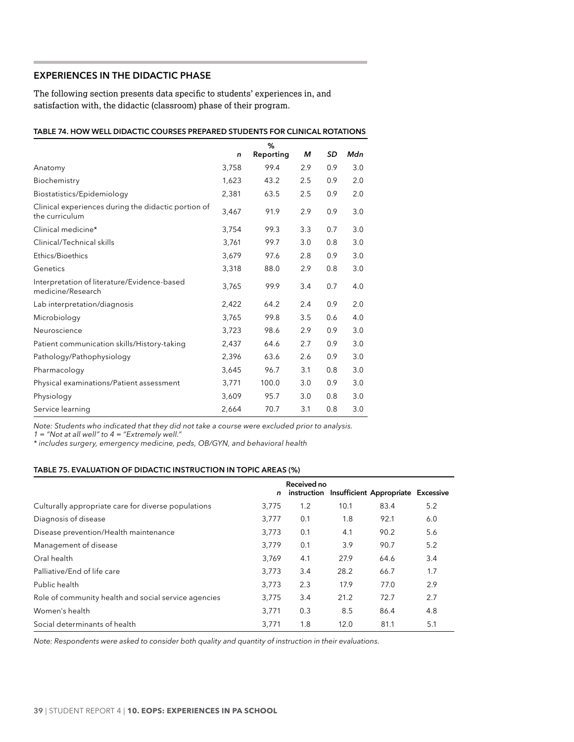# <span id="page-45-0"></span>**EXPERIENCES IN THE DIDACTIC PHASE**

The following section presents data specific to students' experiences in, and satisfaction with, the didactic (classroom) phase of their program.

| TABLE 74. HOW WELL DIDACTIC COURSES PREPARED STUDENTS FOR CLINICAL ROTATIONS |              |           |     |     |     |
|------------------------------------------------------------------------------|--------------|-----------|-----|-----|-----|
|                                                                              |              | %         |     |     |     |
|                                                                              | $\mathsf{n}$ | Reporting | м   | SD  | Mdn |
| Anatomy                                                                      | 3,758        | 99.4      | 2.9 | 0.9 | 3.0 |
| Biochemistry                                                                 | 1,623        | 43.2      | 2.5 | 0.9 | 2.0 |
| Biostatistics/Epidemiology                                                   | 2,381        | 63.5      | 2.5 | 0.9 | 2.0 |
| Clinical experiences during the didactic portion of<br>the curriculum        | 3,467        | 91.9      | 2.9 | 0.9 | 3.0 |
| Clinical medicine*                                                           | 3,754        | 99.3      | 3.3 | 0.7 | 3.0 |
| Clinical/Technical skills                                                    | 3,761        | 99.7      | 3.0 | 0.8 | 3.0 |
| Ethics/Bioethics                                                             | 3,679        | 97.6      | 2.8 | 0.9 | 3.0 |
| Genetics                                                                     | 3,318        | 88.0      | 2.9 | 0.8 | 3.0 |
| Interpretation of literature/Evidence-based<br>medicine/Research             | 3,765        | 99.9      | 3.4 | 0.7 | 4.0 |
| Lab interpretation/diagnosis                                                 | 2,422        | 64.2      | 2.4 | 0.9 | 2.0 |
| Microbiology                                                                 | 3,765        | 99.8      | 3.5 | 0.6 | 4.0 |
| Neuroscience                                                                 | 3,723        | 98.6      | 2.9 | 0.9 | 3.0 |
| Patient communication skills/History-taking                                  | 2,437        | 64.6      | 2.7 | 0.9 | 3.0 |
| Pathology/Pathophysiology                                                    | 2,396        | 63.6      | 2.6 | 0.9 | 3.0 |
| Pharmacology                                                                 | 3,645        | 96.7      | 3.1 | 0.8 | 3.0 |
| Physical examinations/Patient assessment                                     | 3,771        | 100.0     | 3.0 | 0.9 | 3.0 |
| Physiology                                                                   | 3,609        | 95.7      | 3.0 | 0.8 | 3.0 |
| Service learning                                                             | 2,664        | 70.7      | 3.1 | 0.8 | 3.0 |

*Note: Students who indicated that they did not take a course were excluded prior to analysis.*

*1 = "Not at all well" to 4 = "Extremely well."*

*\* includes surgery, emergency medicine, peds, OB/GYN, and behavioral health*

#### **Table 75. EVALUATION OF DIDACTIC INSTRUCTION IN TOPIC AREAS (%)**

|                                                               | n | Received no |      | instruction Insufficient Appropriate Excessive |     |
|---------------------------------------------------------------|---|-------------|------|------------------------------------------------|-----|
| Culturally appropriate care for diverse populations<br>3,775  |   | 1.2         | 10.1 | 83.4                                           | 5.2 |
| Diagnosis of disease<br>3,777                                 |   | 0.1         | 1.8  | 92.1                                           | 6.0 |
| Disease prevention/Health maintenance<br>3.773                |   | 0.1         | 4.1  | 90.2                                           | 5.6 |
| Management of disease<br>3,779                                |   | 0.1         | 3.9  | 90.7                                           | 5.2 |
| Oral health<br>3,769                                          |   | 4.1         | 27.9 | 64.6                                           | 3.4 |
| Palliative/End of life care<br>3.773                          |   | 3.4         | 28.2 | 66.7                                           | 1.7 |
| Public health<br>3.773                                        |   | 2.3         | 17.9 | 77.0                                           | 2.9 |
| Role of community health and social service agencies<br>3.775 |   | 3.4         | 21.2 | 72.7                                           | 2.7 |
| Women's health<br>3,771                                       |   | 0.3         | 8.5  | 86.4                                           | 4.8 |
| Social determinants of health<br>3.771                        |   | 1.8         | 12.0 | 81.1                                           | 5.1 |

*Note: Respondents were asked to consider both quality and quantity of instruction in their evaluations.*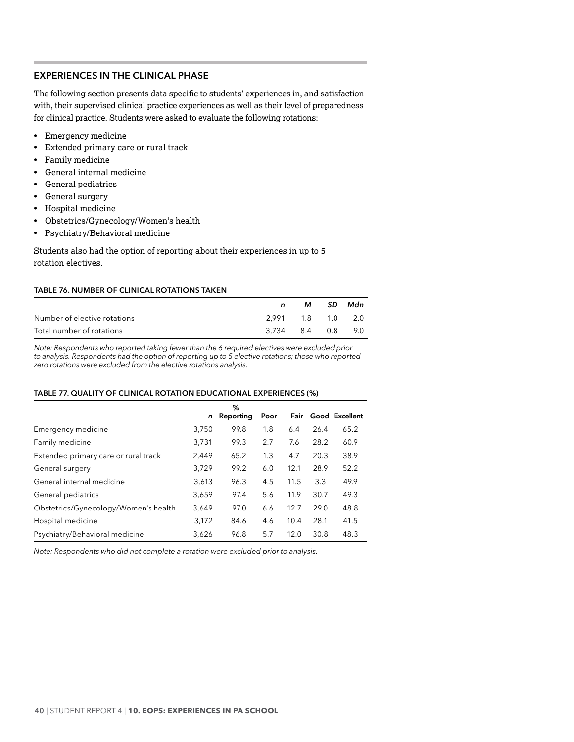# <span id="page-46-0"></span>**EXPERIENCES IN THE CLINICAL PHASE**

The following section presents data specific to students' experiences in, and satisfaction with, their supervised clinical practice experiences as well as their level of preparedness for clinical practice. Students were asked to evaluate the following rotations:

- Emergency medicine
- Extended primary care or rural track
- Family medicine
- General internal medicine
- General pediatrics
- General surgery
- Hospital medicine
- Obstetrics/Gynecology/Women's health
- Psychiatry/Behavioral medicine

Students also had the option of reporting about their experiences in up to 5 rotation electives.

### **Table 76. NUMBER OF CLINICAL ROTATIONS TAKEN**

|                              | n.                | M SD Mdn |  |
|------------------------------|-------------------|----------|--|
| Number of elective rotations | 2.991 1.8 1.0 2.0 |          |  |
| Total number of rotations    | 3.734 8.4 0.8 9.0 |          |  |

*Note: Respondents who reported taking fewer than the 6 required electives were excluded prior to analysis. Respondents had the option of reporting up to 5 elective rotations; those who reported zero rotations were excluded from the elective rotations analysis.*

#### **Table 77. QUALITY OF CLINICAL ROTATION EDUCATIONAL EXPERIENCES (%)**

|                                      |       | ℅         |      |      |      |                |
|--------------------------------------|-------|-----------|------|------|------|----------------|
|                                      | n     | Reporting | Poor | Fair |      | Good Excellent |
| Emergency medicine                   | 3,750 | 99.8      | 1.8  | 6.4  | 26.4 | 65.2           |
| Family medicine                      | 3,731 | 99.3      | 2.7  | 7.6  | 28.2 | 60.9           |
| Extended primary care or rural track | 2,449 | 65.2      | 1.3  | 4.7  | 20.3 | 38.9           |
| General surgery                      | 3,729 | 99.2      | 6.0  | 12.1 | 28.9 | 52.2           |
| General internal medicine            | 3,613 | 96.3      | 4.5  | 11.5 | 3.3  | 49.9           |
| General pediatrics                   | 3,659 | 97.4      | 5.6  | 11.9 | 30.7 | 49.3           |
| Obstetrics/Gynecology/Women's health | 3,649 | 97.0      | 6.6  | 12.7 | 29.0 | 48.8           |
| Hospital medicine                    | 3,172 | 84.6      | 4.6  | 10.4 | 28.1 | 41.5           |
| Psychiatry/Behavioral medicine       | 3,626 | 96.8      | 5.7  | 12.0 | 30.8 | 48.3           |

*Note: Respondents who did not complete a rotation were excluded prior to analysis.*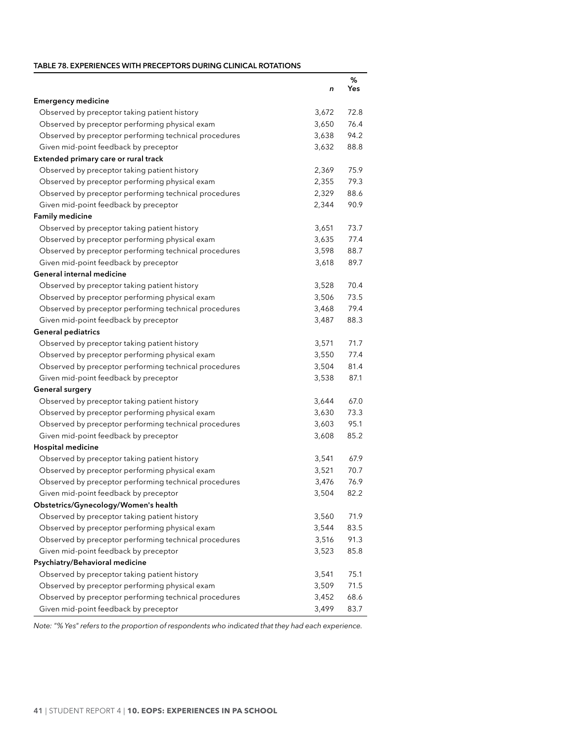### <span id="page-47-0"></span>**Table 78. EXPERIENCES WITH PRECEPTORS DURING CLINICAL ROTATIONS**

| <b>Emergency medicine</b><br>Observed by preceptor taking patient history<br>3,672<br>72.8<br>76.4<br>Observed by preceptor performing physical exam<br>3,650<br>94.2<br>Observed by preceptor performing technical procedures<br>3,638<br>Given mid-point feedback by preceptor<br>3,632<br>88.8<br>Extended primary care or rural track<br>Observed by preceptor taking patient history<br>2,369<br>75.9<br>79.3<br>Observed by preceptor performing physical exam<br>2,355<br>Observed by preceptor performing technical procedures<br>88.6<br>2,329<br>Given mid-point feedback by preceptor<br>90.9<br>2,344<br><b>Family medicine</b><br>Observed by preceptor taking patient history<br>3,651<br>73.7<br>Observed by preceptor performing physical exam<br>3,635<br>77.4<br>Observed by preceptor performing technical procedures<br>3,598<br>88.7<br>89.7<br>Given mid-point feedback by preceptor<br>3,618<br>General internal medicine<br>70.4<br>Observed by preceptor taking patient history<br>3,528<br>Observed by preceptor performing physical exam<br>73.5<br>3,506<br>79.4<br>Observed by preceptor performing technical procedures<br>3,468<br>88.3<br>Given mid-point feedback by preceptor<br>3,487<br><b>General pediatrics</b><br>Observed by preceptor taking patient history<br>3,571<br>71.7<br>Observed by preceptor performing physical exam<br>3,550<br>77.4<br>Observed by preceptor performing technical procedures<br>3,504<br>81.4<br>Given mid-point feedback by preceptor<br>3,538<br>87.1<br>General surgery<br>Observed by preceptor taking patient history<br>3,644<br>67.0<br>73.3<br>Observed by preceptor performing physical exam<br>3,630<br>95.1<br>Observed by preceptor performing technical procedures<br>3,603<br>85.2<br>Given mid-point feedback by preceptor<br>3,608<br>Hospital medicine<br>Observed by preceptor taking patient history<br>3,541<br>67.9<br>70.7<br>Observed by preceptor performing physical exam<br>3,521<br>76.9<br>Observed by preceptor performing technical procedures<br>3,476<br>3,504<br>82.2<br>Given mid-point feedback by preceptor<br>Obstetrics/Gynecology/Women's health<br>71.9<br>Observed by preceptor taking patient history<br>3,560<br>Observed by preceptor performing physical exam<br>3,544<br>83.5<br>Observed by preceptor performing technical procedures<br>3,516<br>91.3<br>Given mid-point feedback by preceptor<br>3,523<br>85.8<br>Psychiatry/Behavioral medicine<br>Observed by preceptor taking patient history<br>3,541<br>75.1<br>Observed by preceptor performing physical exam<br>3,509<br>71.5<br>Observed by preceptor performing technical procedures<br>3,452<br>68.6 |                                       |       | %    |
|---------------------------------------------------------------------------------------------------------------------------------------------------------------------------------------------------------------------------------------------------------------------------------------------------------------------------------------------------------------------------------------------------------------------------------------------------------------------------------------------------------------------------------------------------------------------------------------------------------------------------------------------------------------------------------------------------------------------------------------------------------------------------------------------------------------------------------------------------------------------------------------------------------------------------------------------------------------------------------------------------------------------------------------------------------------------------------------------------------------------------------------------------------------------------------------------------------------------------------------------------------------------------------------------------------------------------------------------------------------------------------------------------------------------------------------------------------------------------------------------------------------------------------------------------------------------------------------------------------------------------------------------------------------------------------------------------------------------------------------------------------------------------------------------------------------------------------------------------------------------------------------------------------------------------------------------------------------------------------------------------------------------------------------------------------------------------------------------------------------------------------------------------------------------------------------------------------------------------------------------------------------------------------------------------------------------------------------------------------------------------------------------------------------------------------------------------------------------------------------------------------------------------------------------------------------------------------------------------------------------------------------------------------------------------------------|---------------------------------------|-------|------|
|                                                                                                                                                                                                                                                                                                                                                                                                                                                                                                                                                                                                                                                                                                                                                                                                                                                                                                                                                                                                                                                                                                                                                                                                                                                                                                                                                                                                                                                                                                                                                                                                                                                                                                                                                                                                                                                                                                                                                                                                                                                                                                                                                                                                                                                                                                                                                                                                                                                                                                                                                                                                                                                                                       |                                       | n     | Yes  |
|                                                                                                                                                                                                                                                                                                                                                                                                                                                                                                                                                                                                                                                                                                                                                                                                                                                                                                                                                                                                                                                                                                                                                                                                                                                                                                                                                                                                                                                                                                                                                                                                                                                                                                                                                                                                                                                                                                                                                                                                                                                                                                                                                                                                                                                                                                                                                                                                                                                                                                                                                                                                                                                                                       |                                       |       |      |
|                                                                                                                                                                                                                                                                                                                                                                                                                                                                                                                                                                                                                                                                                                                                                                                                                                                                                                                                                                                                                                                                                                                                                                                                                                                                                                                                                                                                                                                                                                                                                                                                                                                                                                                                                                                                                                                                                                                                                                                                                                                                                                                                                                                                                                                                                                                                                                                                                                                                                                                                                                                                                                                                                       |                                       |       |      |
|                                                                                                                                                                                                                                                                                                                                                                                                                                                                                                                                                                                                                                                                                                                                                                                                                                                                                                                                                                                                                                                                                                                                                                                                                                                                                                                                                                                                                                                                                                                                                                                                                                                                                                                                                                                                                                                                                                                                                                                                                                                                                                                                                                                                                                                                                                                                                                                                                                                                                                                                                                                                                                                                                       |                                       |       |      |
|                                                                                                                                                                                                                                                                                                                                                                                                                                                                                                                                                                                                                                                                                                                                                                                                                                                                                                                                                                                                                                                                                                                                                                                                                                                                                                                                                                                                                                                                                                                                                                                                                                                                                                                                                                                                                                                                                                                                                                                                                                                                                                                                                                                                                                                                                                                                                                                                                                                                                                                                                                                                                                                                                       |                                       |       |      |
|                                                                                                                                                                                                                                                                                                                                                                                                                                                                                                                                                                                                                                                                                                                                                                                                                                                                                                                                                                                                                                                                                                                                                                                                                                                                                                                                                                                                                                                                                                                                                                                                                                                                                                                                                                                                                                                                                                                                                                                                                                                                                                                                                                                                                                                                                                                                                                                                                                                                                                                                                                                                                                                                                       |                                       |       |      |
|                                                                                                                                                                                                                                                                                                                                                                                                                                                                                                                                                                                                                                                                                                                                                                                                                                                                                                                                                                                                                                                                                                                                                                                                                                                                                                                                                                                                                                                                                                                                                                                                                                                                                                                                                                                                                                                                                                                                                                                                                                                                                                                                                                                                                                                                                                                                                                                                                                                                                                                                                                                                                                                                                       |                                       |       |      |
|                                                                                                                                                                                                                                                                                                                                                                                                                                                                                                                                                                                                                                                                                                                                                                                                                                                                                                                                                                                                                                                                                                                                                                                                                                                                                                                                                                                                                                                                                                                                                                                                                                                                                                                                                                                                                                                                                                                                                                                                                                                                                                                                                                                                                                                                                                                                                                                                                                                                                                                                                                                                                                                                                       |                                       |       |      |
|                                                                                                                                                                                                                                                                                                                                                                                                                                                                                                                                                                                                                                                                                                                                                                                                                                                                                                                                                                                                                                                                                                                                                                                                                                                                                                                                                                                                                                                                                                                                                                                                                                                                                                                                                                                                                                                                                                                                                                                                                                                                                                                                                                                                                                                                                                                                                                                                                                                                                                                                                                                                                                                                                       |                                       |       |      |
|                                                                                                                                                                                                                                                                                                                                                                                                                                                                                                                                                                                                                                                                                                                                                                                                                                                                                                                                                                                                                                                                                                                                                                                                                                                                                                                                                                                                                                                                                                                                                                                                                                                                                                                                                                                                                                                                                                                                                                                                                                                                                                                                                                                                                                                                                                                                                                                                                                                                                                                                                                                                                                                                                       |                                       |       |      |
|                                                                                                                                                                                                                                                                                                                                                                                                                                                                                                                                                                                                                                                                                                                                                                                                                                                                                                                                                                                                                                                                                                                                                                                                                                                                                                                                                                                                                                                                                                                                                                                                                                                                                                                                                                                                                                                                                                                                                                                                                                                                                                                                                                                                                                                                                                                                                                                                                                                                                                                                                                                                                                                                                       |                                       |       |      |
|                                                                                                                                                                                                                                                                                                                                                                                                                                                                                                                                                                                                                                                                                                                                                                                                                                                                                                                                                                                                                                                                                                                                                                                                                                                                                                                                                                                                                                                                                                                                                                                                                                                                                                                                                                                                                                                                                                                                                                                                                                                                                                                                                                                                                                                                                                                                                                                                                                                                                                                                                                                                                                                                                       |                                       |       |      |
|                                                                                                                                                                                                                                                                                                                                                                                                                                                                                                                                                                                                                                                                                                                                                                                                                                                                                                                                                                                                                                                                                                                                                                                                                                                                                                                                                                                                                                                                                                                                                                                                                                                                                                                                                                                                                                                                                                                                                                                                                                                                                                                                                                                                                                                                                                                                                                                                                                                                                                                                                                                                                                                                                       |                                       |       |      |
|                                                                                                                                                                                                                                                                                                                                                                                                                                                                                                                                                                                                                                                                                                                                                                                                                                                                                                                                                                                                                                                                                                                                                                                                                                                                                                                                                                                                                                                                                                                                                                                                                                                                                                                                                                                                                                                                                                                                                                                                                                                                                                                                                                                                                                                                                                                                                                                                                                                                                                                                                                                                                                                                                       |                                       |       |      |
|                                                                                                                                                                                                                                                                                                                                                                                                                                                                                                                                                                                                                                                                                                                                                                                                                                                                                                                                                                                                                                                                                                                                                                                                                                                                                                                                                                                                                                                                                                                                                                                                                                                                                                                                                                                                                                                                                                                                                                                                                                                                                                                                                                                                                                                                                                                                                                                                                                                                                                                                                                                                                                                                                       |                                       |       |      |
|                                                                                                                                                                                                                                                                                                                                                                                                                                                                                                                                                                                                                                                                                                                                                                                                                                                                                                                                                                                                                                                                                                                                                                                                                                                                                                                                                                                                                                                                                                                                                                                                                                                                                                                                                                                                                                                                                                                                                                                                                                                                                                                                                                                                                                                                                                                                                                                                                                                                                                                                                                                                                                                                                       |                                       |       |      |
|                                                                                                                                                                                                                                                                                                                                                                                                                                                                                                                                                                                                                                                                                                                                                                                                                                                                                                                                                                                                                                                                                                                                                                                                                                                                                                                                                                                                                                                                                                                                                                                                                                                                                                                                                                                                                                                                                                                                                                                                                                                                                                                                                                                                                                                                                                                                                                                                                                                                                                                                                                                                                                                                                       |                                       |       |      |
|                                                                                                                                                                                                                                                                                                                                                                                                                                                                                                                                                                                                                                                                                                                                                                                                                                                                                                                                                                                                                                                                                                                                                                                                                                                                                                                                                                                                                                                                                                                                                                                                                                                                                                                                                                                                                                                                                                                                                                                                                                                                                                                                                                                                                                                                                                                                                                                                                                                                                                                                                                                                                                                                                       |                                       |       |      |
|                                                                                                                                                                                                                                                                                                                                                                                                                                                                                                                                                                                                                                                                                                                                                                                                                                                                                                                                                                                                                                                                                                                                                                                                                                                                                                                                                                                                                                                                                                                                                                                                                                                                                                                                                                                                                                                                                                                                                                                                                                                                                                                                                                                                                                                                                                                                                                                                                                                                                                                                                                                                                                                                                       |                                       |       |      |
|                                                                                                                                                                                                                                                                                                                                                                                                                                                                                                                                                                                                                                                                                                                                                                                                                                                                                                                                                                                                                                                                                                                                                                                                                                                                                                                                                                                                                                                                                                                                                                                                                                                                                                                                                                                                                                                                                                                                                                                                                                                                                                                                                                                                                                                                                                                                                                                                                                                                                                                                                                                                                                                                                       |                                       |       |      |
|                                                                                                                                                                                                                                                                                                                                                                                                                                                                                                                                                                                                                                                                                                                                                                                                                                                                                                                                                                                                                                                                                                                                                                                                                                                                                                                                                                                                                                                                                                                                                                                                                                                                                                                                                                                                                                                                                                                                                                                                                                                                                                                                                                                                                                                                                                                                                                                                                                                                                                                                                                                                                                                                                       |                                       |       |      |
|                                                                                                                                                                                                                                                                                                                                                                                                                                                                                                                                                                                                                                                                                                                                                                                                                                                                                                                                                                                                                                                                                                                                                                                                                                                                                                                                                                                                                                                                                                                                                                                                                                                                                                                                                                                                                                                                                                                                                                                                                                                                                                                                                                                                                                                                                                                                                                                                                                                                                                                                                                                                                                                                                       |                                       |       |      |
|                                                                                                                                                                                                                                                                                                                                                                                                                                                                                                                                                                                                                                                                                                                                                                                                                                                                                                                                                                                                                                                                                                                                                                                                                                                                                                                                                                                                                                                                                                                                                                                                                                                                                                                                                                                                                                                                                                                                                                                                                                                                                                                                                                                                                                                                                                                                                                                                                                                                                                                                                                                                                                                                                       |                                       |       |      |
|                                                                                                                                                                                                                                                                                                                                                                                                                                                                                                                                                                                                                                                                                                                                                                                                                                                                                                                                                                                                                                                                                                                                                                                                                                                                                                                                                                                                                                                                                                                                                                                                                                                                                                                                                                                                                                                                                                                                                                                                                                                                                                                                                                                                                                                                                                                                                                                                                                                                                                                                                                                                                                                                                       |                                       |       |      |
|                                                                                                                                                                                                                                                                                                                                                                                                                                                                                                                                                                                                                                                                                                                                                                                                                                                                                                                                                                                                                                                                                                                                                                                                                                                                                                                                                                                                                                                                                                                                                                                                                                                                                                                                                                                                                                                                                                                                                                                                                                                                                                                                                                                                                                                                                                                                                                                                                                                                                                                                                                                                                                                                                       |                                       |       |      |
|                                                                                                                                                                                                                                                                                                                                                                                                                                                                                                                                                                                                                                                                                                                                                                                                                                                                                                                                                                                                                                                                                                                                                                                                                                                                                                                                                                                                                                                                                                                                                                                                                                                                                                                                                                                                                                                                                                                                                                                                                                                                                                                                                                                                                                                                                                                                                                                                                                                                                                                                                                                                                                                                                       |                                       |       |      |
|                                                                                                                                                                                                                                                                                                                                                                                                                                                                                                                                                                                                                                                                                                                                                                                                                                                                                                                                                                                                                                                                                                                                                                                                                                                                                                                                                                                                                                                                                                                                                                                                                                                                                                                                                                                                                                                                                                                                                                                                                                                                                                                                                                                                                                                                                                                                                                                                                                                                                                                                                                                                                                                                                       |                                       |       |      |
|                                                                                                                                                                                                                                                                                                                                                                                                                                                                                                                                                                                                                                                                                                                                                                                                                                                                                                                                                                                                                                                                                                                                                                                                                                                                                                                                                                                                                                                                                                                                                                                                                                                                                                                                                                                                                                                                                                                                                                                                                                                                                                                                                                                                                                                                                                                                                                                                                                                                                                                                                                                                                                                                                       |                                       |       |      |
|                                                                                                                                                                                                                                                                                                                                                                                                                                                                                                                                                                                                                                                                                                                                                                                                                                                                                                                                                                                                                                                                                                                                                                                                                                                                                                                                                                                                                                                                                                                                                                                                                                                                                                                                                                                                                                                                                                                                                                                                                                                                                                                                                                                                                                                                                                                                                                                                                                                                                                                                                                                                                                                                                       |                                       |       |      |
|                                                                                                                                                                                                                                                                                                                                                                                                                                                                                                                                                                                                                                                                                                                                                                                                                                                                                                                                                                                                                                                                                                                                                                                                                                                                                                                                                                                                                                                                                                                                                                                                                                                                                                                                                                                                                                                                                                                                                                                                                                                                                                                                                                                                                                                                                                                                                                                                                                                                                                                                                                                                                                                                                       |                                       |       |      |
|                                                                                                                                                                                                                                                                                                                                                                                                                                                                                                                                                                                                                                                                                                                                                                                                                                                                                                                                                                                                                                                                                                                                                                                                                                                                                                                                                                                                                                                                                                                                                                                                                                                                                                                                                                                                                                                                                                                                                                                                                                                                                                                                                                                                                                                                                                                                                                                                                                                                                                                                                                                                                                                                                       |                                       |       |      |
|                                                                                                                                                                                                                                                                                                                                                                                                                                                                                                                                                                                                                                                                                                                                                                                                                                                                                                                                                                                                                                                                                                                                                                                                                                                                                                                                                                                                                                                                                                                                                                                                                                                                                                                                                                                                                                                                                                                                                                                                                                                                                                                                                                                                                                                                                                                                                                                                                                                                                                                                                                                                                                                                                       |                                       |       |      |
|                                                                                                                                                                                                                                                                                                                                                                                                                                                                                                                                                                                                                                                                                                                                                                                                                                                                                                                                                                                                                                                                                                                                                                                                                                                                                                                                                                                                                                                                                                                                                                                                                                                                                                                                                                                                                                                                                                                                                                                                                                                                                                                                                                                                                                                                                                                                                                                                                                                                                                                                                                                                                                                                                       |                                       |       |      |
|                                                                                                                                                                                                                                                                                                                                                                                                                                                                                                                                                                                                                                                                                                                                                                                                                                                                                                                                                                                                                                                                                                                                                                                                                                                                                                                                                                                                                                                                                                                                                                                                                                                                                                                                                                                                                                                                                                                                                                                                                                                                                                                                                                                                                                                                                                                                                                                                                                                                                                                                                                                                                                                                                       |                                       |       |      |
|                                                                                                                                                                                                                                                                                                                                                                                                                                                                                                                                                                                                                                                                                                                                                                                                                                                                                                                                                                                                                                                                                                                                                                                                                                                                                                                                                                                                                                                                                                                                                                                                                                                                                                                                                                                                                                                                                                                                                                                                                                                                                                                                                                                                                                                                                                                                                                                                                                                                                                                                                                                                                                                                                       |                                       |       |      |
|                                                                                                                                                                                                                                                                                                                                                                                                                                                                                                                                                                                                                                                                                                                                                                                                                                                                                                                                                                                                                                                                                                                                                                                                                                                                                                                                                                                                                                                                                                                                                                                                                                                                                                                                                                                                                                                                                                                                                                                                                                                                                                                                                                                                                                                                                                                                                                                                                                                                                                                                                                                                                                                                                       |                                       |       |      |
|                                                                                                                                                                                                                                                                                                                                                                                                                                                                                                                                                                                                                                                                                                                                                                                                                                                                                                                                                                                                                                                                                                                                                                                                                                                                                                                                                                                                                                                                                                                                                                                                                                                                                                                                                                                                                                                                                                                                                                                                                                                                                                                                                                                                                                                                                                                                                                                                                                                                                                                                                                                                                                                                                       |                                       |       |      |
|                                                                                                                                                                                                                                                                                                                                                                                                                                                                                                                                                                                                                                                                                                                                                                                                                                                                                                                                                                                                                                                                                                                                                                                                                                                                                                                                                                                                                                                                                                                                                                                                                                                                                                                                                                                                                                                                                                                                                                                                                                                                                                                                                                                                                                                                                                                                                                                                                                                                                                                                                                                                                                                                                       |                                       |       |      |
|                                                                                                                                                                                                                                                                                                                                                                                                                                                                                                                                                                                                                                                                                                                                                                                                                                                                                                                                                                                                                                                                                                                                                                                                                                                                                                                                                                                                                                                                                                                                                                                                                                                                                                                                                                                                                                                                                                                                                                                                                                                                                                                                                                                                                                                                                                                                                                                                                                                                                                                                                                                                                                                                                       |                                       |       |      |
|                                                                                                                                                                                                                                                                                                                                                                                                                                                                                                                                                                                                                                                                                                                                                                                                                                                                                                                                                                                                                                                                                                                                                                                                                                                                                                                                                                                                                                                                                                                                                                                                                                                                                                                                                                                                                                                                                                                                                                                                                                                                                                                                                                                                                                                                                                                                                                                                                                                                                                                                                                                                                                                                                       |                                       |       |      |
|                                                                                                                                                                                                                                                                                                                                                                                                                                                                                                                                                                                                                                                                                                                                                                                                                                                                                                                                                                                                                                                                                                                                                                                                                                                                                                                                                                                                                                                                                                                                                                                                                                                                                                                                                                                                                                                                                                                                                                                                                                                                                                                                                                                                                                                                                                                                                                                                                                                                                                                                                                                                                                                                                       |                                       |       |      |
|                                                                                                                                                                                                                                                                                                                                                                                                                                                                                                                                                                                                                                                                                                                                                                                                                                                                                                                                                                                                                                                                                                                                                                                                                                                                                                                                                                                                                                                                                                                                                                                                                                                                                                                                                                                                                                                                                                                                                                                                                                                                                                                                                                                                                                                                                                                                                                                                                                                                                                                                                                                                                                                                                       |                                       |       |      |
|                                                                                                                                                                                                                                                                                                                                                                                                                                                                                                                                                                                                                                                                                                                                                                                                                                                                                                                                                                                                                                                                                                                                                                                                                                                                                                                                                                                                                                                                                                                                                                                                                                                                                                                                                                                                                                                                                                                                                                                                                                                                                                                                                                                                                                                                                                                                                                                                                                                                                                                                                                                                                                                                                       |                                       |       |      |
|                                                                                                                                                                                                                                                                                                                                                                                                                                                                                                                                                                                                                                                                                                                                                                                                                                                                                                                                                                                                                                                                                                                                                                                                                                                                                                                                                                                                                                                                                                                                                                                                                                                                                                                                                                                                                                                                                                                                                                                                                                                                                                                                                                                                                                                                                                                                                                                                                                                                                                                                                                                                                                                                                       |                                       |       |      |
|                                                                                                                                                                                                                                                                                                                                                                                                                                                                                                                                                                                                                                                                                                                                                                                                                                                                                                                                                                                                                                                                                                                                                                                                                                                                                                                                                                                                                                                                                                                                                                                                                                                                                                                                                                                                                                                                                                                                                                                                                                                                                                                                                                                                                                                                                                                                                                                                                                                                                                                                                                                                                                                                                       |                                       |       |      |
|                                                                                                                                                                                                                                                                                                                                                                                                                                                                                                                                                                                                                                                                                                                                                                                                                                                                                                                                                                                                                                                                                                                                                                                                                                                                                                                                                                                                                                                                                                                                                                                                                                                                                                                                                                                                                                                                                                                                                                                                                                                                                                                                                                                                                                                                                                                                                                                                                                                                                                                                                                                                                                                                                       | Given mid-point feedback by preceptor | 3,499 | 83.7 |

*Note: "% Yes" refers to the proportion of respondents who indicated that they had each experience.*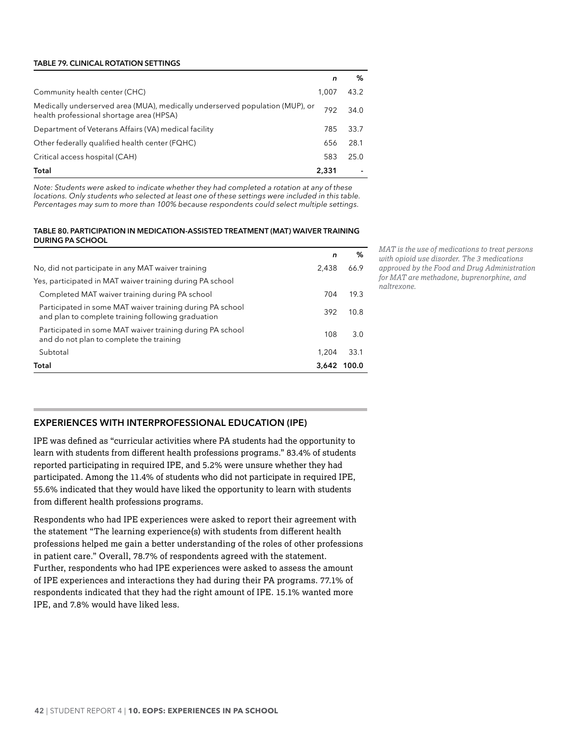#### <span id="page-48-0"></span>**Table 79. CLINICAL ROTATION SETTINGS**

|                                                                                                                          | n     | %    |
|--------------------------------------------------------------------------------------------------------------------------|-------|------|
| Community health center (CHC)                                                                                            | 1.007 | 43.2 |
| Medically underserved area (MUA), medically underserved population (MUP), or<br>health professional shortage area (HPSA) | 792   | 34.0 |
| Department of Veterans Affairs (VA) medical facility                                                                     | 785   | 33.7 |
| Other federally qualified health center (FQHC)                                                                           | 656   | 28.1 |
| Critical access hospital (CAH)                                                                                           | 583   | 25.0 |
| Total                                                                                                                    | 2,331 |      |

*Note: Students were asked to indicate whether they had completed a rotation at any of these locations. Only students who selected at least one of these settings were included in this table. Percentages may sum to more than 100% because respondents could select multiple settings.*

#### **Table 80. PARTICIPATION IN MEDICATION-ASSISTED TREATMENT (MAT) WAIVER TRAINING DURING PA SCHOOL**

|                                                                                                                 | n     | ℅     |
|-----------------------------------------------------------------------------------------------------------------|-------|-------|
| No, did not participate in any MAT waiver training                                                              | 2.438 | 66.9  |
| Yes, participated in MAT waiver training during PA school                                                       |       |       |
| Completed MAT waiver training during PA school                                                                  | 704   | 19.3  |
| Participated in some MAT waiver training during PA school<br>and plan to complete training following graduation | 392   | 10.8  |
| Participated in some MAT waiver training during PA school<br>and do not plan to complete the training           | 108   | 3.0   |
| Subtotal                                                                                                        | 1.204 | 33.1  |
| Total                                                                                                           | 3.642 | 100.0 |

*MAT is the use of medications to treat persons with opioid use disorder. The 3 medications approved by the Food and Drug Administration for MAT are methadone, buprenorphine, and naltrexone.*

# **EXPERIENCES WITH INTERPROFESSIONAL EDUCATION (IPE)**

IPE was defined as "curricular activities where PA students had the opportunity to learn with students from different health professions programs." 83.4% of students reported participating in required IPE, and 5.2% were unsure whether they had participated. Among the 11.4% of students who did not participate in required IPE, 55.6% indicated that they would have liked the opportunity to learn with students from different health professions programs.

Respondents who had IPE experiences were asked to report their agreement with the statement "The learning experience(s) with students from different health professions helped me gain a better understanding of the roles of other professions in patient care." Overall, 78.7% of respondents agreed with the statement. Further, respondents who had IPE experiences were asked to assess the amount of IPE experiences and interactions they had during their PA programs. 77.1% of respondents indicated that they had the right amount of IPE. 15.1% wanted more IPE, and 7.8% would have liked less.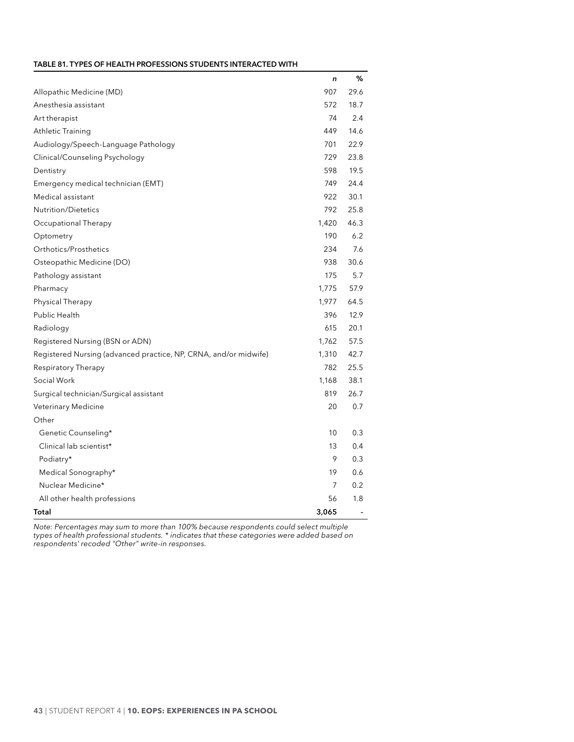<span id="page-49-0"></span>

|                                                                  | n     | %    |
|------------------------------------------------------------------|-------|------|
| Allopathic Medicine (MD)                                         | 907   | 29.6 |
| Anesthesia assistant                                             | 572   | 18.7 |
| Art therapist                                                    | 74    | 2.4  |
| Athletic Training                                                | 449   | 14.6 |
| Audiology/Speech-Language Pathology                              | 701   | 22.9 |
| Clinical/Counseling Psychology                                   | 729   | 23.8 |
| Dentistry                                                        | 598   | 19.5 |
| Emergency medical technician (EMT)                               | 749   | 24.4 |
| Medical assistant                                                | 922   | 30.1 |
| <b>Nutrition/Dietetics</b>                                       | 792   | 25.8 |
| Occupational Therapy                                             | 1,420 | 46.3 |
| Optometry                                                        | 190   | 6.2  |
| Orthotics/Prosthetics                                            | 234   | 7.6  |
| Osteopathic Medicine (DO)                                        | 938   | 30.6 |
| Pathology assistant                                              | 175   | 5.7  |
| Pharmacy                                                         | 1,775 | 57.9 |
| Physical Therapy                                                 | 1,977 | 64.5 |
| Public Health                                                    | 396   | 12.9 |
| Radiology                                                        | 615   | 20.1 |
| Registered Nursing (BSN or ADN)                                  | 1,762 | 57.5 |
| Registered Nursing (advanced practice, NP, CRNA, and/or midwife) | 1,310 | 42.7 |
| Respiratory Therapy                                              | 782   | 25.5 |
| Social Work                                                      | 1,168 | 38.1 |
| Surgical technician/Surgical assistant                           | 819   | 26.7 |
| <b>Veterinary Medicine</b>                                       | 20    | 0.7  |
| Other                                                            |       |      |
| Genetic Counseling*                                              | 10    | 0.3  |
| Clinical lab scientist*                                          | 13    | 0.4  |
| Podiatry*                                                        | 9     | 0.3  |
| Medical Sonography*                                              | 19    | 0.6  |
| Nuclear Medicine*                                                | 7     | 0.2  |
| All other health professions                                     | 56    | 1.8  |
| Total                                                            | 3,065 |      |

*Note: Percentages may sum to more than 100% because respondents could select multiple types of health professional students. \* indicates that these categories were added based on respondents' recoded "Other" write-in responses.*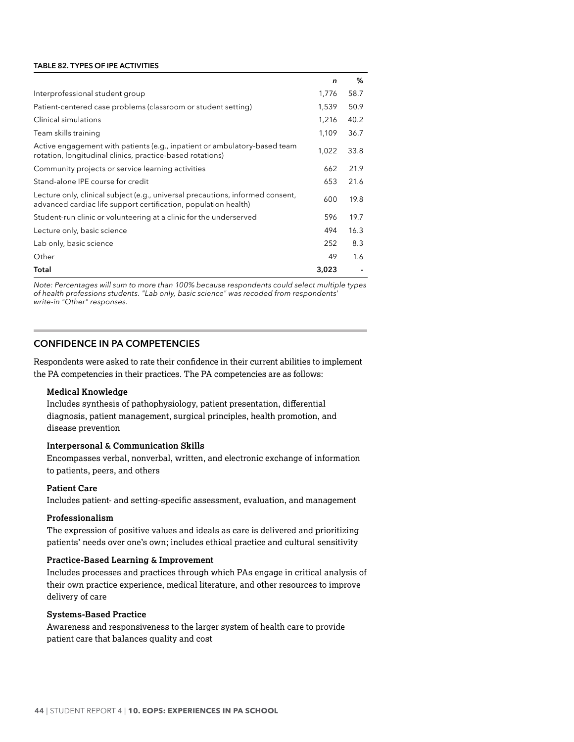#### <span id="page-50-0"></span>**Table 82. TYPES OF IPE ACTIVITIES**

|                                                                                                                                                   | n     | %    |
|---------------------------------------------------------------------------------------------------------------------------------------------------|-------|------|
| Interprofessional student group                                                                                                                   | 1,776 | 58.7 |
| Patient-centered case problems (classroom or student setting)                                                                                     | 1,539 | 50.9 |
| Clinical simulations                                                                                                                              | 1,216 | 40.2 |
| Team skills training                                                                                                                              | 1,109 | 36.7 |
| Active engagement with patients (e.g., inpatient or ambulatory-based team<br>rotation, longitudinal clinics, practice-based rotations)            | 1,022 | 33.8 |
| Community projects or service learning activities                                                                                                 | 662   | 21.9 |
| Stand-alone IPE course for credit                                                                                                                 | 653   | 21.6 |
| Lecture only, clinical subject (e.g., universal precautions, informed consent,<br>advanced cardiac life support certification, population health) | 600   | 19.8 |
| Student-run clinic or volunteering at a clinic for the underserved                                                                                | 596   | 19.7 |
| Lecture only, basic science                                                                                                                       | 494   | 16.3 |
| Lab only, basic science                                                                                                                           | 252   | 8.3  |
| Other                                                                                                                                             | 49    | 1.6  |
| Total                                                                                                                                             | 3,023 |      |

*Note: Percentages will sum to more than 100% because respondents could select multiple types of health professions students. "Lab only, basic science" was recoded from respondents' write-in "Other" responses.*

# **CONFIDENCE IN PA COMPETENCIES**

Respondents were asked to rate their confidence in their current abilities to implement the PA competencies in their practices. The PA competencies are as follows:

#### **Medical Knowledge**

Includes synthesis of pathophysiology, patient presentation, differential diagnosis, patient management, surgical principles, health promotion, and disease prevention

# **Interpersonal & Communication Skills**

Encompasses verbal, nonverbal, written, and electronic exchange of information to patients, peers, and others

#### **Patient Care**

Includes patient- and setting-specific assessment, evaluation, and management

### **Professionalism**

The expression of positive values and ideals as care is delivered and prioritizing patients' needs over one's own; includes ethical practice and cultural sensitivity

#### **Practice-Based Learning & Improvement**

Includes processes and practices through which PAs engage in critical analysis of their own practice experience, medical literature, and other resources to improve delivery of care

#### **Systems-Based Practice**

Awareness and responsiveness to the larger system of health care to provide patient care that balances quality and cost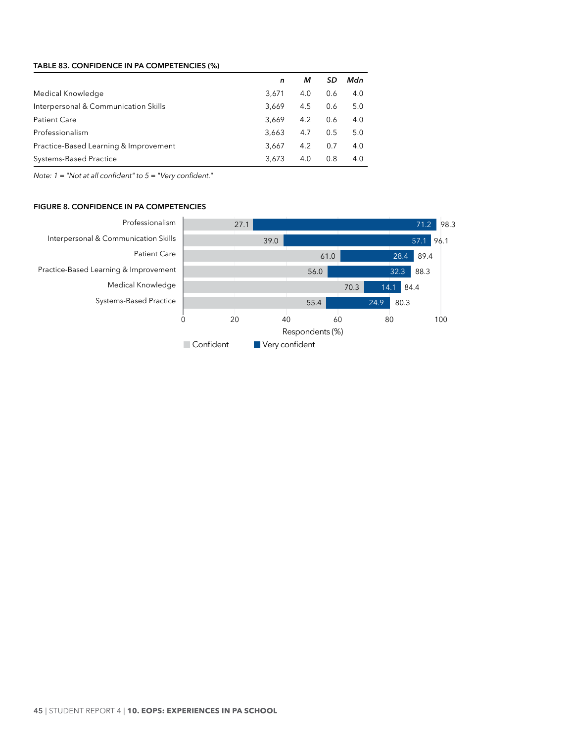### <span id="page-51-0"></span>**Table 83. CONFIDENCE IN PA COMPETENCIES (%)**

|                                       | n     | м   | SD  | Mdn |
|---------------------------------------|-------|-----|-----|-----|
| Medical Knowledge                     | 3.671 | 4.0 | 0.6 | 4.0 |
| Interpersonal & Communication Skills  | 3.669 | 4.5 | 0.6 | 5.0 |
| <b>Patient Care</b>                   | 3.669 | 4.2 | 0.6 | 4.0 |
| Professionalism                       | 3.663 | 4.7 | 0.5 | 5.0 |
| Practice-Based Learning & Improvement | 3.667 | 4.2 | 0.7 | 4.0 |
| <b>Systems-Based Practice</b>         | 3,673 | 4.0 | 0.8 | 4.0 |

*Note: 1 = "Not at all confident" to 5 = "Very confident."*

# **Figure 8. CONFIDENCE IN PA COMPETENCIES**

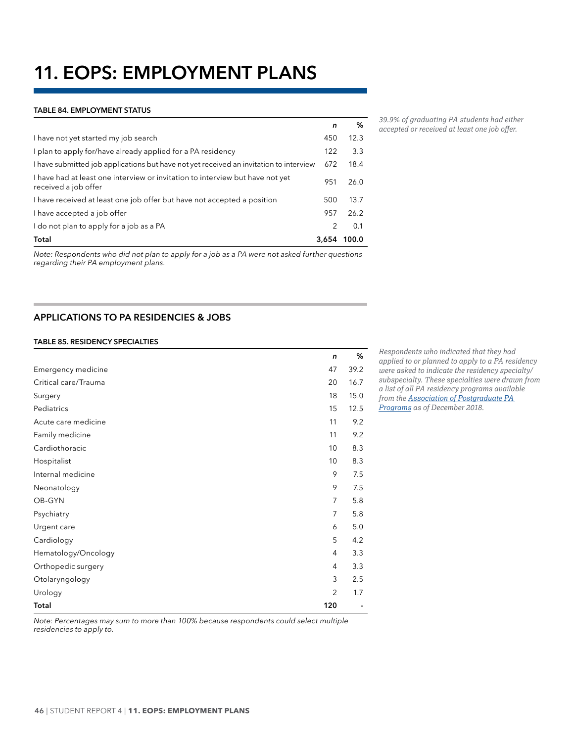# <span id="page-52-0"></span>**11. EOPS: EMPLOYMENT PLANS**

#### **Table 84. EMPLOYMENT STATUS**

|                                                                                                       | n     | %     |
|-------------------------------------------------------------------------------------------------------|-------|-------|
| I have not yet started my job search                                                                  | 450   | 12.3  |
| I plan to apply for/have already applied for a PA residency                                           | 122   | 3.3   |
| I have submitted job applications but have not yet received an invitation to interview                | 672   | 18.4  |
| I have had at least one interview or invitation to interview but have not yet<br>received a job offer | 951   | 26.0  |
| I have received at least one job offer but have not accepted a position                               | 500   | 13.7  |
| I have accepted a job offer                                                                           | 957   | 26.2  |
| I do not plan to apply for a job as a PA                                                              | 2     | 0.1   |
| Total                                                                                                 | 3,654 | 100.0 |

*Note: Respondents who did not plan to apply for a job as a PA were not asked further questions regarding their PA employment plans.*

# **APPLICATIONS TO PA RESIDENCIES & JOBS**

#### **Table 85. RESIDENCY SPECIALTIES**

|                      | n              | ℅    |
|----------------------|----------------|------|
| Emergency medicine   | 47             | 39.2 |
| Critical care/Trauma | 20             | 16.7 |
| Surgery              | 18             | 15.0 |
| Pediatrics           | 15             | 12.5 |
| Acute care medicine  | 11             | 9.2  |
| Family medicine      | 11             | 9.2  |
| Cardiothoracic       | 10             | 8.3  |
| Hospitalist          | 10             | 8.3  |
| Internal medicine    | 9              | 7.5  |
| Neonatology          | 9              | 7.5  |
| OB-GYN               | $\overline{7}$ | 5.8  |
| Psychiatry           | 7              | 5.8  |
| Urgent care          | 6              | 5.0  |
| Cardiology           | 5              | 4.2  |
| Hematology/Oncology  | $\overline{4}$ | 3.3  |
| Orthopedic surgery   | $\overline{4}$ | 3.3  |
| Otolaryngology       | 3              | 2.5  |
| Urology              | $\overline{2}$ | 1.7  |
| Total                | 120            |      |

*applied to or planned to apply to a PA residency were asked to indicate the residency specialty/ subspecialty. These specialties were drawn from a list of all PA residency programs available from the [Association of Postgraduate PA](http://appap.org/)  [Programs](http://appap.org/) as of December 2018.*

*Respondents who indicated that they had* 

*Note: Percentages may sum to more than 100% because respondents could select multiple residencies to apply to.*

*39.9% of graduating PA students had either accepted or received at least one job offer.*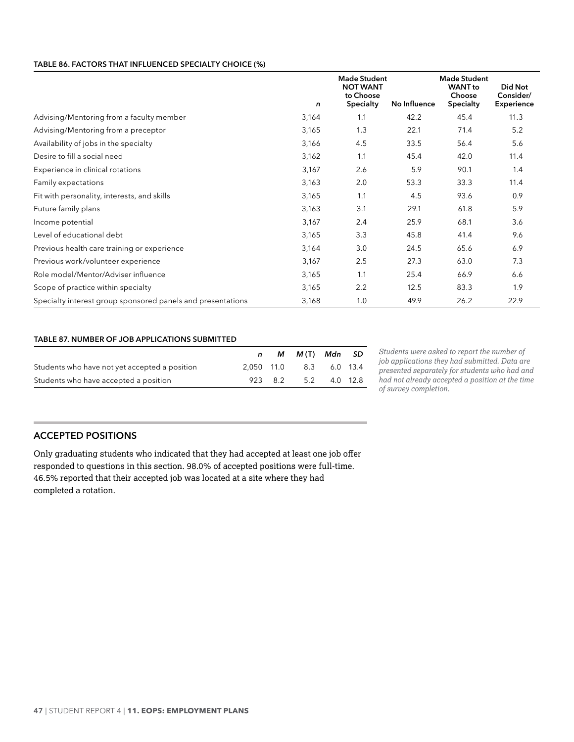#### <span id="page-53-0"></span>**Table 86. FACTORS THAT INFLUENCED SPECIALTY CHOICE (%)**

|                                                             | n     | <b>Made Student</b><br><b>NOT WANT</b><br>to Choose<br>Specialty | No Influence | <b>Made Student</b><br><b>WANT</b> to<br>Choose<br>Specialty | Did Not<br>Consider/<br><b>Experience</b> |
|-------------------------------------------------------------|-------|------------------------------------------------------------------|--------------|--------------------------------------------------------------|-------------------------------------------|
| Advising/Mentoring from a faculty member                    | 3,164 | 1.1                                                              | 42.2         | 45.4                                                         | 11.3                                      |
| Advising/Mentoring from a preceptor                         | 3,165 | 1.3                                                              | 22.1         | 71.4                                                         | 5.2                                       |
| Availability of jobs in the specialty                       | 3,166 | 4.5                                                              | 33.5         | 56.4                                                         | 5.6                                       |
| Desire to fill a social need                                | 3,162 | 1.1                                                              | 45.4         | 42.0                                                         | 11.4                                      |
| Experience in clinical rotations                            | 3,167 | 2.6                                                              | 5.9          | 90.1                                                         | 1.4                                       |
| Family expectations                                         | 3,163 | 2.0                                                              | 53.3         | 33.3                                                         | 11.4                                      |
| Fit with personality, interests, and skills                 | 3,165 | 1.1                                                              | 4.5          | 93.6                                                         | 0.9                                       |
| Future family plans                                         | 3,163 | 3.1                                                              | 29.1         | 61.8                                                         | 5.9                                       |
| Income potential                                            | 3,167 | 2.4                                                              | 25.9         | 68.1                                                         | 3.6                                       |
| Level of educational debt                                   | 3,165 | 3.3                                                              | 45.8         | 41.4                                                         | 9.6                                       |
| Previous health care training or experience                 | 3,164 | 3.0                                                              | 24.5         | 65.6                                                         | 6.9                                       |
| Previous work/volunteer experience                          | 3,167 | 2.5                                                              | 27.3         | 63.0                                                         | 7.3                                       |
| Role model/Mentor/Adviser influence                         | 3,165 | 1.1                                                              | 25.4         | 66.9                                                         | 6.6                                       |
| Scope of practice within specialty                          | 3,165 | 2.2                                                              | 12.5         | 83.3                                                         | 1.9                                       |
| Specialty interest group sponsored panels and presentations | 3,168 | 1.0                                                              | 49.9         | 26.2                                                         | 22.9                                      |

#### **Table 87. NUMBER OF JOB APPLICATIONS SUBMITTED**

|                                               |  | n M M(T) Mdn SD         |  |
|-----------------------------------------------|--|-------------------------|--|
| Students who have not yet accepted a position |  | 2.050 11.0 8.3 6.0 13.4 |  |
| Students who have accepted a position         |  | 923 8.2 5.2 4.0 12.8    |  |

*Students were asked to report the number of job applications they had submitted. Data are presented separately for students who had and had not already accepted a position at the time of survey completion.*

# **ACCEPTED POSITIONS**

Only graduating students who indicated that they had accepted at least one job offer responded to questions in this section. 98.0% of accepted positions were full-time. 46.5% reported that their accepted job was located at a site where they had completed a rotation.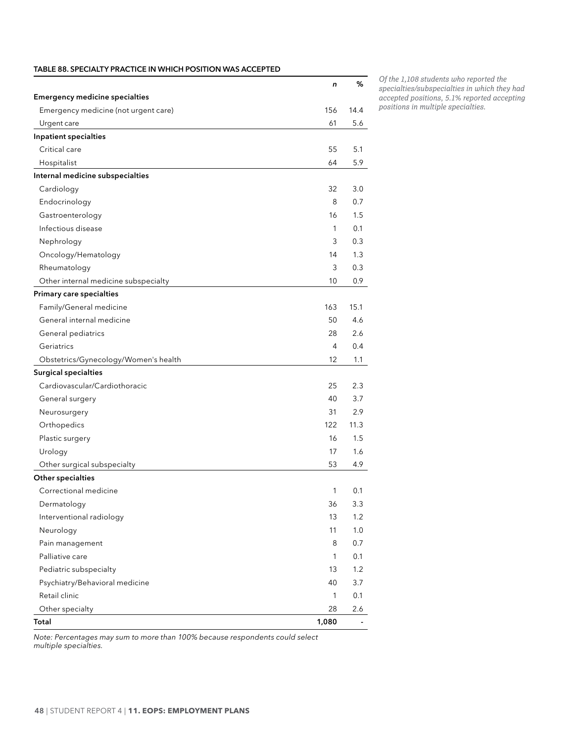<span id="page-54-0"></span>

|                                       | n            | %       |
|---------------------------------------|--------------|---------|
| <b>Emergency medicine specialties</b> |              |         |
| Emergency medicine (not urgent care)  | 156          | 14.4    |
| Urgent care                           | 61           | 5.6     |
| Inpatient specialties                 |              |         |
| Critical care                         | 55           | 5.1     |
| Hospitalist                           | 64           | 5.9     |
| Internal medicine subspecialties      |              |         |
| Cardiology                            | 32           | 3.0     |
| Endocrinology                         | 8            | 0.7     |
| Gastroenterology                      | 16           | $1.5\,$ |
| Infectious disease                    | 1            | 0.1     |
| Nephrology                            | 3            | 0.3     |
| Oncology/Hematology                   | 14           | 1.3     |
| Rheumatology                          | 3            | 0.3     |
| Other internal medicine subspecialty  | 10           | 0.9     |
| Primary care specialties              |              |         |
| Family/General medicine               | 163          | 15.1    |
| General internal medicine             | 50           | 4.6     |
| General pediatrics                    | 28           | 2.6     |
| Geriatrics                            | 4            | 0.4     |
| Obstetrics/Gynecology/Women's health  | 12           | 1.1     |
| <b>Surgical specialties</b>           |              |         |
| Cardiovascular/Cardiothoracic         | 25           | 2.3     |
| General surgery                       | 40           | 3.7     |
| Neurosurgery                          | 31           | 2.9     |
| Orthopedics                           | 122          | 11.3    |
| Plastic surgery                       | 16           | 1.5     |
| Urology                               | 17           | 1.6     |
| Other surgical subspecialty           | 53           | 4.9     |
| Other specialties                     |              |         |
| Correctional medicine                 | 1            | 0.1     |
| Dermatology                           | 36           | 3.3     |
| Interventional radiology              | 13           | 1.2     |
| Neurology                             | 11           | 1.0     |
| Pain management                       | 8            | 0.7     |
| Palliative care                       | 1            | 0.1     |
| Pediatric subspecialty                | 13           | 1.2     |
| Psychiatry/Behavioral medicine        | 40           | 3.7     |
| Retail clinic                         | $\mathbf{1}$ | 0.1     |
| Other specialty                       | 28           | 2.6     |
| Total                                 | 1,080        |         |

*Of the 1,108 students who reported the specialties/subspecialties in which they had accepted positions, 5.1% reported accepting positions in multiple specialties.*

*Note: Percentages may sum to more than 100% because respondents could select multiple specialties.*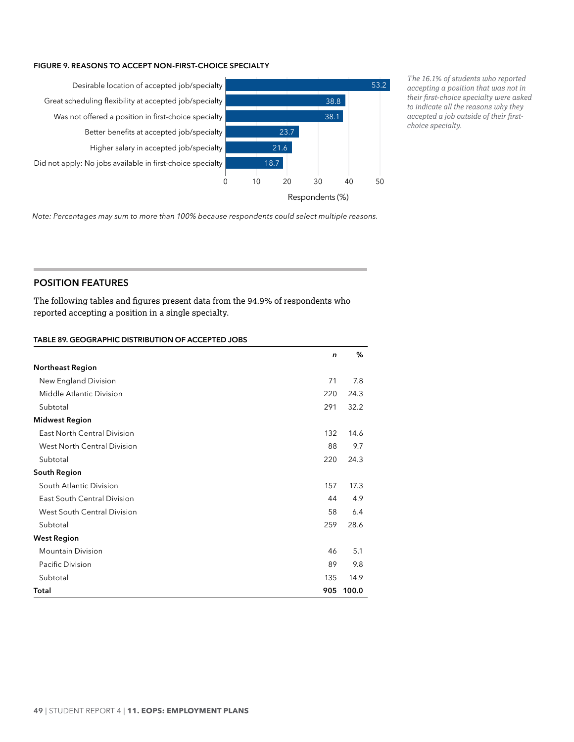#### <span id="page-55-0"></span>**Figure 9. REASONS TO ACCEPT NON-FIRST-CHOICE SPECIALTY**



*The 16.1% of students who reported accepting a position that was not in their first-choice specialty were asked to indicate all the reasons why they accepted a job outside of their firstchoice specialty.*

*Note: Percentages may sum to more than 100% because respondents could select multiple reasons.*

# **POSITION FEATURES**

The following tables and figures present data from the 94.9% of respondents who reported accepting a position in a single specialty.

#### **Table 89. GEOGRAPHIC DISTRIBUTION OF ACCEPTED JOBS**

|                                    | n   | %     |
|------------------------------------|-----|-------|
| <b>Northeast Region</b>            |     |       |
| New England Division               | 71  | 7.8   |
| Middle Atlantic Division           | 220 | 24.3  |
| Subtotal                           | 291 | 32.2  |
| <b>Midwest Region</b>              |     |       |
| <b>East North Central Division</b> | 132 | 14.6  |
| West North Central Division        | 88  | 9.7   |
| Subtotal                           | 220 | 24.3  |
| South Region                       |     |       |
| South Atlantic Division            | 157 | 17.3  |
| East South Central Division        | 44  | 4.9   |
| West South Central Division        | 58  | 6.4   |
| Subtotal                           | 259 | 28.6  |
| <b>West Region</b>                 |     |       |
| <b>Mountain Division</b>           | 46  | 5.1   |
| Pacific Division                   | 89  | 9.8   |
| Subtotal                           | 135 | 14.9  |
| Total                              | 905 | 100.0 |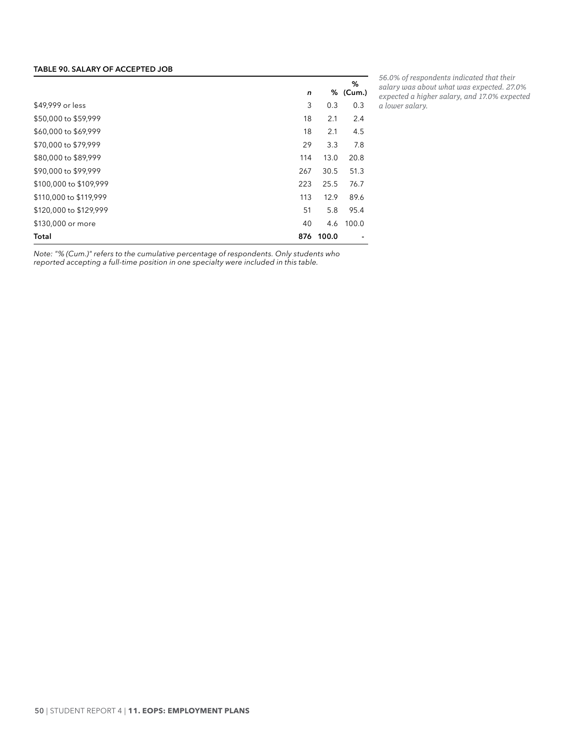#### <span id="page-56-0"></span>**Table 90. SALARY OF ACCEPTED JOB**

|                        | n   | %     | %<br>(Cum.) |
|------------------------|-----|-------|-------------|
| \$49,999 or less       | 3   | 0.3   | 0.3         |
| \$50,000 to \$59,999   | 18  | 2.1   | 2.4         |
| \$60,000 to \$69,999   | 18  | 2.1   | 4.5         |
| \$70,000 to \$79,999   | 29  | 3.3   | 7.8         |
| \$80,000 to \$89,999   | 114 | 13.0  | 20.8        |
| \$90,000 to \$99,999   | 267 | 30.5  | 51.3        |
| \$100,000 to \$109,999 | 223 | 25.5  | 76.7        |
| \$110,000 to \$119,999 | 113 | 12.9  | 89.6        |
| \$120,000 to \$129,999 | 51  | 5.8   | 95.4        |
| \$130,000 or more      | 40  | 4.6   | 100.0       |
| Total                  | 876 | 100.0 |             |

*56.0% of respondents indicated that their salary was about what was expected. 27.0% expected a higher salary, and 17.0% expected a lower salary.*

*Note: "% (Cum.)" refers to the cumulative percentage of respondents. Only students who reported accepting a full-time position in one specialty were included in this table.*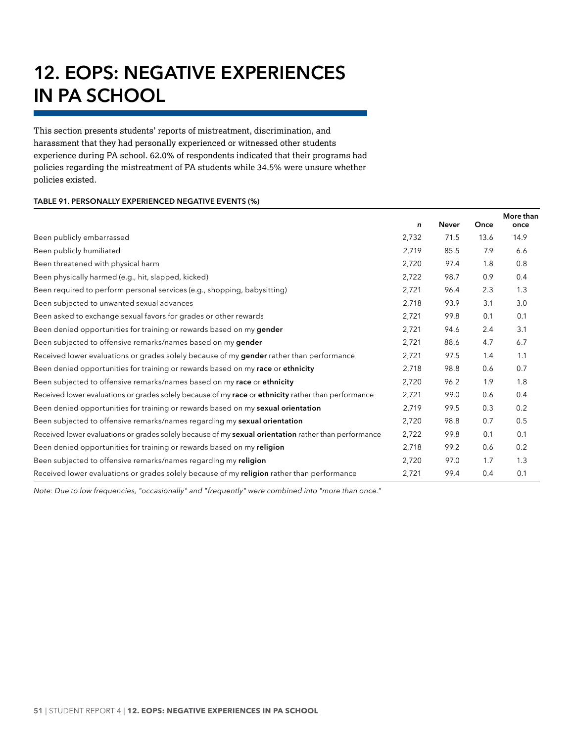# <span id="page-57-0"></span>**12. EOPS: NEGATIVE EXPERIENCES IN PA SCHOOL**

This section presents students' reports of mistreatment, discrimination, and harassment that they had personally experienced or witnessed other students experience during PA school. 62.0% of respondents indicated that their programs had policies regarding the mistreatment of PA students while 34.5% were unsure whether policies existed.

#### **Table 91. PERSONALLY EXPERIENCED NEGATIVE EVENTS (%)**

|                                                                                                      | n     | <b>Never</b> | Once | More than<br>once |
|------------------------------------------------------------------------------------------------------|-------|--------------|------|-------------------|
| Been publicly embarrassed                                                                            | 2,732 | 71.5         | 13.6 | 14.9              |
| Been publicly humiliated                                                                             | 2,719 | 85.5         | 7.9  | 6.6               |
| Been threatened with physical harm                                                                   | 2,720 | 97.4         | 1.8  | 0.8               |
| Been physically harmed (e.g., hit, slapped, kicked)                                                  | 2,722 | 98.7         | 0.9  | 0.4               |
| Been required to perform personal services (e.g., shopping, babysitting)                             | 2,721 | 96.4         | 2.3  | 1.3               |
| Been subjected to unwanted sexual advances                                                           | 2,718 | 93.9         | 3.1  | 3.0               |
| Been asked to exchange sexual favors for grades or other rewards                                     | 2,721 | 99.8         | 0.1  | 0.1               |
| Been denied opportunities for training or rewards based on my gender                                 | 2,721 | 94.6         | 2.4  | 3.1               |
| Been subjected to offensive remarks/names based on my gender                                         | 2,721 | 88.6         | 4.7  | 6.7               |
| Received lower evaluations or grades solely because of my <b>gender</b> rather than performance      | 2,721 | 97.5         | 1.4  | 1.1               |
| Been denied opportunities for training or rewards based on my race or ethnicity                      | 2,718 | 98.8         | 0.6  | 0.7               |
| Been subjected to offensive remarks/names based on my race or ethnicity                              | 2,720 | 96.2         | 1.9  | 1.8               |
| Received lower evaluations or grades solely because of my race or ethnicity rather than performance  | 2,721 | 99.0         | 0.6  | 0.4               |
| Been denied opportunities for training or rewards based on my sexual orientation                     | 2,719 | 99.5         | 0.3  | 0.2               |
| Been subjected to offensive remarks/names regarding my sexual orientation                            | 2,720 | 98.8         | 0.7  | 0.5               |
| Received lower evaluations or grades solely because of my sexual orientation rather than performance | 2,722 | 99.8         | 0.1  | 0.1               |
| Been denied opportunities for training or rewards based on my religion                               | 2,718 | 99.2         | 0.6  | 0.2               |
| Been subjected to offensive remarks/names regarding my religion                                      | 2,720 | 97.0         | 1.7  | 1.3               |
| Received lower evaluations or grades solely because of my religion rather than performance           | 2,721 | 99.4         | 0.4  | 0.1               |

*Note: Due to low frequencies, "occasionally" and "frequently" were combined into "more than once."*